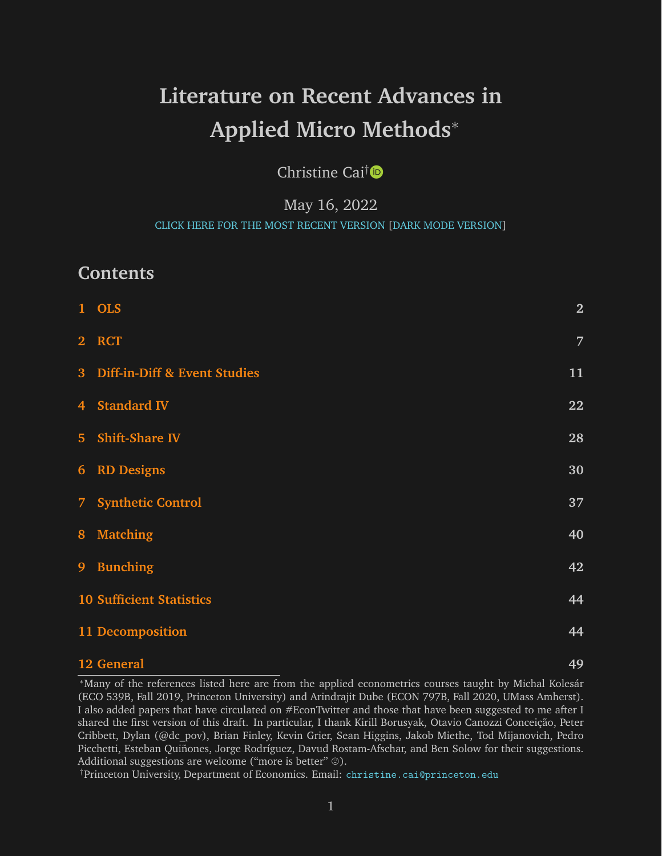# **Literature on Recent Advances in Applied Micro Methods***<sup>∗</sup>*

Christine Cai*†*

May 16, 2022

[CLICK HERE FOR THE MOST RECENT VERSION](https://christinecai.github.io/PublicGoods/applied_micro_methods.pdf) [\[DARK MODE VERSION\]](https://christinecai.github.io/PublicGoods/applied_micro_methods_dark_mode.pdf)

## **Contents**

|                | 1 OLS                           | $\overline{2}$ |
|----------------|---------------------------------|----------------|
|                | 2 RCT                           | $\overline{7}$ |
|                | 3 Diff-in-Diff & Event Studies  | 11             |
|                | 4 Standard IV                   | 22             |
|                | 5 Shift-Share IV                | 28             |
|                | 6 RD Designs                    | 30             |
|                | 7 Synthetic Control             | 37             |
|                | 8 Matching                      | 40             |
| 9 <sup>1</sup> | <b>Bunching</b>                 | 42             |
|                | <b>10 Sufficient Statistics</b> | 44             |
|                | 11 Decomposition                | 44             |

#### **[12 General](#page-48-0) 49**

*<sup>∗</sup>*Many of the references listed here are from the applied econometrics courses taught by Michal Kolesár (ECO 539B, Fall 2019, Princeton University) and Arindrajit Dube (ECON 797B, Fall 2020, UMass Amherst). I also added papers that have circulated on #EconTwitter and those that have been suggested to me after I shared the first version of this draft. In particular, I thank Kirill Borusyak, Otavio Canozzi Conceição, Peter Cribbett, Dylan (@dc\_pov), Brian Finley, Kevin Grier, Sean Higgins, Jakob Miethe, Tod Mijanovich, Pedro Picchetti, Esteban Quiñones, Jorge Rodríguez, Davud Rostam-Afschar, and Ben Solow for their suggestions. Additional suggestions are welcome ("more is better" $\circ$ ).

*†*Princeton University, Department of Economics. Email: [christine.cai@princeton.edu](mailto:christine.cai@princeton.edu)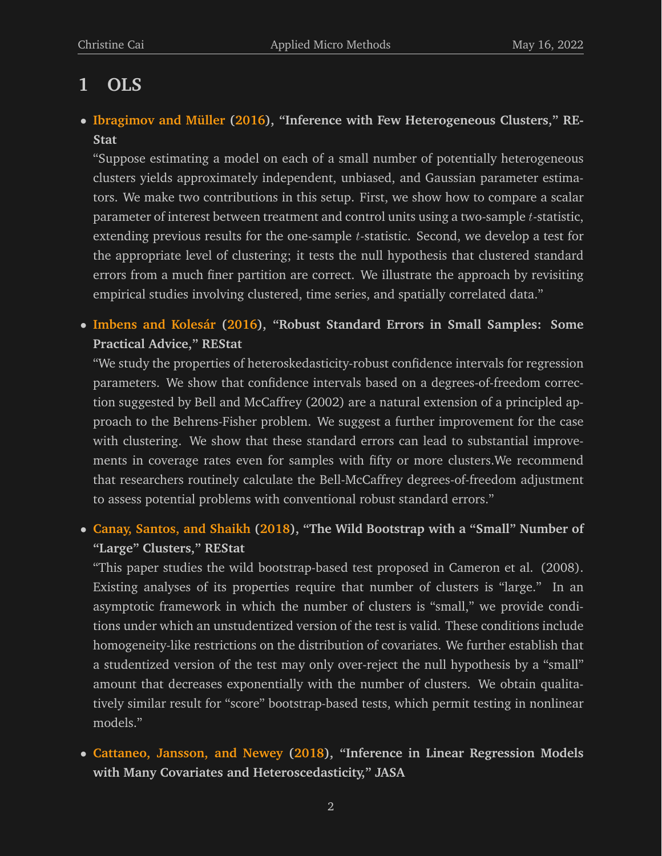## <span id="page-1-0"></span>**1 OLS**

## *•* **[Ibragimov and Müller](#page-57-0) ([2016](#page-57-0)), "Inference with Few Heterogeneous Clusters," RE-Stat**

"Suppose estimating a model on each of a small number of potentially heterogeneous clusters yields approximately independent, unbiased, and Gaussian parameter estimators. We make two contributions in this setup. First, we show how to compare a scalar parameter of interest between treatment and control units using a two-sample *t*-statistic, extending previous results for the one-sample *t*-statistic. Second, we develop a test for the appropriate level of clustering; it tests the null hypothesis that clustered standard errors from a much finer partition are correct. We illustrate the approach by revisiting empirical studies involving clustered, time series, and spatially correlated data."

*•* **[Imbens and Kolesár](#page-57-1) [\(2016\)](#page-57-1), "Robust Standard Errors in Small Samples: Some Practical Advice," REStat**

"We study the properties of heteroskedasticity-robust confidence intervals for regression parameters. We show that confidence intervals based on a degrees-of-freedom correction suggested by Bell and McCaffrey (2002) are a natural extension of a principled approach to the Behrens-Fisher problem. We suggest a further improvement for the case with clustering. We show that these standard errors can lead to substantial improvements in coverage rates even for samples with fifty or more clusters.We recommend that researchers routinely calculate the Bell-McCaffrey degrees-of-freedom adjustment to assess potential problems with conventional robust standard errors."

*•* **[Canay, Santos, and Shaikh](#page-54-0) ([2018](#page-54-0)), "The Wild Bootstrap with a "Small" Number of "Large" Clusters," REStat**

"This paper studies the wild bootstrap-based test proposed in Cameron et al. (2008). Existing analyses of its properties require that number of clusters is "large." In an asymptotic framework in which the number of clusters is "small," we provide conditions under which an unstudentized version of the test is valid. These conditions include homogeneity-like restrictions on the distribution of covariates. We further establish that a studentized version of the test may only over-reject the null hypothesis by a "small" amount that decreases exponentially with the number of clusters. We obtain qualitatively similar result for "score" bootstrap-based tests, which permit testing in nonlinear models."

*•* **[Cattaneo, Jansson, and Newey](#page-54-1) [\(2018\)](#page-54-1), "Inference in Linear Regression Models with Many Covariates and Heteroscedasticity," JASA**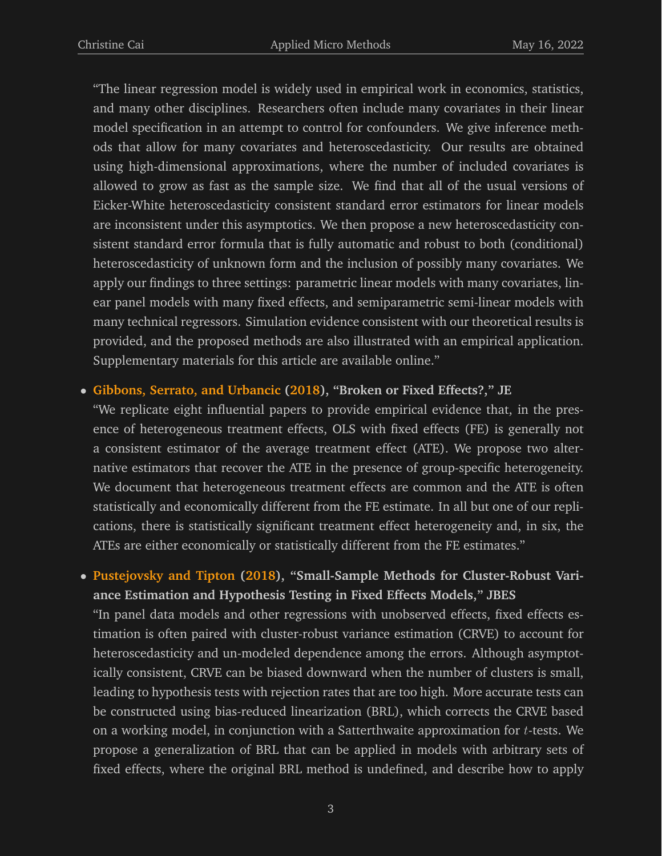"The linear regression model is widely used in empirical work in economics, statistics, and many other disciplines. Researchers often include many covariates in their linear model specification in an attempt to control for confounders. We give inference methods that allow for many covariates and heteroscedasticity. Our results are obtained using high-dimensional approximations, where the number of included covariates is allowed to grow as fast as the sample size. We find that all of the usual versions of Eicker-White heteroscedasticity consistent standard error estimators for linear models are inconsistent under this asymptotics. We then propose a new heteroscedasticity consistent standard error formula that is fully automatic and robust to both (conditional) heteroscedasticity of unknown form and the inclusion of possibly many covariates. We apply our findings to three settings: parametric linear models with many covariates, linear panel models with many fixed effects, and semiparametric semi-linear models with many technical regressors. Simulation evidence consistent with our theoretical results is provided, and the proposed methods are also illustrated with an empirical application. Supplementary materials for this article are available online."

#### *•* **[Gibbons, Serrato, and Urbancic](#page-56-0) [\(2018](#page-56-0)), "Broken or Fixed Effects?," JE**

"We replicate eight influential papers to provide empirical evidence that, in the presence of heterogeneous treatment effects, OLS with fixed effects (FE) is generally not a consistent estimator of the average treatment effect (ATE). We propose two alternative estimators that recover the ATE in the presence of group-specific heterogeneity. We document that heterogeneous treatment effects are common and the ATE is often statistically and economically different from the FE estimate. In all but one of our replications, there is statistically significant treatment effect heterogeneity and, in six, the ATEs are either economically or statistically different from the FE estimates."

#### *•* **[Pustejovsky and Tipton](#page-58-0) [\(2018](#page-58-0)), "Small-Sample Methods for Cluster-Robust Variance Estimation and Hypothesis Testing in Fixed Effects Models," JBES**

"In panel data models and other regressions with unobserved effects, fixed effects estimation is often paired with cluster-robust variance estimation (CRVE) to account for heteroscedasticity and un-modeled dependence among the errors. Although asymptotically consistent, CRVE can be biased downward when the number of clusters is small, leading to hypothesis tests with rejection rates that are too high. More accurate tests can be constructed using bias-reduced linearization (BRL), which corrects the CRVE based on a working model, in conjunction with a Satterthwaite approximation for *t*-tests. We propose a generalization of BRL that can be applied in models with arbitrary sets of fixed effects, where the original BRL method is undefined, and describe how to apply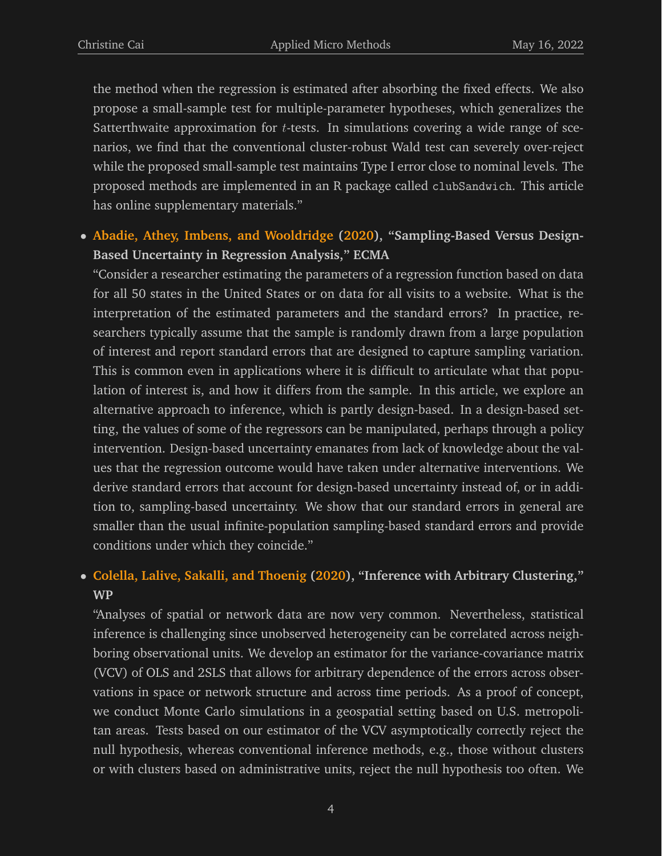the method when the regression is estimated after absorbing the fixed effects. We also propose a small-sample test for multiple-parameter hypotheses, which generalizes the Satterthwaite approximation for *t*-tests. In simulations covering a wide range of scenarios, we find that the conventional cluster-robust Wald test can severely over-reject while the proposed small-sample test maintains Type I error close to nominal levels. The proposed methods are implemented in an R package called clubSandwich. This article has online supplementary materials."

#### *•* **[Abadie, Athey, Imbens, and Wooldridge](#page-51-0) [\(2020\)](#page-51-0), "Sampling-Based Versus Design-Based Uncertainty in Regression Analysis," ECMA**

"Consider a researcher estimating the parameters of a regression function based on data for all 50 states in the United States or on data for all visits to a website. What is the interpretation of the estimated parameters and the standard errors? In practice, researchers typically assume that the sample is randomly drawn from a large population of interest and report standard errors that are designed to capture sampling variation. This is common even in applications where it is difficult to articulate what that population of interest is, and how it differs from the sample. In this article, we explore an alternative approach to inference, which is partly design-based. In a design-based setting, the values of some of the regressors can be manipulated, perhaps through a policy intervention. Design-based uncertainty emanates from lack of knowledge about the values that the regression outcome would have taken under alternative interventions. We derive standard errors that account for design-based uncertainty instead of, or in addition to, sampling-based uncertainty. We show that our standard errors in general are smaller than the usual infinite-population sampling-based standard errors and provide conditions under which they coincide."

#### *•* **[Colella, Lalive, Sakalli, and Thoenig](#page-55-0) ([2020\)](#page-55-0), "Inference with Arbitrary Clustering," WP**

"Analyses of spatial or network data are now very common. Nevertheless, statistical inference is challenging since unobserved heterogeneity can be correlated across neighboring observational units. We develop an estimator for the variance-covariance matrix (VCV) of OLS and 2SLS that allows for arbitrary dependence of the errors across observations in space or network structure and across time periods. As a proof of concept, we conduct Monte Carlo simulations in a geospatial setting based on U.S. metropolitan areas. Tests based on our estimator of the VCV asymptotically correctly reject the null hypothesis, whereas conventional inference methods, e.g., those without clusters or with clusters based on administrative units, reject the null hypothesis too often. We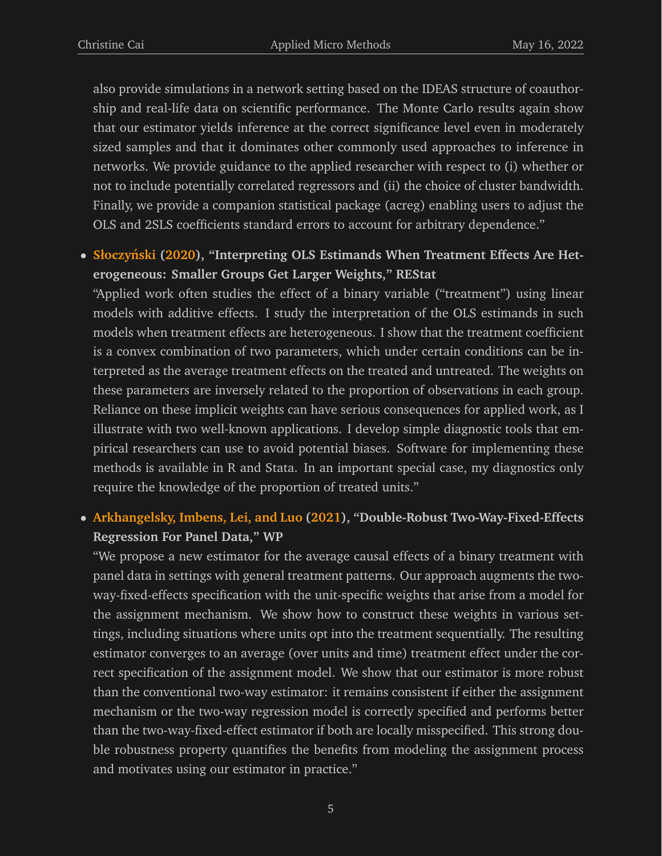also provide simulations in a network setting based on the IDEAS structure of coauthorship and real-life data on scientific performance. The Monte Carlo results again show that our estimator yields inference at the correct significance level even in moderately sized samples and that it dominates other commonly used approaches to inference in networks. We provide guidance to the applied researcher with respect to (i) whether or not to include potentially correlated regressors and (ii) the choice of cluster bandwidth. Finally, we provide a companion statistical package (acreg) enabling users to adjust the OLS and 2SLS coefficients standard errors to account for arbitrary dependence."

#### • Słoczyński ([2020\)](#page-59-0), "Interpreting OLS Estimands When Treatment Effects Are Het**erogeneous: Smaller Groups Get Larger Weights," REStat**

"Applied work often studies the effect of a binary variable ("treatment") using linear models with additive effects. I study the interpretation of the OLS estimands in such models when treatment effects are heterogeneous. I show that the treatment coefficient is a convex combination of two parameters, which under certain conditions can be interpreted as the average treatment effects on the treated and untreated. The weights on these parameters are inversely related to the proportion of observations in each group. Reliance on these implicit weights can have serious consequences for applied work, as I illustrate with two well-known applications. I develop simple diagnostic tools that empirical researchers can use to avoid potential biases. Software for implementing these methods is available in R and Stata. In an important special case, my diagnostics only require the knowledge of the proportion of treated units."

#### *•* **[Arkhangelsky, Imbens, Lei, and Luo](#page-52-0) ([2021\)](#page-52-0), "Double-Robust Two-Way-Fixed-Effects Regression For Panel Data," WP**

"We propose a new estimator for the average causal effects of a binary treatment with panel data in settings with general treatment patterns. Our approach augments the twoway-fixed-effects specification with the unit-specific weights that arise from a model for the assignment mechanism. We show how to construct these weights in various settings, including situations where units opt into the treatment sequentially. The resulting estimator converges to an average (over units and time) treatment effect under the correct specification of the assignment model. We show that our estimator is more robust than the conventional two-way estimator: it remains consistent if either the assignment mechanism or the two-way regression model is correctly specified and performs better than the two-way-fixed-effect estimator if both are locally misspecified. This strong double robustness property quantifies the benefits from modeling the assignment process and motivates using our estimator in practice."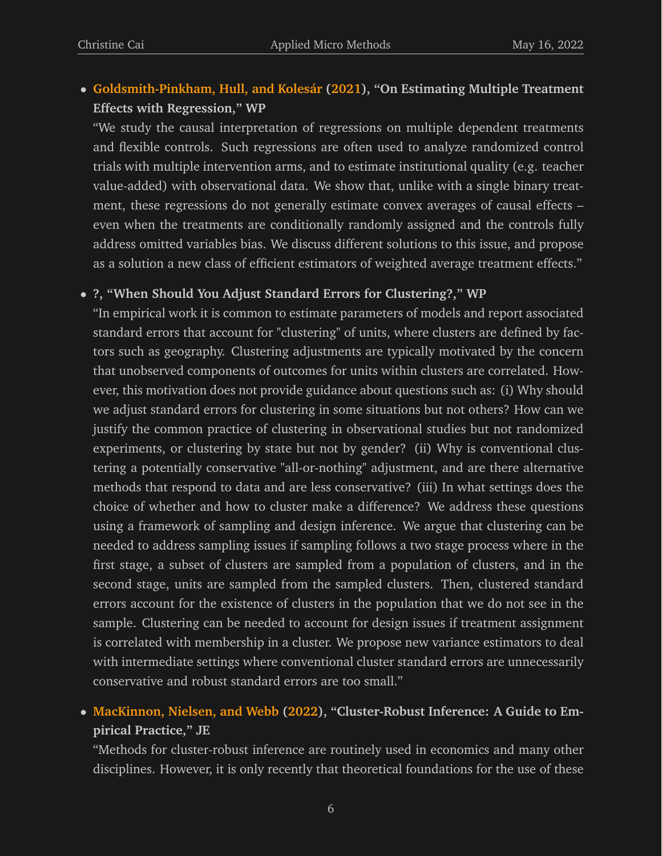#### *•* **[Goldsmith-Pinkham, Hull, and Kolesár](#page-56-1) [\(2021](#page-56-1)), "On Estimating Multiple Treatment Effects with Regression," WP**

"We study the causal interpretation of regressions on multiple dependent treatments and flexible controls. Such regressions are often used to analyze randomized control trials with multiple intervention arms, and to estimate institutional quality (e.g. teacher value-added) with observational data. We show that, unlike with a single binary treatment, these regressions do not generally estimate convex averages of causal effects – even when the treatments are conditionally randomly assigned and the controls fully address omitted variables bias. We discuss different solutions to this issue, and propose as a solution a new class of efficient estimators of weighted average treatment effects."

#### *•* **?, "When Should You Adjust Standard Errors for Clustering?," WP**

"In empirical work it is common to estimate parameters of models and report associated standard errors that account for "clustering" of units, where clusters are defined by factors such as geography. Clustering adjustments are typically motivated by the concern that unobserved components of outcomes for units within clusters are correlated. However, this motivation does not provide guidance about questions such as: (i) Why should we adjust standard errors for clustering in some situations but not others? How can we justify the common practice of clustering in observational studies but not randomized experiments, or clustering by state but not by gender? (ii) Why is conventional clustering a potentially conservative "all-or-nothing" adjustment, and are there alternative methods that respond to data and are less conservative? (iii) In what settings does the choice of whether and how to cluster make a difference? We address these questions using a framework of sampling and design inference. We argue that clustering can be needed to address sampling issues if sampling follows a two stage process where in the first stage, a subset of clusters are sampled from a population of clusters, and in the second stage, units are sampled from the sampled clusters. Then, clustered standard errors account for the existence of clusters in the population that we do not see in the sample. Clustering can be needed to account for design issues if treatment assignment is correlated with membership in a cluster. We propose new variance estimators to deal with intermediate settings where conventional cluster standard errors are unnecessarily conservative and robust standard errors are too small."

#### *•* **[MacKinnon, Nielsen, and Webb](#page-58-1) [\(2022](#page-58-1)), "Cluster-Robust Inference: A Guide to Empirical Practice," JE**

"Methods for cluster-robust inference are routinely used in economics and many other disciplines. However, it is only recently that theoretical foundations for the use of these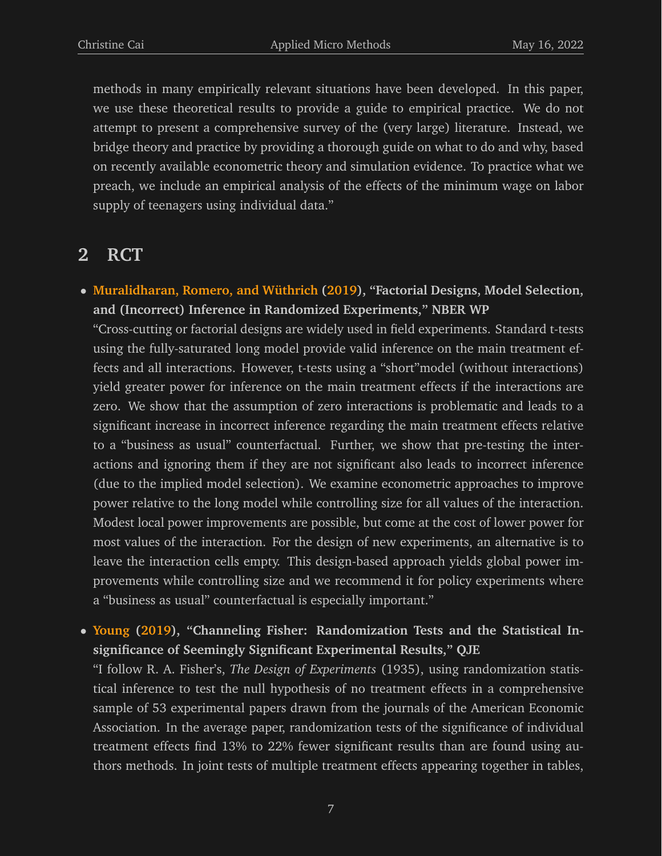methods in many empirically relevant situations have been developed. In this paper, we use these theoretical results to provide a guide to empirical practice. We do not attempt to present a comprehensive survey of the (very large) literature. Instead, we bridge theory and practice by providing a thorough guide on what to do and why, based on recently available econometric theory and simulation evidence. To practice what we preach, we include an empirical analysis of the effects of the minimum wage on labor supply of teenagers using individual data."

## <span id="page-6-0"></span>**2 RCT**

*•* **[Muralidharan, Romero, and Wüthrich](#page-58-2) [\(2019](#page-58-2)), "Factorial Designs, Model Selection, and (Incorrect) Inference in Randomized Experiments," NBER WP**

"Cross-cutting or factorial designs are widely used in field experiments. Standard t-tests using the fully-saturated long model provide valid inference on the main treatment effects and all interactions. However, t-tests using a "short"model (without interactions) yield greater power for inference on the main treatment effects if the interactions are zero. We show that the assumption of zero interactions is problematic and leads to a significant increase in incorrect inference regarding the main treatment effects relative to a "business as usual" counterfactual. Further, we show that pre-testing the interactions and ignoring them if they are not significant also leads to incorrect inference (due to the implied model selection). We examine econometric approaches to improve power relative to the long model while controlling size for all values of the interaction. Modest local power improvements are possible, but come at the cost of lower power for most values of the interaction. For the design of new experiments, an alternative is to leave the interaction cells empty. This design-based approach yields global power improvements while controlling size and we recommend it for policy experiments where a "business as usual" counterfactual is especially important."

*•* **[Young](#page-60-0) [\(2019](#page-60-0)), "Channeling Fisher: Randomization Tests and the Statistical Insignificance of Seemingly Significant Experimental Results," QJE**

"I follow R. A. Fisher's, *The Design of Experiments* (1935), using randomization statistical inference to test the null hypothesis of no treatment effects in a comprehensive sample of 53 experimental papers drawn from the journals of the American Economic Association. In the average paper, randomization tests of the significance of individual treatment effects find 13% to 22% fewer significant results than are found using authors methods. In joint tests of multiple treatment effects appearing together in tables,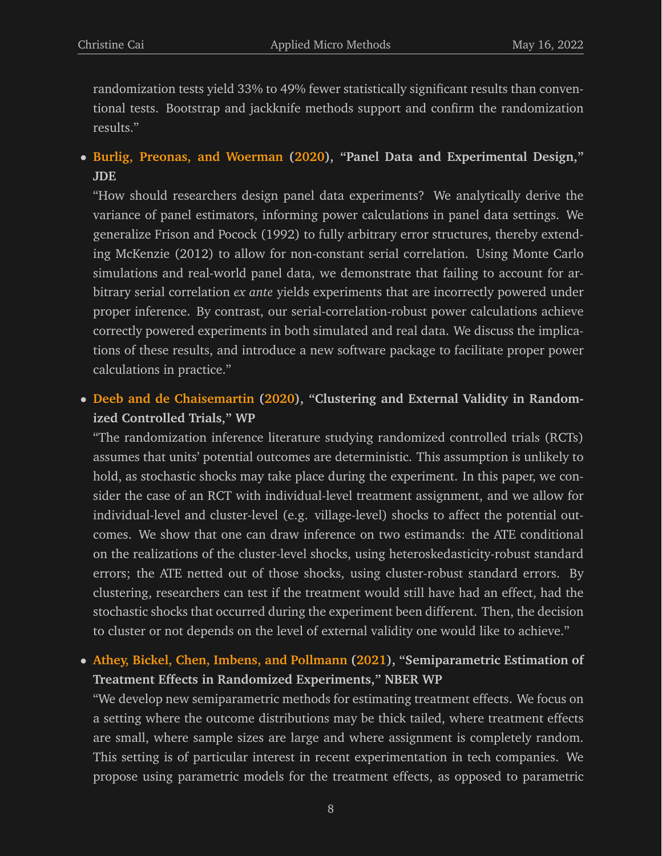randomization tests yield 33% to 49% fewer statistically significant results than conventional tests. Bootstrap and jackknife methods support and confirm the randomization results."

*•* **[Burlig, Preonas, and Woerman](#page-53-0) ([2020](#page-53-0)), "Panel Data and Experimental Design," JDE**

"How should researchers design panel data experiments? We analytically derive the variance of panel estimators, informing power calculations in panel data settings. We generalize Frison and Pocock (1992) to fully arbitrary error structures, thereby extending McKenzie (2012) to allow for non-constant serial correlation. Using Monte Carlo simulations and real-world panel data, we demonstrate that failing to account for arbitrary serial correlation *ex ante* yields experiments that are incorrectly powered under proper inference. By contrast, our serial-correlation-robust power calculations achieve correctly powered experiments in both simulated and real data. We discuss the implications of these results, and introduce a new software package to facilitate proper power calculations in practice."

*•* **[Deeb and de Chaisemartin](#page-55-1) ([2020\)](#page-55-1), "Clustering and External Validity in Randomized Controlled Trials," WP**

"The randomization inference literature studying randomized controlled trials (RCTs) assumes that units' potential outcomes are deterministic. This assumption is unlikely to hold, as stochastic shocks may take place during the experiment. In this paper, we consider the case of an RCT with individual-level treatment assignment, and we allow for individual-level and cluster-level (e.g. village-level) shocks to affect the potential outcomes. We show that one can draw inference on two estimands: the ATE conditional on the realizations of the cluster-level shocks, using heteroskedasticity-robust standard errors; the ATE netted out of those shocks, using cluster-robust standard errors. By clustering, researchers can test if the treatment would still have had an effect, had the stochastic shocks that occurred during the experiment been different. Then, the decision to cluster or not depends on the level of external validity one would like to achieve."

*•* **[Athey, Bickel, Chen, Imbens, and Pollmann](#page-52-1) ([2021\)](#page-52-1), "Semiparametric Estimation of Treatment Effects in Randomized Experiments," NBER WP**

"We develop new semiparametric methods for estimating treatment effects. We focus on a setting where the outcome distributions may be thick tailed, where treatment effects are small, where sample sizes are large and where assignment is completely random. This setting is of particular interest in recent experimentation in tech companies. We propose using parametric models for the treatment effects, as opposed to parametric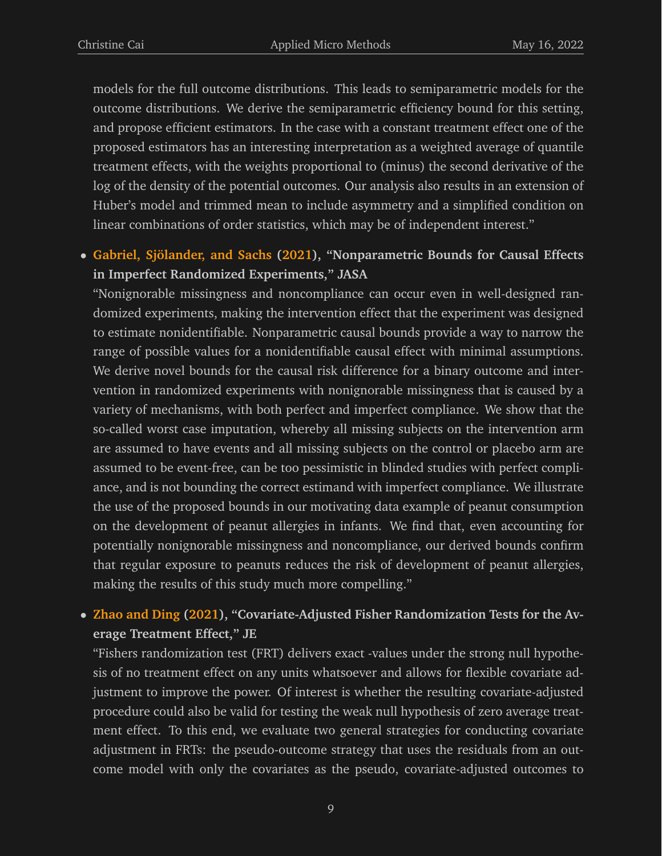models for the full outcome distributions. This leads to semiparametric models for the outcome distributions. We derive the semiparametric efficiency bound for this setting, and propose efficient estimators. In the case with a constant treatment effect one of the proposed estimators has an interesting interpretation as a weighted average of quantile treatment effects, with the weights proportional to (minus) the second derivative of the log of the density of the potential outcomes. Our analysis also results in an extension of Huber's model and trimmed mean to include asymmetry and a simplified condition on linear combinations of order statistics, which may be of independent interest."

*•* **[Gabriel, Sjölander, and Sachs](#page-56-2) [\(2021\)](#page-56-2), "Nonparametric Bounds for Causal Effects in Imperfect Randomized Experiments," JASA**

"Nonignorable missingness and noncompliance can occur even in well-designed randomized experiments, making the intervention effect that the experiment was designed to estimate nonidentifiable. Nonparametric causal bounds provide a way to narrow the range of possible values for a nonidentifiable causal effect with minimal assumptions. We derive novel bounds for the causal risk difference for a binary outcome and intervention in randomized experiments with nonignorable missingness that is caused by a variety of mechanisms, with both perfect and imperfect compliance. We show that the so-called worst case imputation, whereby all missing subjects on the intervention arm are assumed to have events and all missing subjects on the control or placebo arm are assumed to be event-free, can be too pessimistic in blinded studies with perfect compliance, and is not bounding the correct estimand with imperfect compliance. We illustrate the use of the proposed bounds in our motivating data example of peanut consumption on the development of peanut allergies in infants. We find that, even accounting for potentially nonignorable missingness and noncompliance, our derived bounds confirm that regular exposure to peanuts reduces the risk of development of peanut allergies, making the results of this study much more compelling."

#### *•* **[Zhao and Ding](#page-60-1) ([2021\)](#page-60-1), "Covariate-Adjusted Fisher Randomization Tests for the Average Treatment Effect," JE**

"Fishers randomization test (FRT) delivers exact -values under the strong null hypothesis of no treatment effect on any units whatsoever and allows for flexible covariate adjustment to improve the power. Of interest is whether the resulting covariate-adjusted procedure could also be valid for testing the weak null hypothesis of zero average treatment effect. To this end, we evaluate two general strategies for conducting covariate adjustment in FRTs: the pseudo-outcome strategy that uses the residuals from an outcome model with only the covariates as the pseudo, covariate-adjusted outcomes to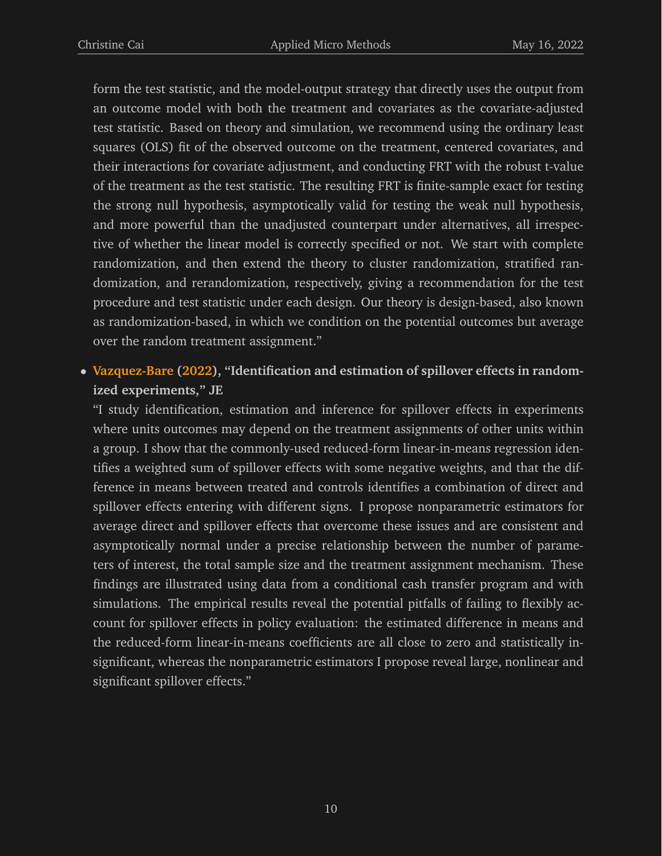form the test statistic, and the model-output strategy that directly uses the output from an outcome model with both the treatment and covariates as the covariate-adjusted test statistic. Based on theory and simulation, we recommend using the ordinary least squares (OLS) fit of the observed outcome on the treatment, centered covariates, and their interactions for covariate adjustment, and conducting FRT with the robust t-value of the treatment as the test statistic. The resulting FRT is finite-sample exact for testing the strong null hypothesis, asymptotically valid for testing the weak null hypothesis, and more powerful than the unadjusted counterpart under alternatives, all irrespective of whether the linear model is correctly specified or not. We start with complete randomization, and then extend the theory to cluster randomization, stratified randomization, and rerandomization, respectively, giving a recommendation for the test procedure and test statistic under each design. Our theory is design-based, also known as randomization-based, in which we condition on the potential outcomes but average over the random treatment assignment."

### *•* **[Vazquez-Bare](#page-59-1) ([2022](#page-59-1)), "Identification and estimation of spillover effects in randomized experiments," JE**

"I study identification, estimation and inference for spillover effects in experiments where units outcomes may depend on the treatment assignments of other units within a group. I show that the commonly-used reduced-form linear-in-means regression identifies a weighted sum of spillover effects with some negative weights, and that the difference in means between treated and controls identifies a combination of direct and spillover effects entering with different signs. I propose nonparametric estimators for average direct and spillover effects that overcome these issues and are consistent and asymptotically normal under a precise relationship between the number of parameters of interest, the total sample size and the treatment assignment mechanism. These findings are illustrated using data from a conditional cash transfer program and with simulations. The empirical results reveal the potential pitfalls of failing to flexibly account for spillover effects in policy evaluation: the estimated difference in means and the reduced-form linear-in-means coefficients are all close to zero and statistically insignificant, whereas the nonparametric estimators I propose reveal large, nonlinear and significant spillover effects."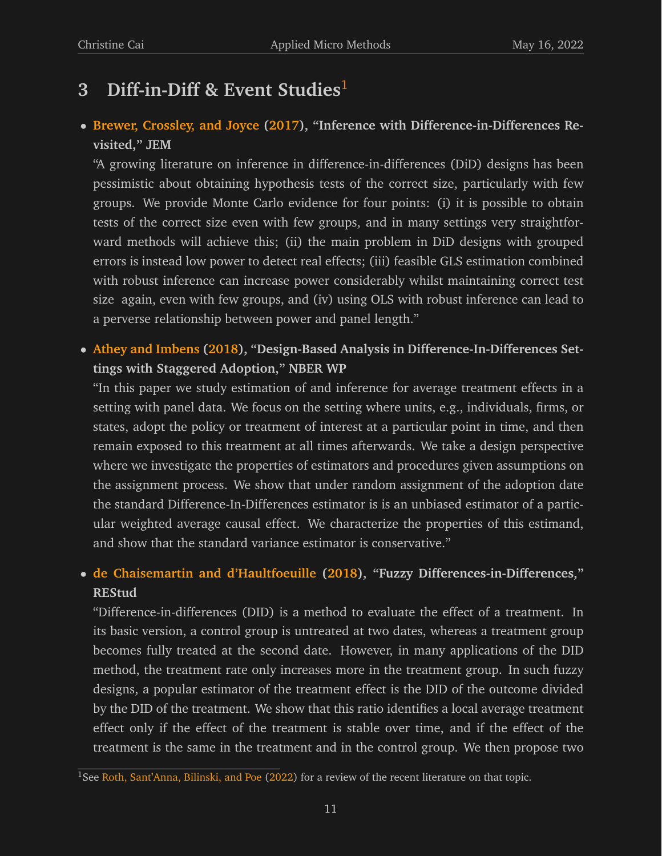## <span id="page-10-0"></span>**3 Diff-in-Diff & Event Studies**[1](#page-10-1)

### *•* **[Brewer, Crossley, and Joyce](#page-53-1) ([2017\)](#page-53-1), "Inference with Difference-in-Differences Revisited," JEM**

"A growing literature on inference in difference-in-differences (DiD) designs has been pessimistic about obtaining hypothesis tests of the correct size, particularly with few groups. We provide Monte Carlo evidence for four points: (i) it is possible to obtain tests of the correct size even with few groups, and in many settings very straightforward methods will achieve this; (ii) the main problem in DiD designs with grouped errors is instead low power to detect real effects; (iii) feasible GLS estimation combined with robust inference can increase power considerably whilst maintaining correct test size again, even with few groups, and (iv) using OLS with robust inference can lead to a perverse relationship between power and panel length."

### *•* **[Athey and Imbens](#page-52-2) ([2018\)](#page-52-2), "Design-Based Analysis in Difference-In-Differences Settings with Staggered Adoption," NBER WP**

"In this paper we study estimation of and inference for average treatment effects in a setting with panel data. We focus on the setting where units, e.g., individuals, firms, or states, adopt the policy or treatment of interest at a particular point in time, and then remain exposed to this treatment at all times afterwards. We take a design perspective where we investigate the properties of estimators and procedures given assumptions on the assignment process. We show that under random assignment of the adoption date the standard Difference-In-Differences estimator is is an unbiased estimator of a particular weighted average causal effect. We characterize the properties of this estimand, and show that the standard variance estimator is conservative."

#### *•* **[de Chaisemartin and d'Haultfoeuille](#page-55-2) ([2018\)](#page-55-2), "Fuzzy Differences-in-Differences," REStud**

"Difference-in-differences (DID) is a method to evaluate the effect of a treatment. In its basic version, a control group is untreated at two dates, whereas a treatment group becomes fully treated at the second date. However, in many applications of the DID method, the treatment rate only increases more in the treatment group. In such fuzzy designs, a popular estimator of the treatment effect is the DID of the outcome divided by the DID of the treatment. We show that this ratio identifies a local average treatment effect only if the effect of the treatment is stable over time, and if the effect of the treatment is the same in the treatment and in the control group. We then propose two

<span id="page-10-1"></span><sup>&</sup>lt;sup>1</sup>See [Roth, Sant'Anna, Bilinski, and Poe](#page-59-2) [\(2022](#page-59-2)) for a review of the recent literature on that topic.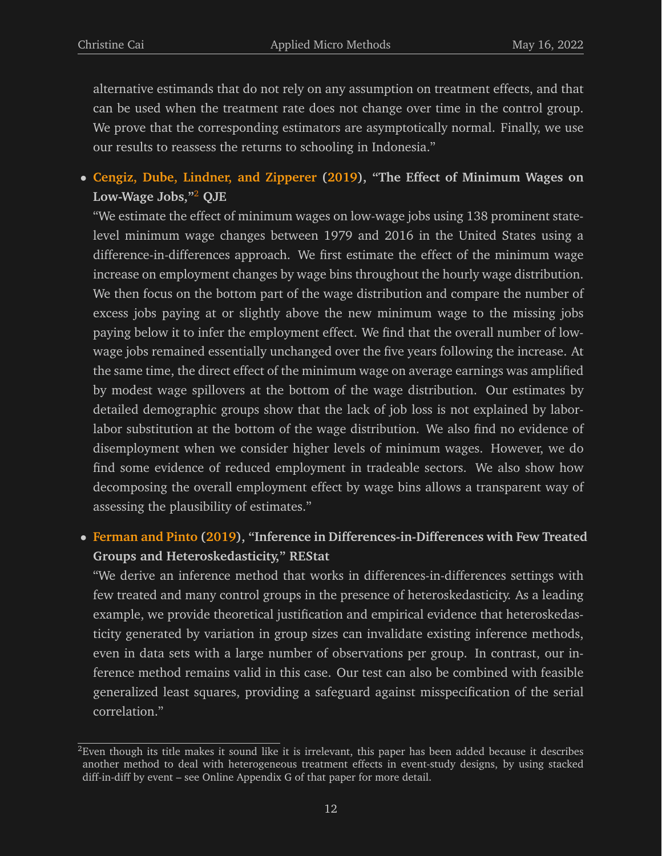alternative estimands that do not rely on any assumption on treatment effects, and that can be used when the treatment rate does not change over time in the control group. We prove that the corresponding estimators are asymptotically normal. Finally, we use our results to reassess the returns to schooling in Indonesia."

*•* **[Cengiz, Dube, Lindner, and Zipperer](#page-54-2) ([2019\)](#page-54-2), "The Effect of Minimum Wages on Low-Wage Jobs,"**[2](#page-11-0) **QJE**

"We estimate the effect of minimum wages on low-wage jobs using 138 prominent statelevel minimum wage changes between 1979 and 2016 in the United States using a difference-in-differences approach. We first estimate the effect of the minimum wage increase on employment changes by wage bins throughout the hourly wage distribution. We then focus on the bottom part of the wage distribution and compare the number of excess jobs paying at or slightly above the new minimum wage to the missing jobs paying below it to infer the employment effect. We find that the overall number of lowwage jobs remained essentially unchanged over the five years following the increase. At the same time, the direct effect of the minimum wage on average earnings was amplified by modest wage spillovers at the bottom of the wage distribution. Our estimates by detailed demographic groups show that the lack of job loss is not explained by laborlabor substitution at the bottom of the wage distribution. We also find no evidence of disemployment when we consider higher levels of minimum wages. However, we do find some evidence of reduced employment in tradeable sectors. We also show how decomposing the overall employment effect by wage bins allows a transparent way of assessing the plausibility of estimates."

*•* **[Ferman and Pinto](#page-56-3) ([2019](#page-56-3)), "Inference in Differences-in-Differences with Few Treated Groups and Heteroskedasticity," REStat**

"We derive an inference method that works in differences-in-differences settings with few treated and many control groups in the presence of heteroskedasticity. As a leading example, we provide theoretical justification and empirical evidence that heteroskedasticity generated by variation in group sizes can invalidate existing inference methods, even in data sets with a large number of observations per group. In contrast, our inference method remains valid in this case. Our test can also be combined with feasible generalized least squares, providing a safeguard against misspecification of the serial correlation."

<span id="page-11-0"></span> ${}^{2}$ Even though its title makes it sound like it is irrelevant, this paper has been added because it describes another method to deal with heterogeneous treatment effects in event-study designs, by using stacked diff-in-diff by event – see Online Appendix G of that paper for more detail.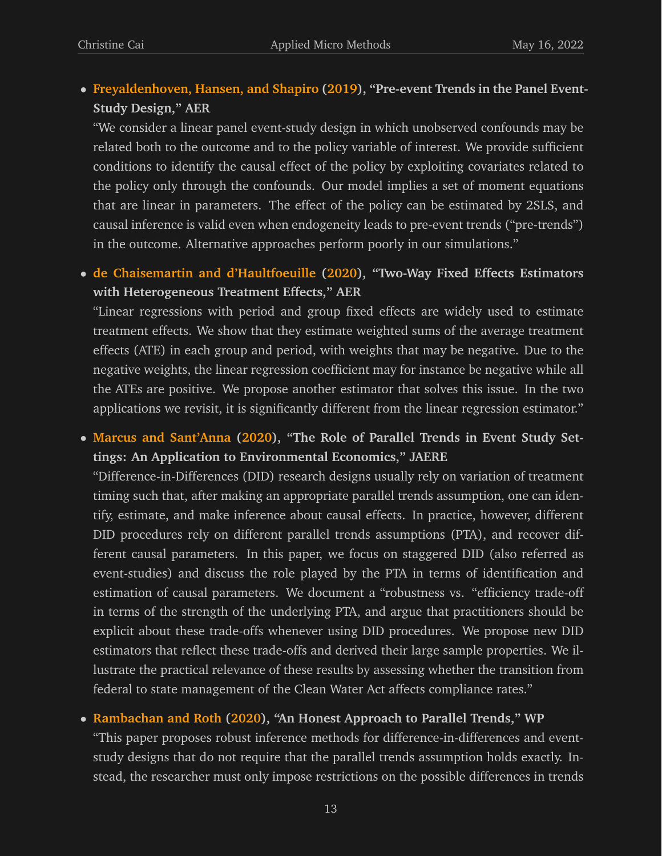*•* **[Freyaldenhoven, Hansen, and Shapiro](#page-56-4) ([2019\)](#page-56-4), "Pre-event Trends in the Panel Event-Study Design," AER**

"We consider a linear panel event-study design in which unobserved confounds may be related both to the outcome and to the policy variable of interest. We provide sufficient conditions to identify the causal effect of the policy by exploiting covariates related to the policy only through the confounds. Our model implies a set of moment equations that are linear in parameters. The effect of the policy can be estimated by 2SLS, and causal inference is valid even when endogeneity leads to pre-event trends ("pre-trends") in the outcome. Alternative approaches perform poorly in our simulations."

*•* **[de Chaisemartin and d'Haultfoeuille](#page-55-3) [\(2020](#page-55-3)), "Two-Way Fixed Effects Estimators with Heterogeneous Treatment Effects," AER**

"Linear regressions with period and group fixed effects are widely used to estimate treatment effects. We show that they estimate weighted sums of the average treatment effects (ATE) in each group and period, with weights that may be negative. Due to the negative weights, the linear regression coefficient may for instance be negative while all the ATEs are positive. We propose another estimator that solves this issue. In the two applications we revisit, it is significantly different from the linear regression estimator."

*•* **[Marcus and Sant'Anna](#page-58-3) ([2020\)](#page-58-3), "The Role of Parallel Trends in Event Study Settings: An Application to Environmental Economics," JAERE**

"Difference-in-Differences (DID) research designs usually rely on variation of treatment timing such that, after making an appropriate parallel trends assumption, one can identify, estimate, and make inference about causal effects. In practice, however, different DID procedures rely on different parallel trends assumptions (PTA), and recover different causal parameters. In this paper, we focus on staggered DID (also referred as event-studies) and discuss the role played by the PTA in terms of identification and estimation of causal parameters. We document a "robustness vs. "efficiency trade-off in terms of the strength of the underlying PTA, and argue that practitioners should be explicit about these trade-offs whenever using DID procedures. We propose new DID estimators that reflect these trade-offs and derived their large sample properties. We illustrate the practical relevance of these results by assessing whether the transition from federal to state management of the Clean Water Act affects compliance rates."

#### *•* **[Rambachan and Roth](#page-58-4) ([2020](#page-58-4)), "An Honest Approach to Parallel Trends," WP**

"This paper proposes robust inference methods for difference-in-differences and eventstudy designs that do not require that the parallel trends assumption holds exactly. Instead, the researcher must only impose restrictions on the possible differences in trends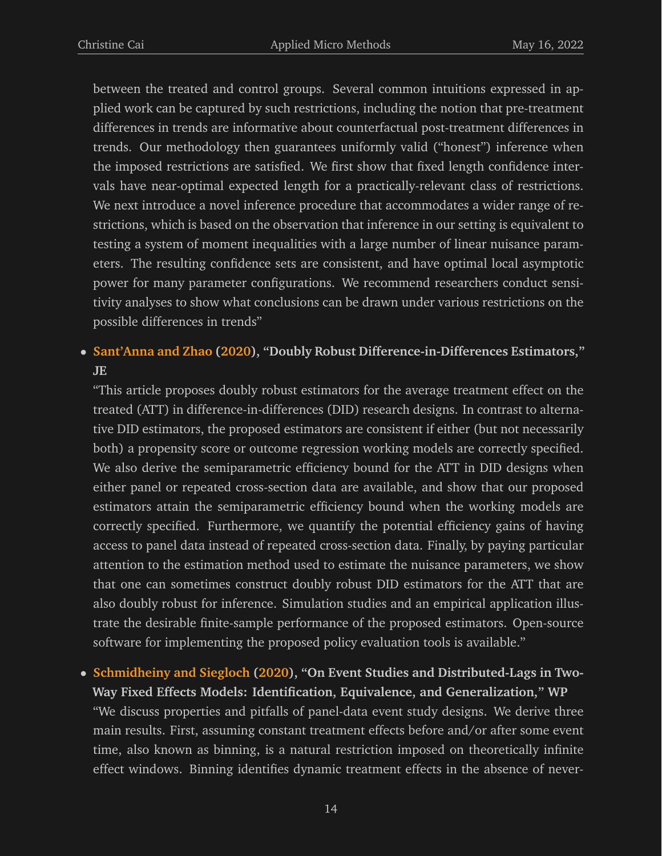between the treated and control groups. Several common intuitions expressed in applied work can be captured by such restrictions, including the notion that pre-treatment differences in trends are informative about counterfactual post-treatment differences in trends. Our methodology then guarantees uniformly valid ("honest") inference when the imposed restrictions are satisfied. We first show that fixed length confidence intervals have near-optimal expected length for a practically-relevant class of restrictions. We next introduce a novel inference procedure that accommodates a wider range of restrictions, which is based on the observation that inference in our setting is equivalent to testing a system of moment inequalities with a large number of linear nuisance parameters. The resulting confidence sets are consistent, and have optimal local asymptotic power for many parameter configurations. We recommend researchers conduct sensitivity analyses to show what conclusions can be drawn under various restrictions on the possible differences in trends"

## *•* **[Sant'Anna and Zhao](#page-59-3) [\(2020](#page-59-3)), "Doubly Robust Difference-in-Differences Estimators," JE**

"This article proposes doubly robust estimators for the average treatment effect on the treated (ATT) in difference-in-differences (DID) research designs. In contrast to alternative DID estimators, the proposed estimators are consistent if either (but not necessarily both) a propensity score or outcome regression working models are correctly specified. We also derive the semiparametric efficiency bound for the ATT in DID designs when either panel or repeated cross-section data are available, and show that our proposed estimators attain the semiparametric efficiency bound when the working models are correctly specified. Furthermore, we quantify the potential efficiency gains of having access to panel data instead of repeated cross-section data. Finally, by paying particular attention to the estimation method used to estimate the nuisance parameters, we show that one can sometimes construct doubly robust DID estimators for the ATT that are also doubly robust for inference. Simulation studies and an empirical application illustrate the desirable finite-sample performance of the proposed estimators. Open-source software for implementing the proposed policy evaluation tools is available."

*•* **[Schmidheiny and Siegloch](#page-59-4) [\(2020](#page-59-4)), "On Event Studies and Distributed-Lags in Two-Way Fixed Effects Models: Identification, Equivalence, and Generalization," WP** "We discuss properties and pitfalls of panel-data event study designs. We derive three main results. First, assuming constant treatment effects before and/or after some event time, also known as binning, is a natural restriction imposed on theoretically infinite effect windows. Binning identifies dynamic treatment effects in the absence of never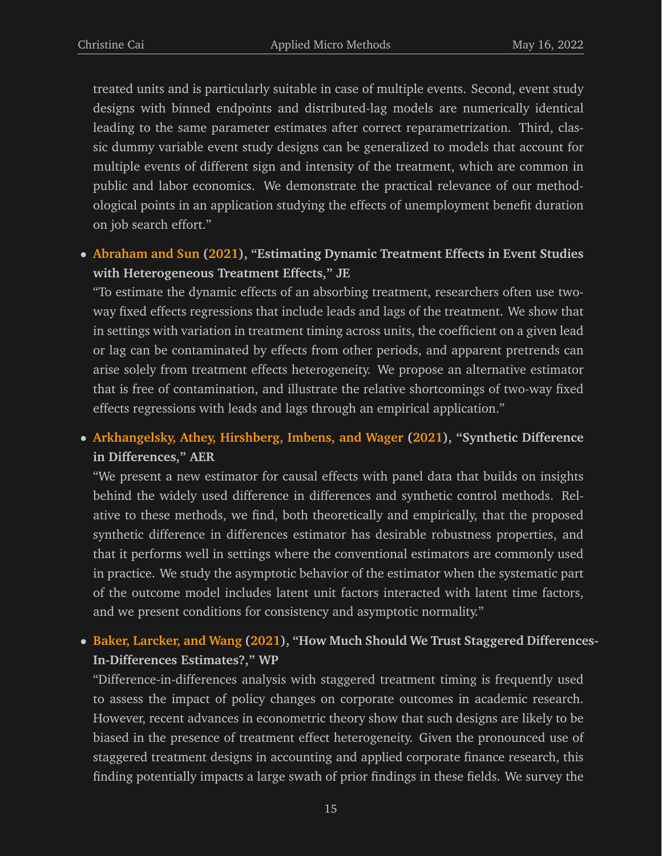treated units and is particularly suitable in case of multiple events. Second, event study designs with binned endpoints and distributed-lag models are numerically identical leading to the same parameter estimates after correct reparametrization. Third, classic dummy variable event study designs can be generalized to models that account for multiple events of different sign and intensity of the treatment, which are common in public and labor economics. We demonstrate the practical relevance of our methodological points in an application studying the effects of unemployment benefit duration on job search effort."

#### *•* **[Abraham and Sun](#page-51-1) ([2021\)](#page-51-1), "Estimating Dynamic Treatment Effects in Event Studies with Heterogeneous Treatment Effects," JE**

"To estimate the dynamic effects of an absorbing treatment, researchers often use twoway fixed effects regressions that include leads and lags of the treatment. We show that in settings with variation in treatment timing across units, the coefficient on a given lead or lag can be contaminated by effects from other periods, and apparent pretrends can arise solely from treatment effects heterogeneity. We propose an alternative estimator that is free of contamination, and illustrate the relative shortcomings of two-way fixed effects regressions with leads and lags through an empirical application."

#### *•* **[Arkhangelsky, Athey, Hirshberg, Imbens, and Wager](#page-52-3) ([2021\)](#page-52-3), "Synthetic Difference in Differences," AER**

"We present a new estimator for causal effects with panel data that builds on insights behind the widely used difference in differences and synthetic control methods. Relative to these methods, we find, both theoretically and empirically, that the proposed synthetic difference in differences estimator has desirable robustness properties, and that it performs well in settings where the conventional estimators are commonly used in practice. We study the asymptotic behavior of the estimator when the systematic part of the outcome model includes latent unit factors interacted with latent time factors, and we present conditions for consistency and asymptotic normality."

#### *•* **[Baker, Larcker, and Wang](#page-52-4) ([2021](#page-52-4)), "How Much Should We Trust Staggered Differences-In-Differences Estimates?," WP**

"Difference-in-differences analysis with staggered treatment timing is frequently used to assess the impact of policy changes on corporate outcomes in academic research. However, recent advances in econometric theory show that such designs are likely to be biased in the presence of treatment effect heterogeneity. Given the pronounced use of staggered treatment designs in accounting and applied corporate finance research, this finding potentially impacts a large swath of prior findings in these fields. We survey the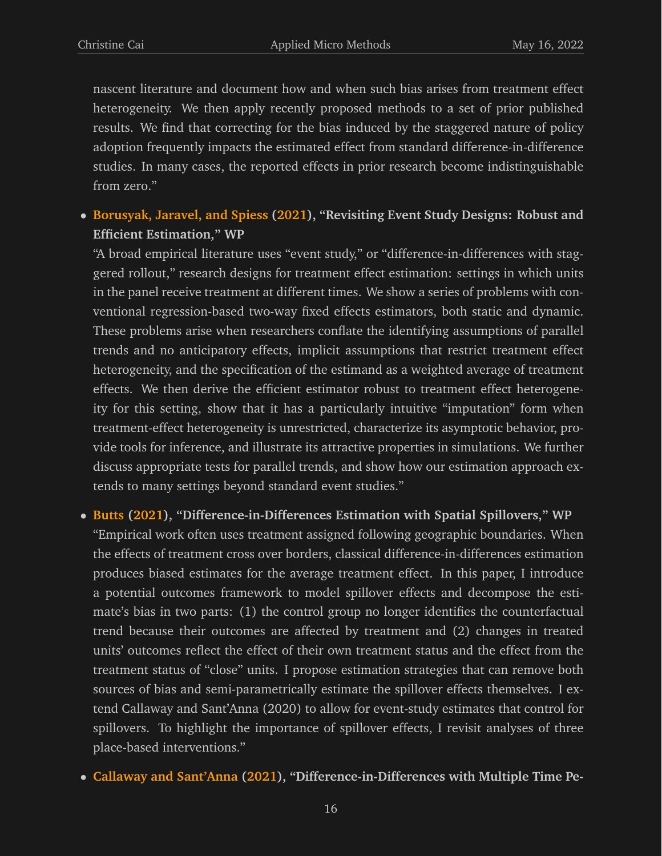nascent literature and document how and when such bias arises from treatment effect heterogeneity. We then apply recently proposed methods to a set of prior published results. We find that correcting for the bias induced by the staggered nature of policy adoption frequently impacts the estimated effect from standard difference-in-difference studies. In many cases, the reported effects in prior research become indistinguishable from zero."

*•* **[Borusyak, Jaravel, and Spiess](#page-53-2) [\(2021](#page-53-2)), "Revisiting Event Study Designs: Robust and Efficient Estimation," WP**

"A broad empirical literature uses "event study," or "difference-in-differences with staggered rollout," research designs for treatment effect estimation: settings in which units in the panel receive treatment at different times. We show a series of problems with conventional regression-based two-way fixed effects estimators, both static and dynamic. These problems arise when researchers conflate the identifying assumptions of parallel trends and no anticipatory effects, implicit assumptions that restrict treatment effect heterogeneity, and the specification of the estimand as a weighted average of treatment effects. We then derive the efficient estimator robust to treatment effect heterogeneity for this setting, show that it has a particularly intuitive "imputation" form when treatment-effect heterogeneity is unrestricted, characterize its asymptotic behavior, provide tools for inference, and illustrate its attractive properties in simulations. We further discuss appropriate tests for parallel trends, and show how our estimation approach extends to many settings beyond standard event studies."

*•* **[Butts](#page-53-3) [\(2021](#page-53-3)), "Difference-in-Differences Estimation with Spatial Spillovers," WP** "Empirical work often uses treatment assigned following geographic boundaries. When the effects of treatment cross over borders, classical difference-in-differences estimation produces biased estimates for the average treatment effect. In this paper, I introduce a potential outcomes framework to model spillover effects and decompose the estimate's bias in two parts: (1) the control group no longer identifies the counterfactual trend because their outcomes are affected by treatment and (2) changes in treated units' outcomes reflect the effect of their own treatment status and the effect from the treatment status of "close" units. I propose estimation strategies that can remove both sources of bias and semi-parametrically estimate the spillover effects themselves. I extend Callaway and Sant'Anna (2020) to allow for event-study estimates that control for spillovers. To highlight the importance of spillover effects, I revisit analyses of three place-based interventions."

*•* **[Callaway and Sant'Anna](#page-54-3) [\(2021](#page-54-3)), "Difference-in-Differences with Multiple Time Pe-**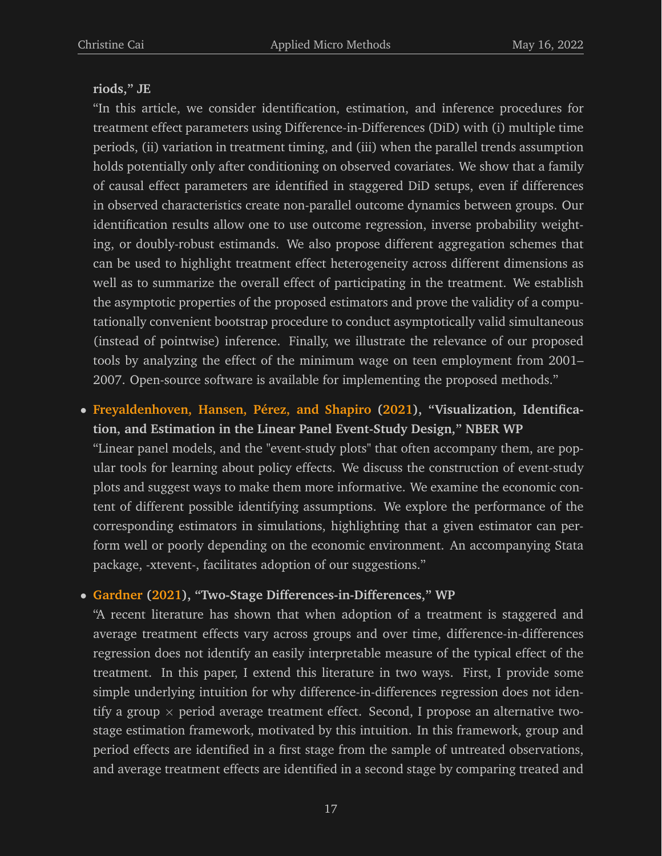#### **riods," JE**

"In this article, we consider identification, estimation, and inference procedures for treatment effect parameters using Difference-in-Differences (DiD) with (i) multiple time periods, (ii) variation in treatment timing, and (iii) when the parallel trends assumption holds potentially only after conditioning on observed covariates. We show that a family of causal effect parameters are identified in staggered DiD setups, even if differences in observed characteristics create non-parallel outcome dynamics between groups. Our identification results allow one to use outcome regression, inverse probability weighting, or doubly-robust estimands. We also propose different aggregation schemes that can be used to highlight treatment effect heterogeneity across different dimensions as well as to summarize the overall effect of participating in the treatment. We establish the asymptotic properties of the proposed estimators and prove the validity of a computationally convenient bootstrap procedure to conduct asymptotically valid simultaneous (instead of pointwise) inference. Finally, we illustrate the relevance of our proposed tools by analyzing the effect of the minimum wage on teen employment from 2001– 2007. Open-source software is available for implementing the proposed methods."

*•* **[Freyaldenhoven, Hansen, Pérez, and Shapiro](#page-56-5) [\(2021\)](#page-56-5), "Visualization, Identification, and Estimation in the Linear Panel Event-Study Design," NBER WP**

"Linear panel models, and the "event-study plots" that often accompany them, are popular tools for learning about policy effects. We discuss the construction of event-study plots and suggest ways to make them more informative. We examine the economic content of different possible identifying assumptions. We explore the performance of the corresponding estimators in simulations, highlighting that a given estimator can perform well or poorly depending on the economic environment. An accompanying Stata package, -xtevent-, facilitates adoption of our suggestions."

#### *•* **[Gardner](#page-56-6) [\(2021](#page-56-6)), "Two-Stage Differences-in-Differences," WP**

"A recent literature has shown that when adoption of a treatment is staggered and average treatment effects vary across groups and over time, difference-in-differences regression does not identify an easily interpretable measure of the typical effect of the treatment. In this paper, I extend this literature in two ways. First, I provide some simple underlying intuition for why difference-in-differences regression does not identify a group *×* period average treatment effect. Second, I propose an alternative twostage estimation framework, motivated by this intuition. In this framework, group and period effects are identified in a first stage from the sample of untreated observations, and average treatment effects are identified in a second stage by comparing treated and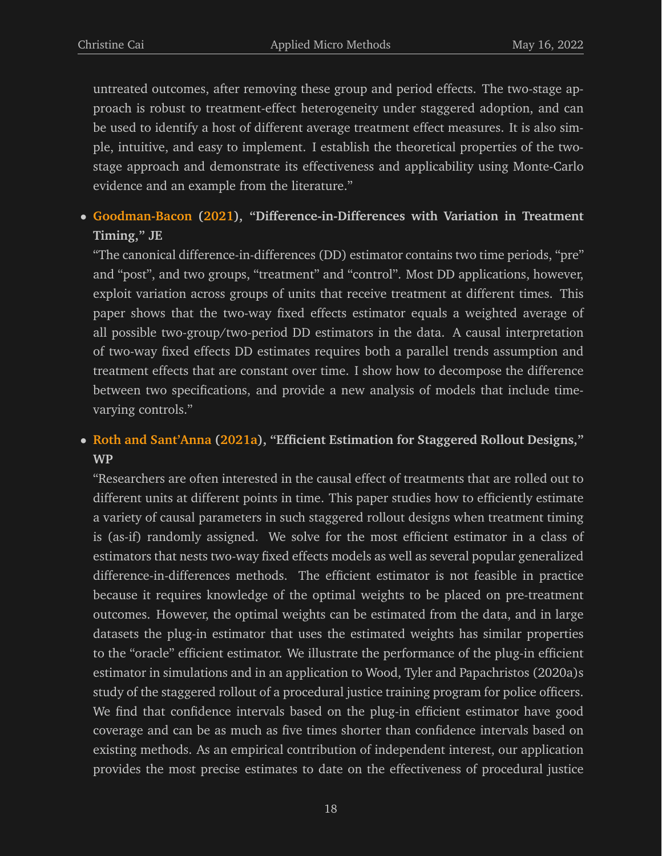untreated outcomes, after removing these group and period effects. The two-stage approach is robust to treatment-effect heterogeneity under staggered adoption, and can be used to identify a host of different average treatment effect measures. It is also simple, intuitive, and easy to implement. I establish the theoretical properties of the twostage approach and demonstrate its effectiveness and applicability using Monte-Carlo evidence and an example from the literature."

### *•* **[Goodman-Bacon](#page-57-2) [\(2021](#page-57-2)), "Difference-in-Differences with Variation in Treatment Timing," JE**

"The canonical difference-in-differences (DD) estimator contains two time periods, "pre" and "post", and two groups, "treatment" and "control". Most DD applications, however, exploit variation across groups of units that receive treatment at different times. This paper shows that the two-way fixed effects estimator equals a weighted average of all possible two-group/two-period DD estimators in the data. A causal interpretation of two-way fixed effects DD estimates requires both a parallel trends assumption and treatment effects that are constant over time. I show how to decompose the difference between two specifications, and provide a new analysis of models that include timevarying controls."

### *•* **[Roth and Sant'Anna](#page-59-5) ([2021a](#page-59-5)), "Efficient Estimation for Staggered Rollout Designs," WP**

"Researchers are often interested in the causal effect of treatments that are rolled out to different units at different points in time. This paper studies how to efficiently estimate a variety of causal parameters in such staggered rollout designs when treatment timing is (as-if) randomly assigned. We solve for the most efficient estimator in a class of estimators that nests two-way fixed effects models as well as several popular generalized difference-in-differences methods. The efficient estimator is not feasible in practice because it requires knowledge of the optimal weights to be placed on pre-treatment outcomes. However, the optimal weights can be estimated from the data, and in large datasets the plug-in estimator that uses the estimated weights has similar properties to the "oracle" efficient estimator. We illustrate the performance of the plug-in efficient estimator in simulations and in an application to Wood, Tyler and Papachristos (2020a)s study of the staggered rollout of a procedural justice training program for police officers. We find that confidence intervals based on the plug-in efficient estimator have good coverage and can be as much as five times shorter than confidence intervals based on existing methods. As an empirical contribution of independent interest, our application provides the most precise estimates to date on the effectiveness of procedural justice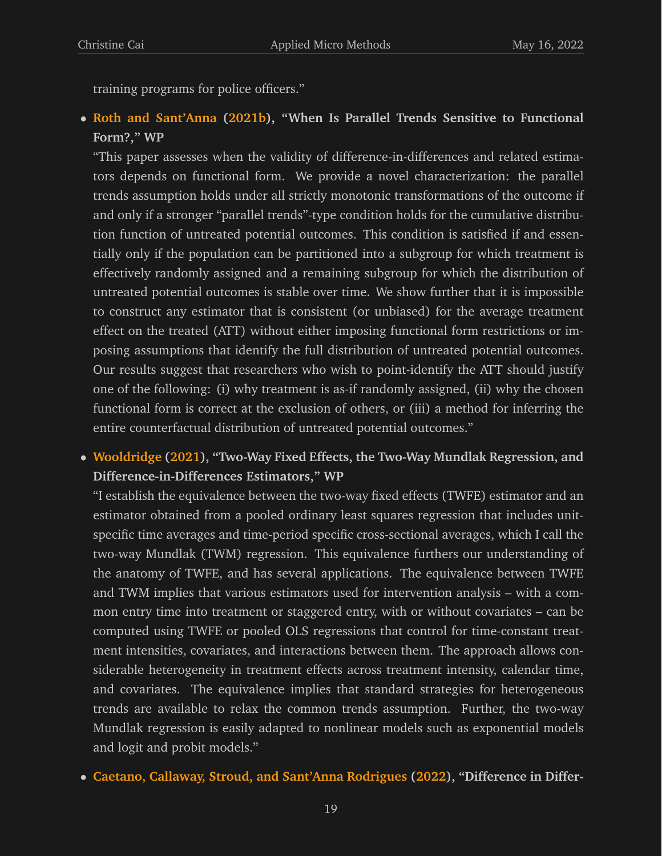training programs for police officers."

### *•* **[Roth and Sant'Anna](#page-59-6) [\(2021b](#page-59-6)), "When Is Parallel Trends Sensitive to Functional Form?," WP**

"This paper assesses when the validity of difference-in-differences and related estimators depends on functional form. We provide a novel characterization: the parallel trends assumption holds under all strictly monotonic transformations of the outcome if and only if a stronger "parallel trends"-type condition holds for the cumulative distribution function of untreated potential outcomes. This condition is satisfied if and essentially only if the population can be partitioned into a subgroup for which treatment is effectively randomly assigned and a remaining subgroup for which the distribution of untreated potential outcomes is stable over time. We show further that it is impossible to construct any estimator that is consistent (or unbiased) for the average treatment effect on the treated (ATT) without either imposing functional form restrictions or imposing assumptions that identify the full distribution of untreated potential outcomes. Our results suggest that researchers who wish to point-identify the ATT should justify one of the following: (i) why treatment is as-if randomly assigned, (ii) why the chosen functional form is correct at the exclusion of others, or (iii) a method for inferring the entire counterfactual distribution of untreated potential outcomes."

#### *•* **[Wooldridge](#page-60-2) [\(2021](#page-60-2)), "Two-Way Fixed Effects, the Two-Way Mundlak Regression, and Difference-in-Differences Estimators," WP**

"I establish the equivalence between the two-way fixed effects (TWFE) estimator and an estimator obtained from a pooled ordinary least squares regression that includes unitspecific time averages and time-period specific cross-sectional averages, which I call the two-way Mundlak (TWM) regression. This equivalence furthers our understanding of the anatomy of TWFE, and has several applications. The equivalence between TWFE and TWM implies that various estimators used for intervention analysis – with a common entry time into treatment or staggered entry, with or without covariates – can be computed using TWFE or pooled OLS regressions that control for time-constant treatment intensities, covariates, and interactions between them. The approach allows considerable heterogeneity in treatment effects across treatment intensity, calendar time, and covariates. The equivalence implies that standard strategies for heterogeneous trends are available to relax the common trends assumption. Further, the two-way Mundlak regression is easily adapted to nonlinear models such as exponential models and logit and probit models."

*•* **[Caetano, Callaway, Stroud, and Sant'Anna Rodrigues](#page-54-4) ([2022\)](#page-54-4), "Difference in Differ-**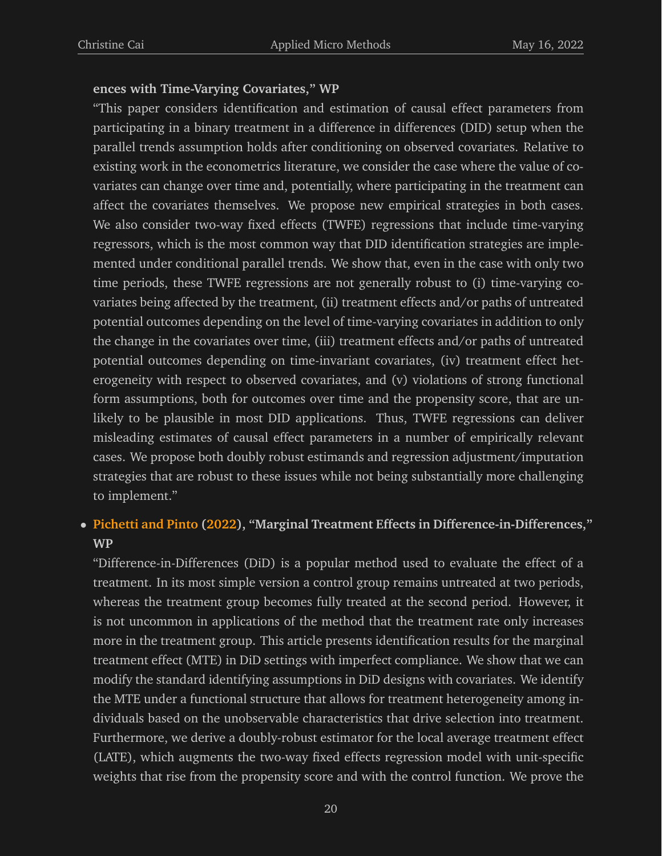#### **ences with Time-Varying Covariates," WP**

"This paper considers identification and estimation of causal effect parameters from participating in a binary treatment in a difference in differences (DID) setup when the parallel trends assumption holds after conditioning on observed covariates. Relative to existing work in the econometrics literature, we consider the case where the value of covariates can change over time and, potentially, where participating in the treatment can affect the covariates themselves. We propose new empirical strategies in both cases. We also consider two-way fixed effects (TWFE) regressions that include time-varying regressors, which is the most common way that DID identification strategies are implemented under conditional parallel trends. We show that, even in the case with only two time periods, these TWFE regressions are not generally robust to (i) time-varying covariates being affected by the treatment, (ii) treatment effects and/or paths of untreated potential outcomes depending on the level of time-varying covariates in addition to only the change in the covariates over time, (iii) treatment effects and/or paths of untreated potential outcomes depending on time-invariant covariates, (iv) treatment effect heterogeneity with respect to observed covariates, and (v) violations of strong functional form assumptions, both for outcomes over time and the propensity score, that are unlikely to be plausible in most DID applications. Thus, TWFE regressions can deliver misleading estimates of causal effect parameters in a number of empirically relevant cases. We propose both doubly robust estimands and regression adjustment/imputation strategies that are robust to these issues while not being substantially more challenging to implement."

#### *•* **[Pichetti and Pinto](#page-58-5) [\(2022\)](#page-58-5), "Marginal Treatment Effects in Difference-in-Differences," WP**

"Difference-in-Differences (DiD) is a popular method used to evaluate the effect of a treatment. In its most simple version a control group remains untreated at two periods, whereas the treatment group becomes fully treated at the second period. However, it is not uncommon in applications of the method that the treatment rate only increases more in the treatment group. This article presents identification results for the marginal treatment effect (MTE) in DiD settings with imperfect compliance. We show that we can modify the standard identifying assumptions in DiD designs with covariates. We identify the MTE under a functional structure that allows for treatment heterogeneity among individuals based on the unobservable characteristics that drive selection into treatment. Furthermore, we derive a doubly-robust estimator for the local average treatment effect (LATE), which augments the two-way fixed effects regression model with unit-specific weights that rise from the propensity score and with the control function. We prove the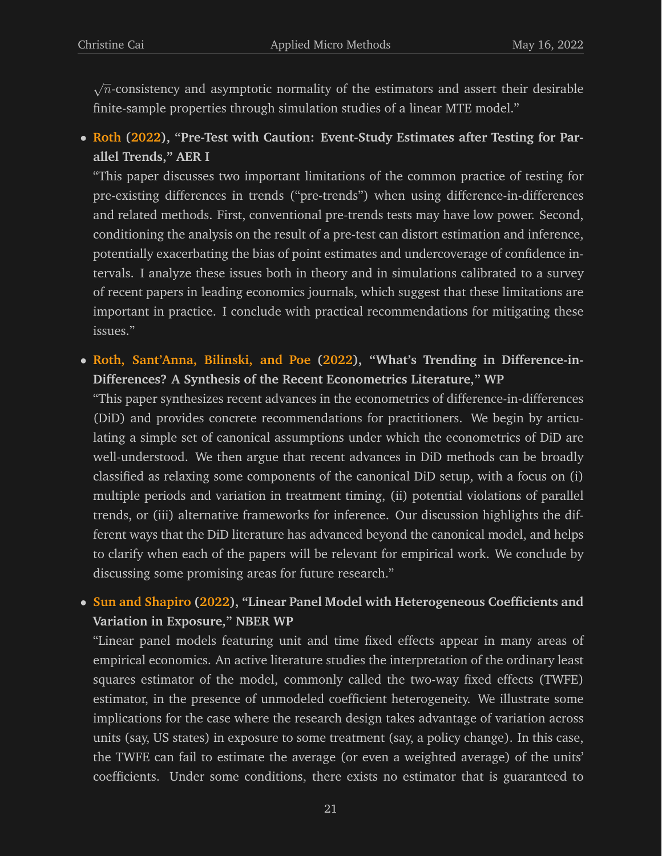*√ n*-consistency and asymptotic normality of the estimators and assert their desirable finite-sample properties through simulation studies of a linear MTE model."

*•* **[Roth](#page-59-7) [\(2022\)](#page-59-7), "Pre-Test with Caution: Event-Study Estimates after Testing for Parallel Trends," AER I**

"This paper discusses two important limitations of the common practice of testing for pre-existing differences in trends ("pre-trends") when using difference-in-differences and related methods. First, conventional pre-trends tests may have low power. Second, conditioning the analysis on the result of a pre-test can distort estimation and inference, potentially exacerbating the bias of point estimates and undercoverage of confidence intervals. I analyze these issues both in theory and in simulations calibrated to a survey of recent papers in leading economics journals, which suggest that these limitations are important in practice. I conclude with practical recommendations for mitigating these issues."

*•* **[Roth, Sant'Anna, Bilinski, and Poe](#page-59-2) ([2022](#page-59-2)), "What's Trending in Difference-in-Differences? A Synthesis of the Recent Econometrics Literature," WP**

"This paper synthesizes recent advances in the econometrics of difference-in-differences (DiD) and provides concrete recommendations for practitioners. We begin by articulating a simple set of canonical assumptions under which the econometrics of DiD are well-understood. We then argue that recent advances in DiD methods can be broadly classified as relaxing some components of the canonical DiD setup, with a focus on (i) multiple periods and variation in treatment timing, (ii) potential violations of parallel trends, or (iii) alternative frameworks for inference. Our discussion highlights the different ways that the DiD literature has advanced beyond the canonical model, and helps to clarify when each of the papers will be relevant for empirical work. We conclude by discussing some promising areas for future research."

*•* **[Sun and Shapiro](#page-59-8) ([2022\)](#page-59-8), "Linear Panel Model with Heterogeneous Coefficients and Variation in Exposure," NBER WP**

"Linear panel models featuring unit and time fixed effects appear in many areas of empirical economics. An active literature studies the interpretation of the ordinary least squares estimator of the model, commonly called the two-way fixed effects (TWFE) estimator, in the presence of unmodeled coefficient heterogeneity. We illustrate some implications for the case where the research design takes advantage of variation across units (say, US states) in exposure to some treatment (say, a policy change). In this case, the TWFE can fail to estimate the average (or even a weighted average) of the units' coefficients. Under some conditions, there exists no estimator that is guaranteed to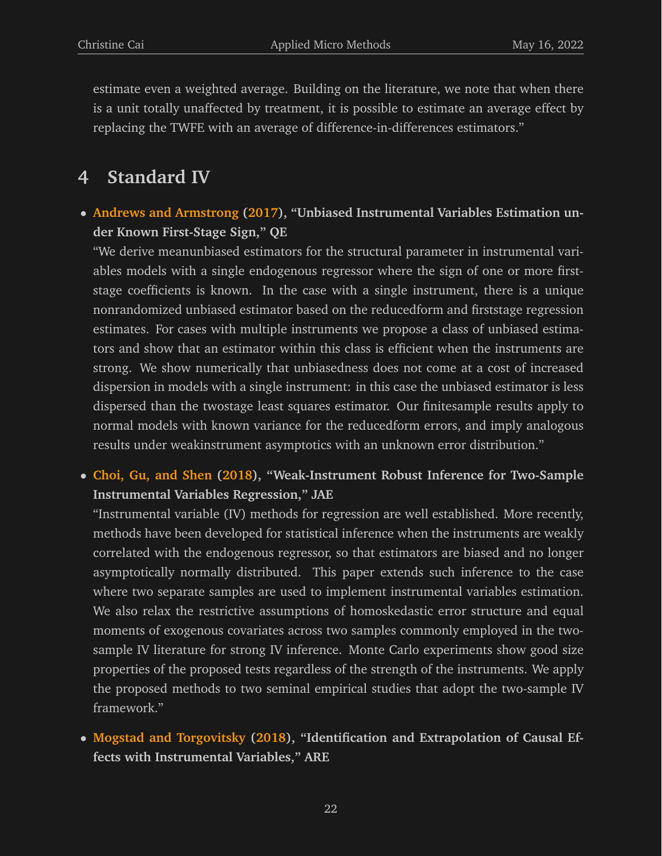estimate even a weighted average. Building on the literature, we note that when there is a unit totally unaffected by treatment, it is possible to estimate an average effect by replacing the TWFE with an average of difference-in-differences estimators."

## <span id="page-21-0"></span>**4 Standard IV**

*•* **[Andrews and Armstrong](#page-52-5) [\(2017](#page-52-5)), "Unbiased Instrumental Variables Estimation under Known First-Stage Sign," QE**

"We derive meanunbiased estimators for the structural parameter in instrumental variables models with a single endogenous regressor where the sign of one or more firststage coefficients is known. In the case with a single instrument, there is a unique nonrandomized unbiased estimator based on the reducedform and firststage regression estimates. For cases with multiple instruments we propose a class of unbiased estimators and show that an estimator within this class is efficient when the instruments are strong. We show numerically that unbiasedness does not come at a cost of increased dispersion in models with a single instrument: in this case the unbiased estimator is less dispersed than the twostage least squares estimator. Our finitesample results apply to normal models with known variance for the reducedform errors, and imply analogous results under weakinstrument asymptotics with an unknown error distribution."

*•* **[Choi, Gu, and Shen](#page-55-4) ([2018](#page-55-4)), "Weak-Instrument Robust Inference for Two-Sample Instrumental Variables Regression," JAE**

"Instrumental variable (IV) methods for regression are well established. More recently, methods have been developed for statistical inference when the instruments are weakly correlated with the endogenous regressor, so that estimators are biased and no longer asymptotically normally distributed. This paper extends such inference to the case where two separate samples are used to implement instrumental variables estimation. We also relax the restrictive assumptions of homoskedastic error structure and equal moments of exogenous covariates across two samples commonly employed in the twosample IV literature for strong IV inference. Monte Carlo experiments show good size properties of the proposed tests regardless of the strength of the instruments. We apply the proposed methods to two seminal empirical studies that adopt the two-sample IV framework."

*•* **[Mogstad and Torgovitsky](#page-58-6) ([2018\)](#page-58-6), "Identification and Extrapolation of Causal Effects with Instrumental Variables," ARE**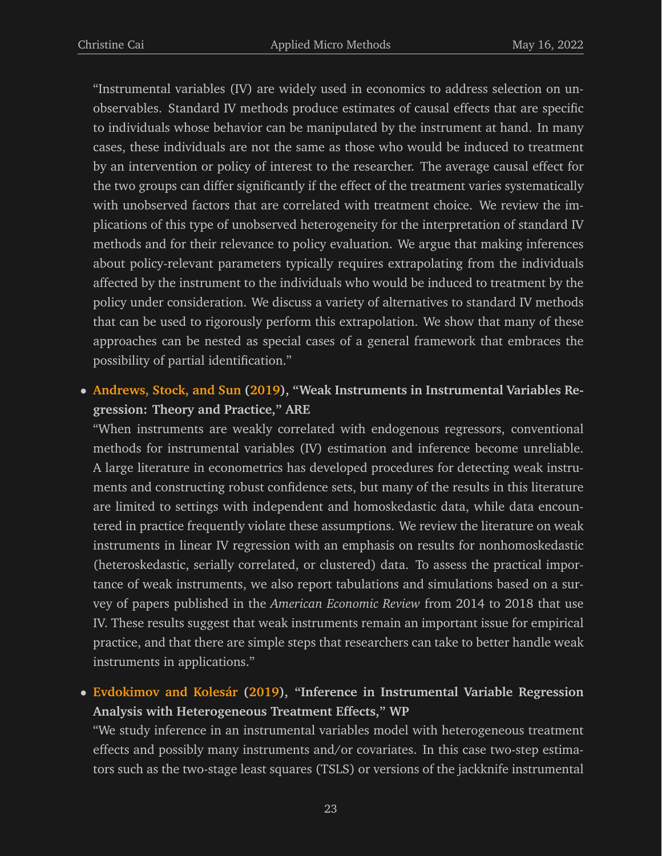"Instrumental variables (IV) are widely used in economics to address selection on unobservables. Standard IV methods produce estimates of causal effects that are specific to individuals whose behavior can be manipulated by the instrument at hand. In many cases, these individuals are not the same as those who would be induced to treatment by an intervention or policy of interest to the researcher. The average causal effect for the two groups can differ significantly if the effect of the treatment varies systematically with unobserved factors that are correlated with treatment choice. We review the implications of this type of unobserved heterogeneity for the interpretation of standard IV methods and for their relevance to policy evaluation. We argue that making inferences about policy-relevant parameters typically requires extrapolating from the individuals affected by the instrument to the individuals who would be induced to treatment by the policy under consideration. We discuss a variety of alternatives to standard IV methods that can be used to rigorously perform this extrapolation. We show that many of these approaches can be nested as special cases of a general framework that embraces the possibility of partial identification."

#### *•* **[Andrews, Stock, and Sun](#page-52-6) [\(2019](#page-52-6)), "Weak Instruments in Instrumental Variables Regression: Theory and Practice," ARE**

"When instruments are weakly correlated with endogenous regressors, conventional methods for instrumental variables (IV) estimation and inference become unreliable. A large literature in econometrics has developed procedures for detecting weak instruments and constructing robust confidence sets, but many of the results in this literature are limited to settings with independent and homoskedastic data, while data encountered in practice frequently violate these assumptions. We review the literature on weak instruments in linear IV regression with an emphasis on results for nonhomoskedastic (heteroskedastic, serially correlated, or clustered) data. To assess the practical importance of weak instruments, we also report tabulations and simulations based on a survey of papers published in the *American Economic Review* from 2014 to 2018 that use IV. These results suggest that weak instruments remain an important issue for empirical practice, and that there are simple steps that researchers can take to better handle weak instruments in applications."

#### *•* **[Evdokimov and Kolesár](#page-55-5) [\(2019](#page-55-5)), "Inference in Instrumental Variable Regression Analysis with Heterogeneous Treatment Effects," WP**

"We study inference in an instrumental variables model with heterogeneous treatment effects and possibly many instruments and/or covariates. In this case two-step estimators such as the two-stage least squares (TSLS) or versions of the jackknife instrumental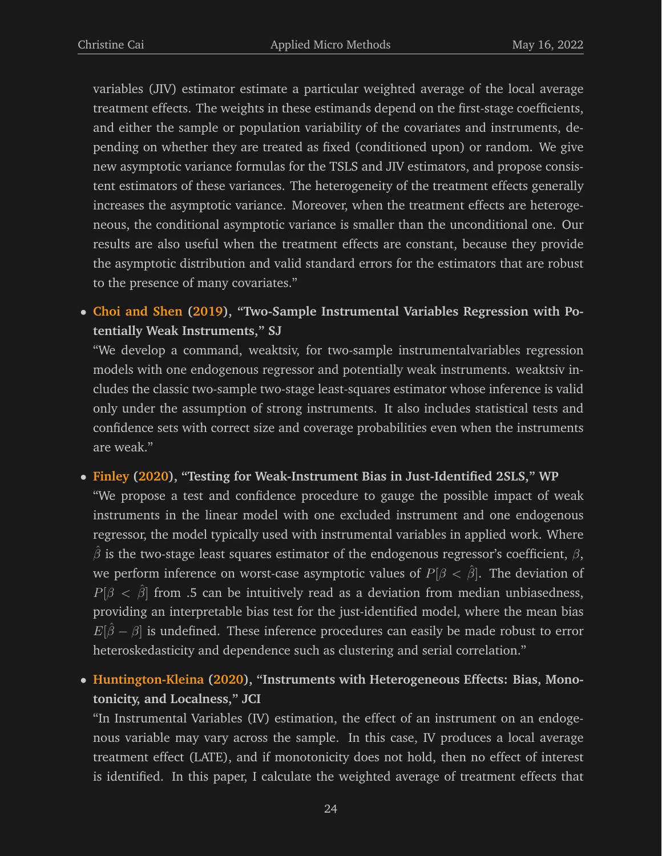variables (JIV) estimator estimate a particular weighted average of the local average treatment effects. The weights in these estimands depend on the first-stage coefficients, and either the sample or population variability of the covariates and instruments, depending on whether they are treated as fixed (conditioned upon) or random. We give new asymptotic variance formulas for the TSLS and JIV estimators, and propose consistent estimators of these variances. The heterogeneity of the treatment effects generally increases the asymptotic variance. Moreover, when the treatment effects are heterogeneous, the conditional asymptotic variance is smaller than the unconditional one. Our results are also useful when the treatment effects are constant, because they provide the asymptotic distribution and valid standard errors for the estimators that are robust to the presence of many covariates."

*•* **[Choi and Shen](#page-55-6) [\(2019](#page-55-6)), "Two-Sample Instrumental Variables Regression with Potentially Weak Instruments," SJ**

"We develop a command, weaktsiv, for two-sample instrumentalvariables regression models with one endogenous regressor and potentially weak instruments. weaktsiv includes the classic two-sample two-stage least-squares estimator whose inference is valid only under the assumption of strong instruments. It also includes statistical tests and confidence sets with correct size and coverage probabilities even when the instruments are weak."

- *•* **[Finley](#page-56-7) [\(2020\)](#page-56-7), "Testing for Weak-Instrument Bias in Just-Identified 2SLS," WP** "We propose a test and confidence procedure to gauge the possible impact of weak instruments in the linear model with one excluded instrument and one endogenous regressor, the model typically used with instrumental variables in applied work. Where *β*ˆ is the two-stage least squares estimator of the endogenous regressor's coefficient, *β*, we perform inference on worst-case asymptotic values of  $P[\beta \langle \beta \rangle]$ . The deviation of *P*[ $\beta$  <  $\hat{\beta}$ ] from .5 can be intuitively read as a deviation from median unbiasedness, providing an interpretable bias test for the just-identified model, where the mean bias  $E[\beta - \beta]$  is undefined. These inference procedures can easily be made robust to error heteroskedasticity and dependence such as clustering and serial correlation."
- *•* **[Huntington-Kleina](#page-57-3) [\(2020](#page-57-3)), "Instruments with Heterogeneous Effects: Bias, Monotonicity, and Localness," JCI**

"In Instrumental Variables (IV) estimation, the effect of an instrument on an endogenous variable may vary across the sample. In this case, IV produces a local average treatment effect (LATE), and if monotonicity does not hold, then no effect of interest is identified. In this paper, I calculate the weighted average of treatment effects that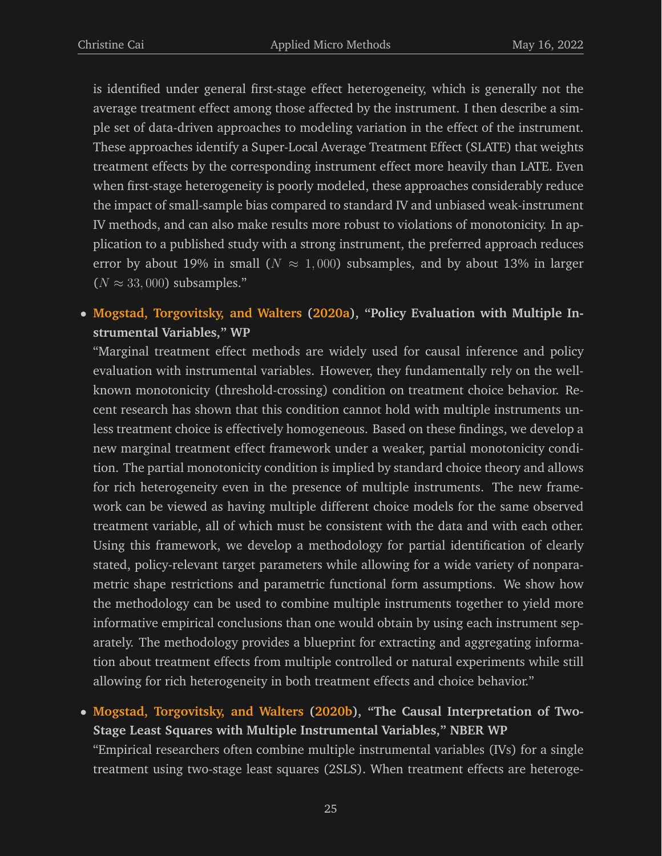is identified under general first-stage effect heterogeneity, which is generally not the average treatment effect among those affected by the instrument. I then describe a simple set of data-driven approaches to modeling variation in the effect of the instrument. These approaches identify a Super-Local Average Treatment Effect (SLATE) that weights treatment effects by the corresponding instrument effect more heavily than LATE. Even when first-stage heterogeneity is poorly modeled, these approaches considerably reduce the impact of small-sample bias compared to standard IV and unbiased weak-instrument IV methods, and can also make results more robust to violations of monotonicity. In application to a published study with a strong instrument, the preferred approach reduces error by about 19% in small ( $N \approx 1,000$ ) subsamples, and by about 13% in larger  $(N \approx 33,000)$  subsamples."

*•* **[Mogstad, Torgovitsky, and Walters](#page-58-7) [\(2020a\)](#page-58-7), "Policy Evaluation with Multiple Instrumental Variables," WP**

"Marginal treatment effect methods are widely used for causal inference and policy evaluation with instrumental variables. However, they fundamentally rely on the wellknown monotonicity (threshold-crossing) condition on treatment choice behavior. Recent research has shown that this condition cannot hold with multiple instruments unless treatment choice is effectively homogeneous. Based on these findings, we develop a new marginal treatment effect framework under a weaker, partial monotonicity condition. The partial monotonicity condition is implied by standard choice theory and allows for rich heterogeneity even in the presence of multiple instruments. The new framework can be viewed as having multiple different choice models for the same observed treatment variable, all of which must be consistent with the data and with each other. Using this framework, we develop a methodology for partial identification of clearly stated, policy-relevant target parameters while allowing for a wide variety of nonparametric shape restrictions and parametric functional form assumptions. We show how the methodology can be used to combine multiple instruments together to yield more informative empirical conclusions than one would obtain by using each instrument separately. The methodology provides a blueprint for extracting and aggregating information about treatment effects from multiple controlled or natural experiments while still allowing for rich heterogeneity in both treatment effects and choice behavior."

*•* **[Mogstad, Torgovitsky, and Walters](#page-58-8) [\(2020b](#page-58-8)), "The Causal Interpretation of Two-Stage Least Squares with Multiple Instrumental Variables," NBER WP**

"Empirical researchers often combine multiple instrumental variables (IVs) for a single treatment using two-stage least squares (2SLS). When treatment effects are heteroge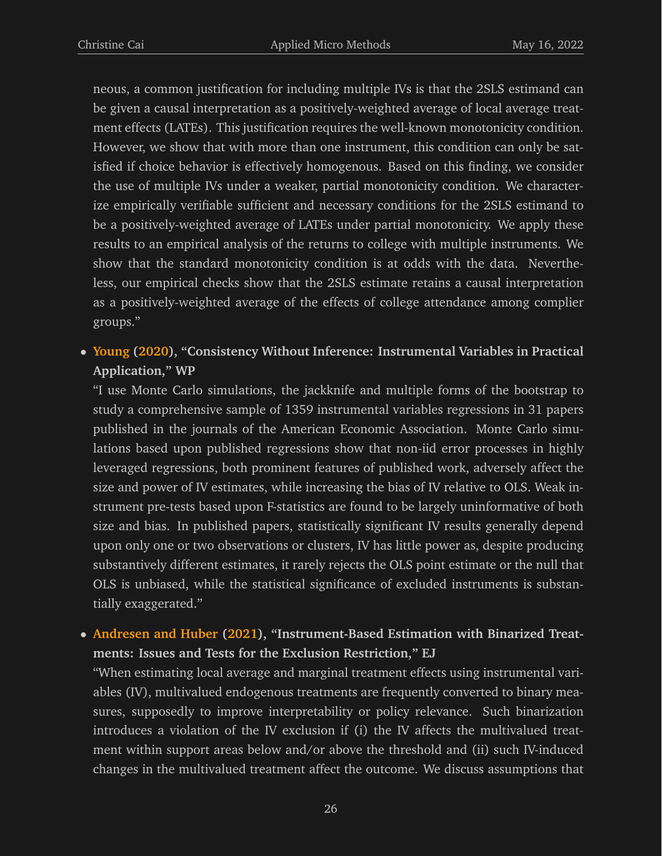neous, a common justification for including multiple IVs is that the 2SLS estimand can be given a causal interpretation as a positively-weighted average of local average treatment effects (LATEs). This justification requires the well-known monotonicity condition. However, we show that with more than one instrument, this condition can only be satisfied if choice behavior is effectively homogenous. Based on this finding, we consider the use of multiple IVs under a weaker, partial monotonicity condition. We characterize empirically verifiable sufficient and necessary conditions for the 2SLS estimand to be a positively-weighted average of LATEs under partial monotonicity. We apply these results to an empirical analysis of the returns to college with multiple instruments. We show that the standard monotonicity condition is at odds with the data. Nevertheless, our empirical checks show that the 2SLS estimate retains a causal interpretation as a positively-weighted average of the effects of college attendance among complier groups."

### *•* **[Young](#page-60-3) [\(2020\)](#page-60-3), "Consistency Without Inference: Instrumental Variables in Practical Application," WP**

"I use Monte Carlo simulations, the jackknife and multiple forms of the bootstrap to study a comprehensive sample of 1359 instrumental variables regressions in 31 papers published in the journals of the American Economic Association. Monte Carlo simulations based upon published regressions show that non-iid error processes in highly leveraged regressions, both prominent features of published work, adversely affect the size and power of IV estimates, while increasing the bias of IV relative to OLS. Weak instrument pre-tests based upon F-statistics are found to be largely uninformative of both size and bias. In published papers, statistically significant IV results generally depend upon only one or two observations or clusters, IV has little power as, despite producing substantively different estimates, it rarely rejects the OLS point estimate or the null that OLS is unbiased, while the statistical significance of excluded instruments is substantially exaggerated."

## *•* **[Andresen and Huber](#page-52-7) ([2021](#page-52-7)), "Instrument-Based Estimation with Binarized Treatments: Issues and Tests for the Exclusion Restriction," EJ**

"When estimating local average and marginal treatment effects using instrumental variables (IV), multivalued endogenous treatments are frequently converted to binary measures, supposedly to improve interpretability or policy relevance. Such binarization introduces a violation of the IV exclusion if (i) the IV affects the multivalued treatment within support areas below and/or above the threshold and (ii) such IV-induced changes in the multivalued treatment affect the outcome. We discuss assumptions that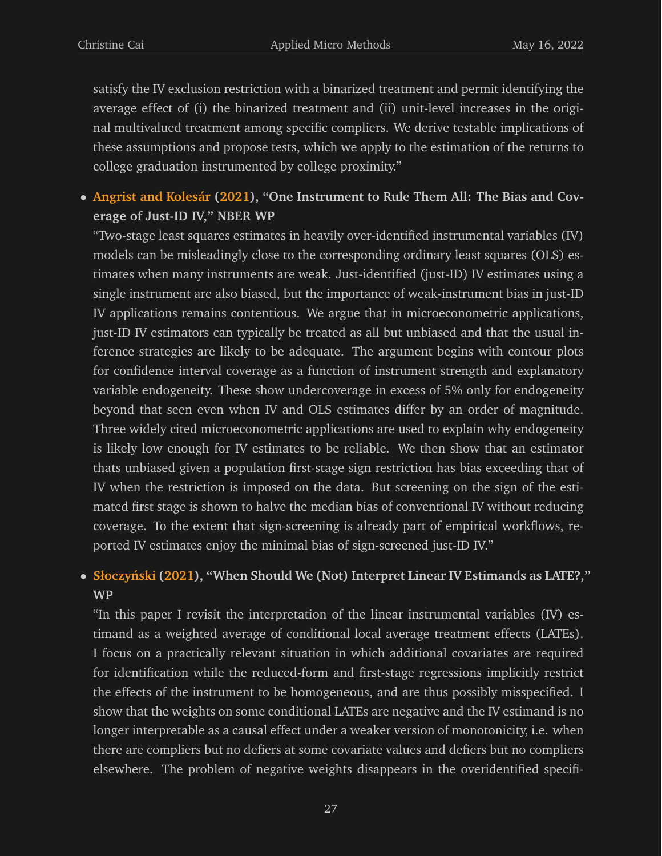satisfy the IV exclusion restriction with a binarized treatment and permit identifying the average effect of (i) the binarized treatment and (ii) unit-level increases in the original multivalued treatment among specific compliers. We derive testable implications of these assumptions and propose tests, which we apply to the estimation of the returns to college graduation instrumented by college proximity."

*•* **[Angrist and Kolesár](#page-52-8) [\(2021](#page-52-8)), "One Instrument to Rule Them All: The Bias and Coverage of Just-ID IV," NBER WP**

"Two-stage least squares estimates in heavily over-identified instrumental variables (IV) models can be misleadingly close to the corresponding ordinary least squares (OLS) estimates when many instruments are weak. Just-identified (just-ID) IV estimates using a single instrument are also biased, but the importance of weak-instrument bias in just-ID IV applications remains contentious. We argue that in microeconometric applications, just-ID IV estimators can typically be treated as all but unbiased and that the usual inference strategies are likely to be adequate. The argument begins with contour plots for confidence interval coverage as a function of instrument strength and explanatory variable endogeneity. These show undercoverage in excess of 5% only for endogeneity beyond that seen even when IV and OLS estimates differ by an order of magnitude. Three widely cited microeconometric applications are used to explain why endogeneity is likely low enough for IV estimates to be reliable. We then show that an estimator thats unbiased given a population first-stage sign restriction has bias exceeding that of IV when the restriction is imposed on the data. But screening on the sign of the estimated first stage is shown to halve the median bias of conventional IV without reducing coverage. To the extent that sign-screening is already part of empirical workflows, reported IV estimates enjoy the minimal bias of sign-screened just-ID IV."

#### • **Słoczyński ([2021\)](#page-59-9)**, "When Should We (Not) Interpret Linear IV Estimands as LATE?," **WP**

"In this paper I revisit the interpretation of the linear instrumental variables (IV) estimand as a weighted average of conditional local average treatment effects (LATEs). I focus on a practically relevant situation in which additional covariates are required for identification while the reduced-form and first-stage regressions implicitly restrict the effects of the instrument to be homogeneous, and are thus possibly misspecified. I show that the weights on some conditional LATEs are negative and the IV estimand is no longer interpretable as a causal effect under a weaker version of monotonicity, i.e. when there are compliers but no defiers at some covariate values and defiers but no compliers elsewhere. The problem of negative weights disappears in the overidentified specifi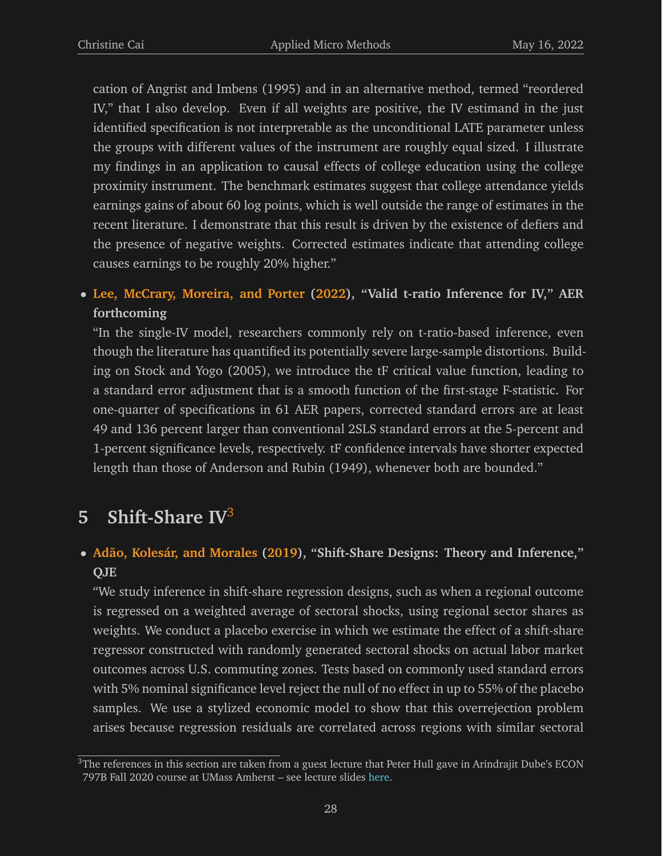cation of Angrist and Imbens (1995) and in an alternative method, termed "reordered IV," that I also develop. Even if all weights are positive, the IV estimand in the just identified specification is not interpretable as the unconditional LATE parameter unless the groups with different values of the instrument are roughly equal sized. I illustrate my findings in an application to causal effects of college education using the college proximity instrument. The benchmark estimates suggest that college attendance yields earnings gains of about 60 log points, which is well outside the range of estimates in the recent literature. I demonstrate that this result is driven by the existence of defiers and the presence of negative weights. Corrected estimates indicate that attending college causes earnings to be roughly 20% higher."

*•* **[Lee, McCrary, Moreira, and Porter](#page-58-9) [\(2022\)](#page-58-9), "Valid t-ratio Inference for IV," AER forthcoming**

"In the single-IV model, researchers commonly rely on t-ratio-based inference, even though the literature has quantified its potentially severe large-sample distortions. Building on Stock and Yogo (2005), we introduce the tF critical value function, leading to a standard error adjustment that is a smooth function of the first-stage F-statistic. For one-quarter of specifications in 61 AER papers, corrected standard errors are at least 49 and 136 percent larger than conventional 2SLS standard errors at the 5-percent and 1-percent significance levels, respectively. tF confidence intervals have shorter expected length than those of Anderson and Rubin (1949), whenever both are bounded."

## <span id="page-27-0"></span>**5 Shift-Share IV**[3](#page-27-1)

## *•* **[Adão, Kolesár, and Morales](#page-51-2) [\(2019](#page-51-2)), "Shift-Share Designs: Theory and Inference," QJE**

"We study inference in shift-share regression designs, such as when a regional outcome is regressed on a weighted average of sectoral shocks, using regional sector shares as weights. We conduct a placebo exercise in which we estimate the effect of a shift-share regressor constructed with randomly generated sectoral shocks on actual labor market outcomes across U.S. commuting zones. Tests based on commonly used standard errors with 5% nominal significance level reject the null of no effect in up to 55% of the placebo samples. We use a stylized economic model to show that this overrejection problem arises because regression residuals are correlated across regions with similar sectoral

<span id="page-27-1"></span> $3$ The references in this section are taken from a guest lecture that Peter Hull gave in Arindrajit Dube's ECON 797B Fall 2020 course at UMass Amherst – see lecture slides [here](https://www.dropbox.com/s/m7uy42q7lirewhy/shiftshare.pdf?dl=0).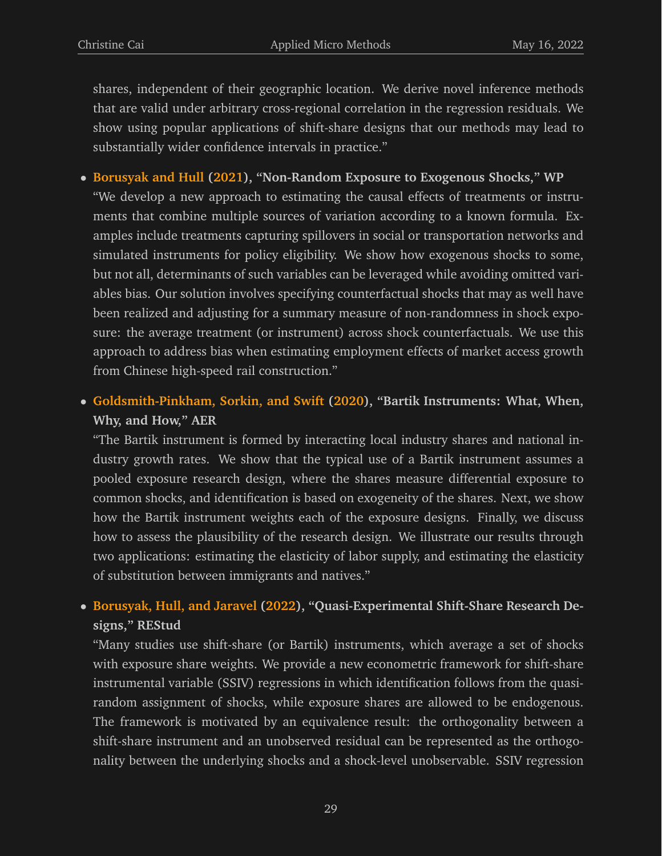shares, independent of their geographic location. We derive novel inference methods that are valid under arbitrary cross-regional correlation in the regression residuals. We show using popular applications of shift-share designs that our methods may lead to substantially wider confidence intervals in practice."

#### *•* **[Borusyak and Hull](#page-53-4) [\(2021](#page-53-4)), "Non-Random Exposure to Exogenous Shocks," WP**

"We develop a new approach to estimating the causal effects of treatments or instruments that combine multiple sources of variation according to a known formula. Examples include treatments capturing spillovers in social or transportation networks and simulated instruments for policy eligibility. We show how exogenous shocks to some, but not all, determinants of such variables can be leveraged while avoiding omitted variables bias. Our solution involves specifying counterfactual shocks that may as well have been realized and adjusting for a summary measure of non-randomness in shock exposure: the average treatment (or instrument) across shock counterfactuals. We use this approach to address bias when estimating employment effects of market access growth from Chinese high-speed rail construction."

#### *•* **[Goldsmith-Pinkham, Sorkin, and Swift](#page-57-4) ([2020\)](#page-57-4), "Bartik Instruments: What, When, Why, and How," AER**

"The Bartik instrument is formed by interacting local industry shares and national industry growth rates. We show that the typical use of a Bartik instrument assumes a pooled exposure research design, where the shares measure differential exposure to common shocks, and identification is based on exogeneity of the shares. Next, we show how the Bartik instrument weights each of the exposure designs. Finally, we discuss how to assess the plausibility of the research design. We illustrate our results through two applications: estimating the elasticity of labor supply, and estimating the elasticity of substitution between immigrants and natives."

### *•* **[Borusyak, Hull, and Jaravel](#page-53-5) ([2022\)](#page-53-5), "Quasi-Experimental Shift-Share Research Designs," REStud**

"Many studies use shift-share (or Bartik) instruments, which average a set of shocks with exposure share weights. We provide a new econometric framework for shift-share instrumental variable (SSIV) regressions in which identification follows from the quasirandom assignment of shocks, while exposure shares are allowed to be endogenous. The framework is motivated by an equivalence result: the orthogonality between a shift-share instrument and an unobserved residual can be represented as the orthogonality between the underlying shocks and a shock-level unobservable. SSIV regression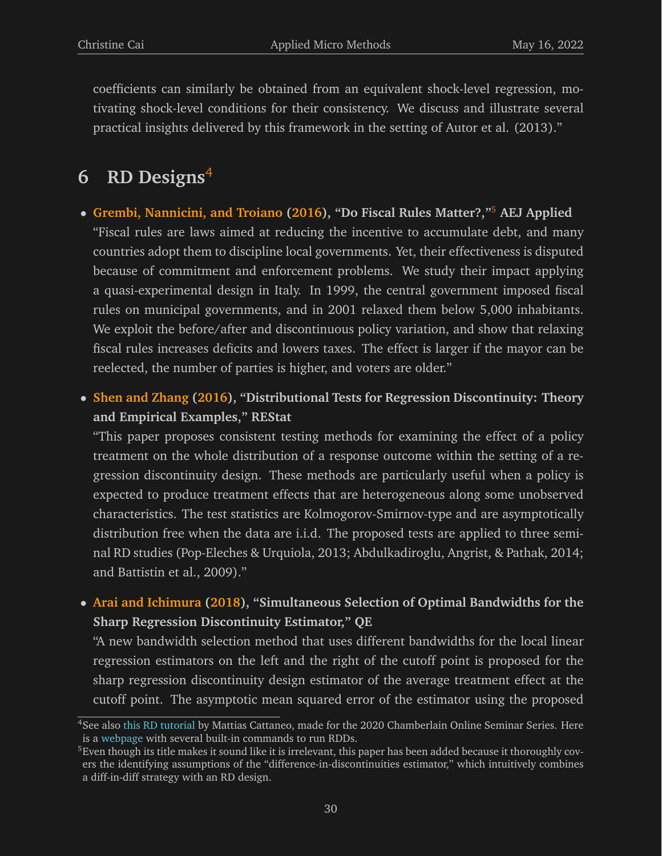coefficients can similarly be obtained from an equivalent shock-level regression, motivating shock-level conditions for their consistency. We discuss and illustrate several practical insights delivered by this framework in the setting of Autor et al. (2013)."

## <span id="page-29-0"></span>**6 RD Designs**[4](#page-29-1)

- *•* **[Grembi, Nannicini, and Troiano](#page-57-5) [\(2016\)](#page-57-5), "Do Fiscal Rules Matter?,"**[5](#page-29-2) **AEJ Applied** "Fiscal rules are laws aimed at reducing the incentive to accumulate debt, and many countries adopt them to discipline local governments. Yet, their effectiveness is disputed because of commitment and enforcement problems. We study their impact applying a quasi-experimental design in Italy. In 1999, the central government imposed fiscal rules on municipal governments, and in 2001 relaxed them below 5,000 inhabitants. We exploit the before/after and discontinuous policy variation, and show that relaxing fiscal rules increases deficits and lowers taxes. The effect is larger if the mayor can be reelected, the number of parties is higher, and voters are older."
- *•* **[Shen and Zhang](#page-59-10) ([2016](#page-59-10)), "Distributional Tests for Regression Discontinuity: Theory and Empirical Examples," REStat**

"This paper proposes consistent testing methods for examining the effect of a policy treatment on the whole distribution of a response outcome within the setting of a regression discontinuity design. These methods are particularly useful when a policy is expected to produce treatment effects that are heterogeneous along some unobserved characteristics. The test statistics are Kolmogorov-Smirnov-type and are asymptotically distribution free when the data are i.i.d. The proposed tests are applied to three seminal RD studies (Pop-Eleches & Urquiola, 2013; Abdulkadiroglu, Angrist, & Pathak, 2014; and Battistin et al., 2009)."

*•* **[Arai and Ichimura](#page-52-9) ([2018](#page-52-9)), "Simultaneous Selection of Optimal Bandwidths for the Sharp Regression Discontinuity Estimator," QE**

"A new bandwidth selection method that uses different bandwidths for the local linear regression estimators on the left and the right of the cutoff point is proposed for the sharp regression discontinuity design estimator of the average treatment effect at the cutoff point. The asymptotic mean squared error of the estimator using the proposed

<span id="page-29-1"></span><sup>&</sup>lt;sup>4</sup>See also [this RD tutorial](https://github.com/rdpackages-replication/C_2020_Chamberlain) by Mattias Cattaneo, made for the 2020 Chamberlain Online Seminar Series. Here is a [webpage](https://nppackages.github.io) with several built-in commands to run RDDs.

<span id="page-29-2"></span> $5$ Even though its title makes it sound like it is irrelevant, this paper has been added because it thoroughly covers the identifying assumptions of the "difference-in-discontinuities estimator," which intuitively combines a diff-in-diff strategy with an RD design.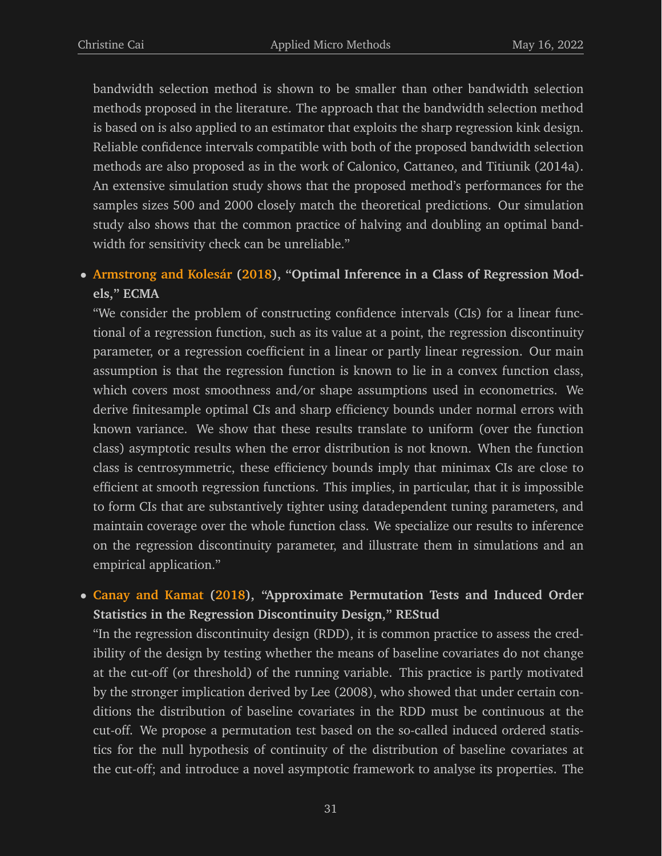bandwidth selection method is shown to be smaller than other bandwidth selection methods proposed in the literature. The approach that the bandwidth selection method is based on is also applied to an estimator that exploits the sharp regression kink design. Reliable confidence intervals compatible with both of the proposed bandwidth selection methods are also proposed as in the work of Calonico, Cattaneo, and Titiunik (2014a). An extensive simulation study shows that the proposed method's performances for the samples sizes 500 and 2000 closely match the theoretical predictions. Our simulation study also shows that the common practice of halving and doubling an optimal bandwidth for sensitivity check can be unreliable."

#### *•* **[Armstrong and Kolesár](#page-52-10) ([2018\)](#page-52-10), "Optimal Inference in a Class of Regression Models," ECMA**

"We consider the problem of constructing confidence intervals (CIs) for a linear functional of a regression function, such as its value at a point, the regression discontinuity parameter, or a regression coefficient in a linear or partly linear regression. Our main assumption is that the regression function is known to lie in a convex function class, which covers most smoothness and/or shape assumptions used in econometrics. We derive finitesample optimal CIs and sharp efficiency bounds under normal errors with known variance. We show that these results translate to uniform (over the function class) asymptotic results when the error distribution is not known. When the function class is centrosymmetric, these efficiency bounds imply that minimax CIs are close to efficient at smooth regression functions. This implies, in particular, that it is impossible to form CIs that are substantively tighter using datadependent tuning parameters, and maintain coverage over the whole function class. We specialize our results to inference on the regression discontinuity parameter, and illustrate them in simulations and an empirical application."

#### *•* **[Canay and Kamat](#page-54-5) [\(2018](#page-54-5)), "Approximate Permutation Tests and Induced Order Statistics in the Regression Discontinuity Design," REStud**

"In the regression discontinuity design (RDD), it is common practice to assess the credibility of the design by testing whether the means of baseline covariates do not change at the cut-off (or threshold) of the running variable. This practice is partly motivated by the stronger implication derived by Lee (2008), who showed that under certain conditions the distribution of baseline covariates in the RDD must be continuous at the cut-off. We propose a permutation test based on the so-called induced ordered statistics for the null hypothesis of continuity of the distribution of baseline covariates at the cut-off; and introduce a novel asymptotic framework to analyse its properties. The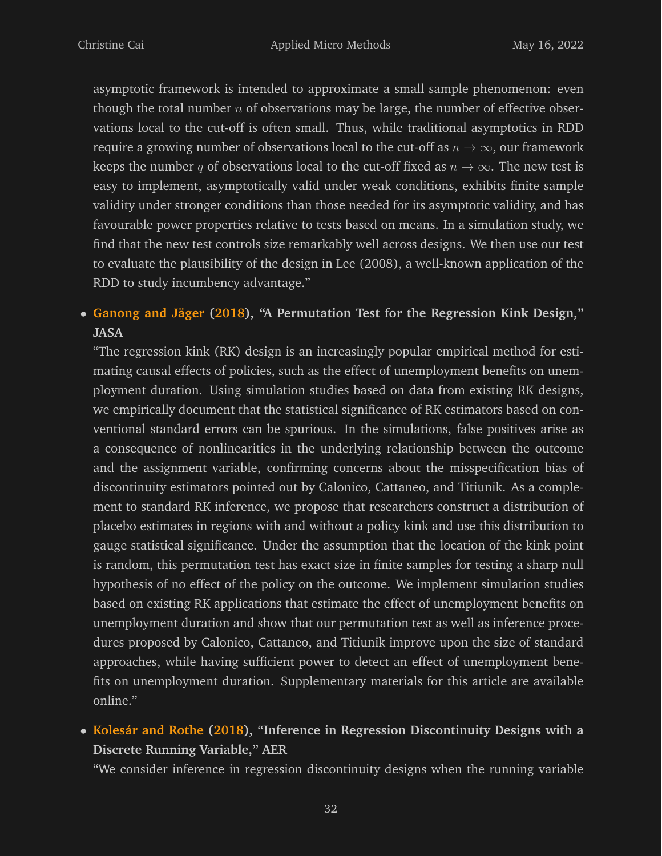asymptotic framework is intended to approximate a small sample phenomenon: even though the total number *n* of observations may be large, the number of effective observations local to the cut-off is often small. Thus, while traditional asymptotics in RDD require a growing number of observations local to the cut-off as  $n \to \infty$ , our framework keeps the number *q* of observations local to the cut-off fixed as  $n \to \infty$ . The new test is easy to implement, asymptotically valid under weak conditions, exhibits finite sample validity under stronger conditions than those needed for its asymptotic validity, and has favourable power properties relative to tests based on means. In a simulation study, we find that the new test controls size remarkably well across designs. We then use our test to evaluate the plausibility of the design in Lee (2008), a well-known application of the RDD to study incumbency advantage."

*•* **[Ganong and Jäger](#page-56-8) ([2018](#page-56-8)), "A Permutation Test for the Regression Kink Design," JASA**

"The regression kink (RK) design is an increasingly popular empirical method for estimating causal effects of policies, such as the effect of unemployment benefits on unemployment duration. Using simulation studies based on data from existing RK designs, we empirically document that the statistical significance of RK estimators based on conventional standard errors can be spurious. In the simulations, false positives arise as a consequence of nonlinearities in the underlying relationship between the outcome and the assignment variable, confirming concerns about the misspecification bias of discontinuity estimators pointed out by Calonico, Cattaneo, and Titiunik. As a complement to standard RK inference, we propose that researchers construct a distribution of placebo estimates in regions with and without a policy kink and use this distribution to gauge statistical significance. Under the assumption that the location of the kink point is random, this permutation test has exact size in finite samples for testing a sharp null hypothesis of no effect of the policy on the outcome. We implement simulation studies based on existing RK applications that estimate the effect of unemployment benefits on unemployment duration and show that our permutation test as well as inference procedures proposed by Calonico, Cattaneo, and Titiunik improve upon the size of standard approaches, while having sufficient power to detect an effect of unemployment benefits on unemployment duration. Supplementary materials for this article are available online."

*•* **[Kolesár and Rothe](#page-58-10) ([2018](#page-58-10)), "Inference in Regression Discontinuity Designs with a Discrete Running Variable," AER**

"We consider inference in regression discontinuity designs when the running variable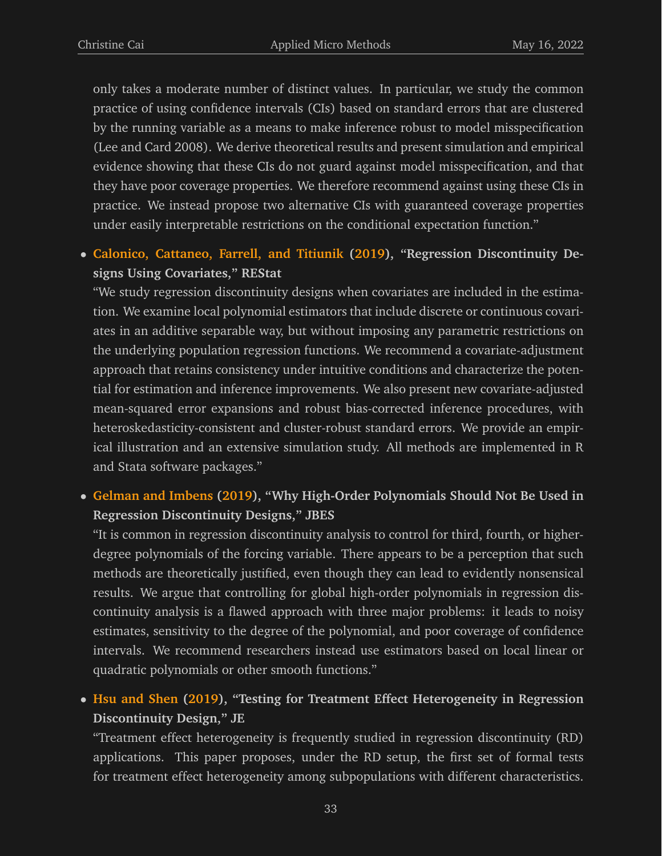only takes a moderate number of distinct values. In particular, we study the common practice of using confidence intervals (CIs) based on standard errors that are clustered by the running variable as a means to make inference robust to model misspecification (Lee and Card 2008). We derive theoretical results and present simulation and empirical evidence showing that these CIs do not guard against model misspecification, and that they have poor coverage properties. We therefore recommend against using these CIs in practice. We instead propose two alternative CIs with guaranteed coverage properties under easily interpretable restrictions on the conditional expectation function."

### *•* **[Calonico, Cattaneo, Farrell, and Titiunik](#page-54-6) [\(2019](#page-54-6)), "Regression Discontinuity Designs Using Covariates," REStat**

"We study regression discontinuity designs when covariates are included in the estimation. We examine local polynomial estimators that include discrete or continuous covariates in an additive separable way, but without imposing any parametric restrictions on the underlying population regression functions. We recommend a covariate-adjustment approach that retains consistency under intuitive conditions and characterize the potential for estimation and inference improvements. We also present new covariate-adjusted mean-squared error expansions and robust bias-corrected inference procedures, with heteroskedasticity-consistent and cluster-robust standard errors. We provide an empirical illustration and an extensive simulation study. All methods are implemented in R and Stata software packages."

#### *•* **[Gelman and Imbens](#page-56-9) ([2019](#page-56-9)), "Why High-Order Polynomials Should Not Be Used in Regression Discontinuity Designs," JBES**

"It is common in regression discontinuity analysis to control for third, fourth, or higherdegree polynomials of the forcing variable. There appears to be a perception that such methods are theoretically justified, even though they can lead to evidently nonsensical results. We argue that controlling for global high-order polynomials in regression discontinuity analysis is a flawed approach with three major problems: it leads to noisy estimates, sensitivity to the degree of the polynomial, and poor coverage of confidence intervals. We recommend researchers instead use estimators based on local linear or quadratic polynomials or other smooth functions."

*•* **[Hsu and Shen](#page-57-6) [\(2019](#page-57-6)), "Testing for Treatment Effect Heterogeneity in Regression Discontinuity Design," JE**

"Treatment effect heterogeneity is frequently studied in regression discontinuity (RD) applications. This paper proposes, under the RD setup, the first set of formal tests for treatment effect heterogeneity among subpopulations with different characteristics.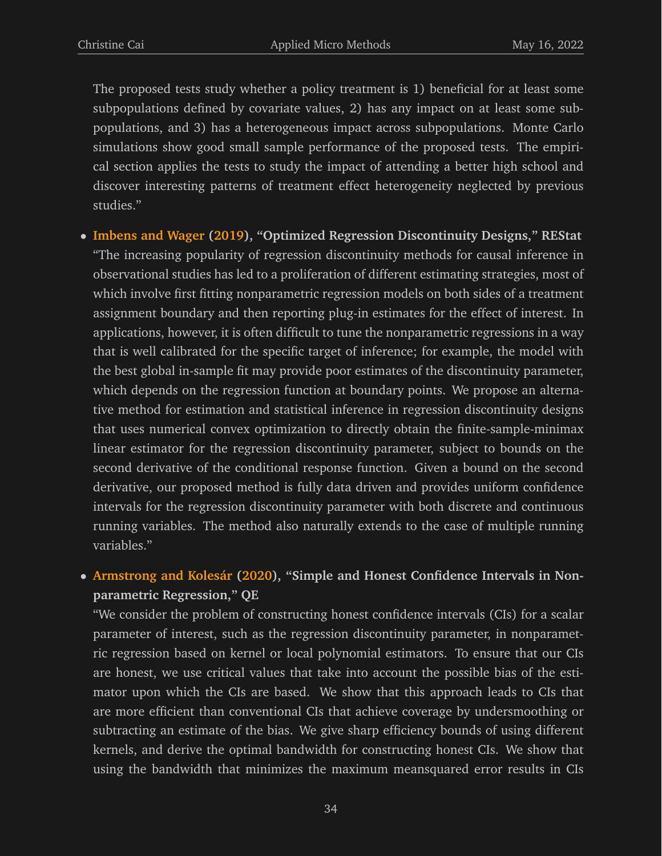The proposed tests study whether a policy treatment is 1) beneficial for at least some subpopulations defined by covariate values, 2) has any impact on at least some subpopulations, and 3) has a heterogeneous impact across subpopulations. Monte Carlo simulations show good small sample performance of the proposed tests. The empirical section applies the tests to study the impact of attending a better high school and discover interesting patterns of treatment effect heterogeneity neglected by previous studies."

*•* **[Imbens and Wager](#page-57-7) ([2019\)](#page-57-7), "Optimized Regression Discontinuity Designs," REStat** "The increasing popularity of regression discontinuity methods for causal inference in observational studies has led to a proliferation of different estimating strategies, most of which involve first fitting nonparametric regression models on both sides of a treatment assignment boundary and then reporting plug-in estimates for the effect of interest. In applications, however, it is often difficult to tune the nonparametric regressions in a way that is well calibrated for the specific target of inference; for example, the model with the best global in-sample fit may provide poor estimates of the discontinuity parameter, which depends on the regression function at boundary points. We propose an alternative method for estimation and statistical inference in regression discontinuity designs that uses numerical convex optimization to directly obtain the finite-sample-minimax linear estimator for the regression discontinuity parameter, subject to bounds on the second derivative of the conditional response function. Given a bound on the second derivative, our proposed method is fully data driven and provides uniform confidence intervals for the regression discontinuity parameter with both discrete and continuous running variables. The method also naturally extends to the case of multiple running variables."

#### *•* **[Armstrong and Kolesár](#page-52-11) ([2020\)](#page-52-11), "Simple and Honest Confidence Intervals in Nonparametric Regression," QE**

"We consider the problem of constructing honest confidence intervals (CIs) for a scalar parameter of interest, such as the regression discontinuity parameter, in nonparametric regression based on kernel or local polynomial estimators. To ensure that our CIs are honest, we use critical values that take into account the possible bias of the estimator upon which the CIs are based. We show that this approach leads to CIs that are more efficient than conventional CIs that achieve coverage by undersmoothing or subtracting an estimate of the bias. We give sharp efficiency bounds of using different kernels, and derive the optimal bandwidth for constructing honest CIs. We show that using the bandwidth that minimizes the maximum meansquared error results in CIs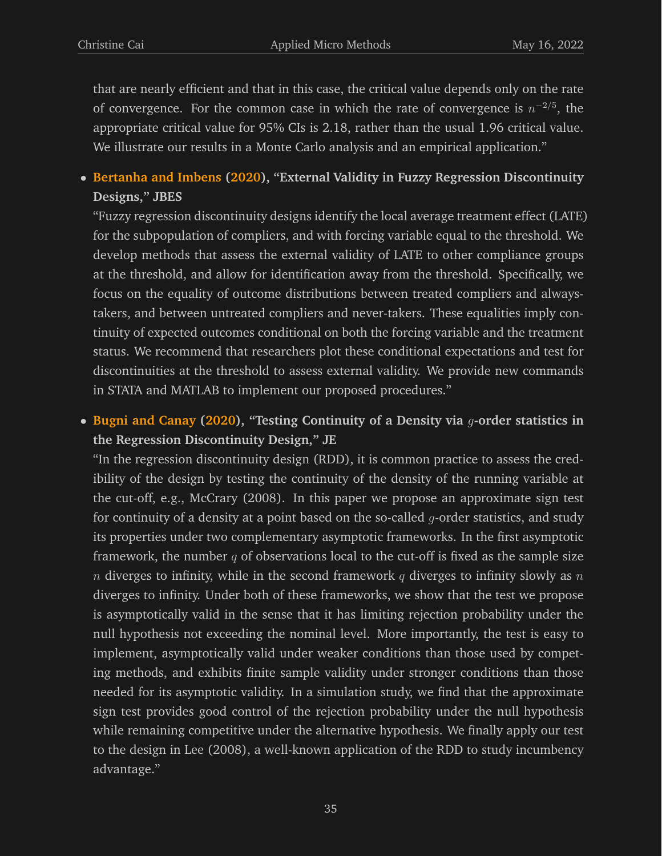that are nearly efficient and that in this case, the critical value depends only on the rate of convergence. For the common case in which the rate of convergence is *n −*2*/*5 , the appropriate critical value for 95% CIs is 2.18, rather than the usual 1.96 critical value. We illustrate our results in a Monte Carlo analysis and an empirical application."

### *•* **[Bertanha and Imbens](#page-53-6) [\(2020](#page-53-6)), "External Validity in Fuzzy Regression Discontinuity Designs," JBES**

"Fuzzy regression discontinuity designs identify the local average treatment effect (LATE) for the subpopulation of compliers, and with forcing variable equal to the threshold. We develop methods that assess the external validity of LATE to other compliance groups at the threshold, and allow for identification away from the threshold. Specifically, we focus on the equality of outcome distributions between treated compliers and alwaystakers, and between untreated compliers and never-takers. These equalities imply continuity of expected outcomes conditional on both the forcing variable and the treatment status. We recommend that researchers plot these conditional expectations and test for discontinuities at the threshold to assess external validity. We provide new commands in STATA and MATLAB to implement our proposed procedures."

#### *•* **[Bugni and Canay](#page-53-7) [\(2020\)](#page-53-7), "Testing Continuity of a Density via** *g***-order statistics in the Regression Discontinuity Design," JE**

"In the regression discontinuity design (RDD), it is common practice to assess the credibility of the design by testing the continuity of the density of the running variable at the cut-off, e.g., McCrary (2008). In this paper we propose an approximate sign test for continuity of a density at a point based on the so-called *g*-order statistics, and study its properties under two complementary asymptotic frameworks. In the first asymptotic framework, the number *q* of observations local to the cut-off is fixed as the sample size *n* diverges to infinity, while in the second framework *q* diverges to infinity slowly as *n* diverges to infinity. Under both of these frameworks, we show that the test we propose is asymptotically valid in the sense that it has limiting rejection probability under the null hypothesis not exceeding the nominal level. More importantly, the test is easy to implement, asymptotically valid under weaker conditions than those used by competing methods, and exhibits finite sample validity under stronger conditions than those needed for its asymptotic validity. In a simulation study, we find that the approximate sign test provides good control of the rejection probability under the null hypothesis while remaining competitive under the alternative hypothesis. We finally apply our test to the design in Lee (2008), a well-known application of the RDD to study incumbency advantage."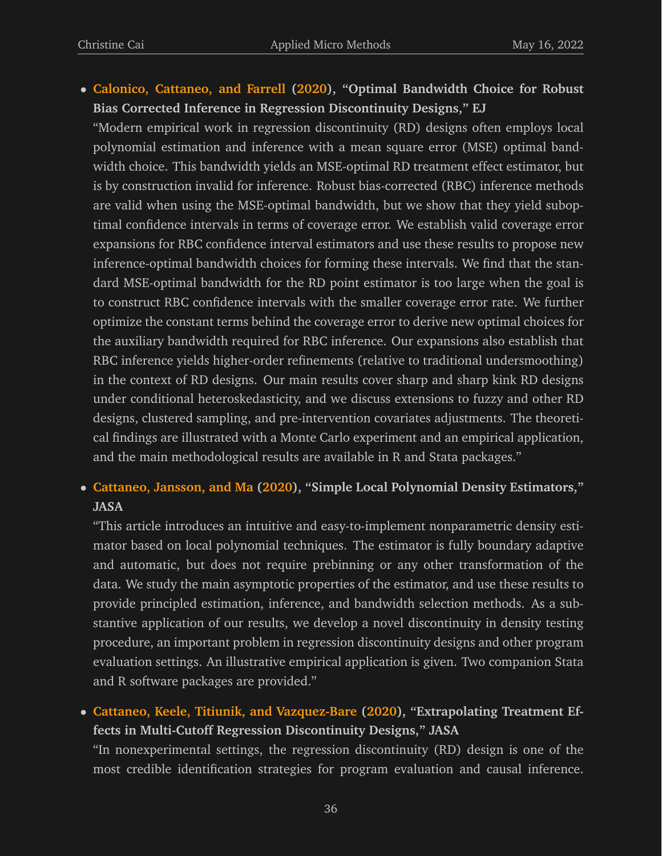#### *•* **[Calonico, Cattaneo, and Farrell](#page-54-7) ([2020](#page-54-7)), "Optimal Bandwidth Choice for Robust Bias Corrected Inference in Regression Discontinuity Designs," EJ**

"Modern empirical work in regression discontinuity (RD) designs often employs local polynomial estimation and inference with a mean square error (MSE) optimal bandwidth choice. This bandwidth yields an MSE-optimal RD treatment effect estimator, but is by construction invalid for inference. Robust bias-corrected (RBC) inference methods are valid when using the MSE-optimal bandwidth, but we show that they yield suboptimal confidence intervals in terms of coverage error. We establish valid coverage error expansions for RBC confidence interval estimators and use these results to propose new inference-optimal bandwidth choices for forming these intervals. We find that the standard MSE-optimal bandwidth for the RD point estimator is too large when the goal is to construct RBC confidence intervals with the smaller coverage error rate. We further optimize the constant terms behind the coverage error to derive new optimal choices for the auxiliary bandwidth required for RBC inference. Our expansions also establish that RBC inference yields higher-order refinements (relative to traditional undersmoothing) in the context of RD designs. Our main results cover sharp and sharp kink RD designs under conditional heteroskedasticity, and we discuss extensions to fuzzy and other RD designs, clustered sampling, and pre-intervention covariates adjustments. The theoretical findings are illustrated with a Monte Carlo experiment and an empirical application, and the main methodological results are available in R and Stata packages."

### *•* **[Cattaneo, Jansson, and Ma](#page-54-8) ([2020\)](#page-54-8), "Simple Local Polynomial Density Estimators," JASA**

"This article introduces an intuitive and easy-to-implement nonparametric density estimator based on local polynomial techniques. The estimator is fully boundary adaptive and automatic, but does not require prebinning or any other transformation of the data. We study the main asymptotic properties of the estimator, and use these results to provide principled estimation, inference, and bandwidth selection methods. As a substantive application of our results, we develop a novel discontinuity in density testing procedure, an important problem in regression discontinuity designs and other program evaluation settings. An illustrative empirical application is given. Two companion Stata and R software packages are provided."

#### *•* **[Cattaneo, Keele, Titiunik, and Vazquez-Bare](#page-54-9) [\(2020](#page-54-9)), "Extrapolating Treatment Effects in Multi-Cutoff Regression Discontinuity Designs," JASA**

"In nonexperimental settings, the regression discontinuity (RD) design is one of the most credible identification strategies for program evaluation and causal inference.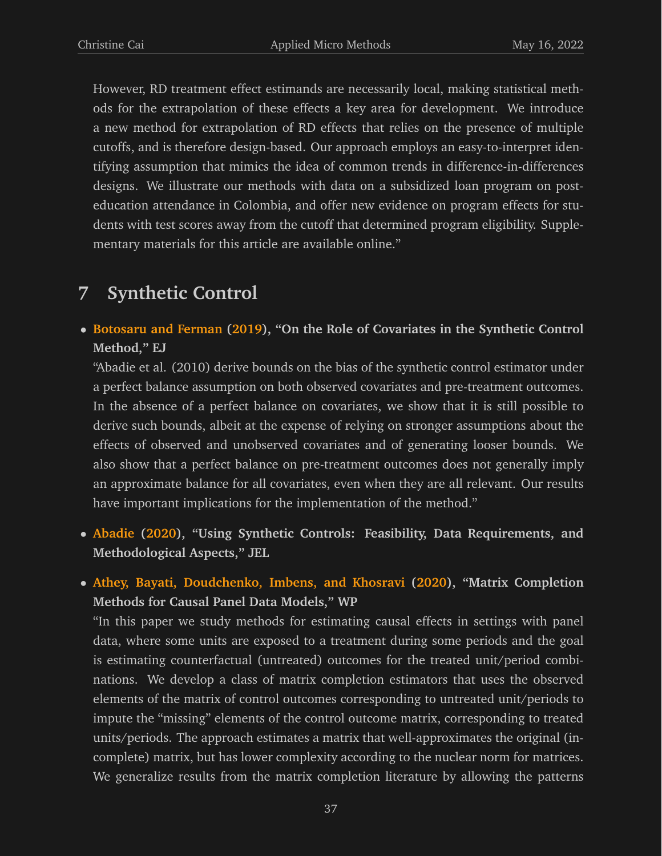However, RD treatment effect estimands are necessarily local, making statistical methods for the extrapolation of these effects a key area for development. We introduce a new method for extrapolation of RD effects that relies on the presence of multiple cutoffs, and is therefore design-based. Our approach employs an easy-to-interpret identifying assumption that mimics the idea of common trends in difference-in-differences designs. We illustrate our methods with data on a subsidized loan program on posteducation attendance in Colombia, and offer new evidence on program effects for students with test scores away from the cutoff that determined program eligibility. Supplementary materials for this article are available online."

## <span id="page-36-0"></span>**7 Synthetic Control**

*•* **[Botosaru and Ferman](#page-53-8) ([2019](#page-53-8)), "On the Role of Covariates in the Synthetic Control Method," EJ**

"Abadie et al. (2010) derive bounds on the bias of the synthetic control estimator under a perfect balance assumption on both observed covariates and pre-treatment outcomes. In the absence of a perfect balance on covariates, we show that it is still possible to derive such bounds, albeit at the expense of relying on stronger assumptions about the effects of observed and unobserved covariates and of generating looser bounds. We also show that a perfect balance on pre-treatment outcomes does not generally imply an approximate balance for all covariates, even when they are all relevant. Our results have important implications for the implementation of the method."

- *•* **[Abadie](#page-51-3) [\(2020\)](#page-51-3), "Using Synthetic Controls: Feasibility, Data Requirements, and Methodological Aspects," JEL**
- *•* **[Athey, Bayati, Doudchenko, Imbens, and Khosravi](#page-52-12) [\(2020](#page-52-12)), "Matrix Completion Methods for Causal Panel Data Models," WP**

"In this paper we study methods for estimating causal effects in settings with panel data, where some units are exposed to a treatment during some periods and the goal is estimating counterfactual (untreated) outcomes for the treated unit/period combinations. We develop a class of matrix completion estimators that uses the observed elements of the matrix of control outcomes corresponding to untreated unit/periods to impute the "missing" elements of the control outcome matrix, corresponding to treated units/periods. The approach estimates a matrix that well-approximates the original (incomplete) matrix, but has lower complexity according to the nuclear norm for matrices. We generalize results from the matrix completion literature by allowing the patterns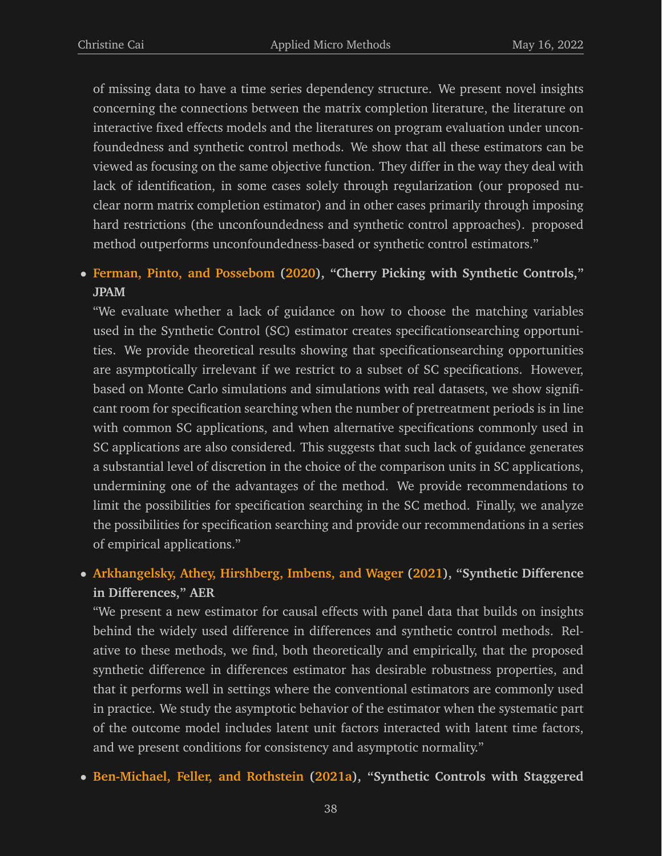of missing data to have a time series dependency structure. We present novel insights concerning the connections between the matrix completion literature, the literature on interactive fixed effects models and the literatures on program evaluation under unconfoundedness and synthetic control methods. We show that all these estimators can be viewed as focusing on the same objective function. They differ in the way they deal with lack of identification, in some cases solely through regularization (our proposed nuclear norm matrix completion estimator) and in other cases primarily through imposing hard restrictions (the unconfoundedness and synthetic control approaches). proposed method outperforms unconfoundedness-based or synthetic control estimators."

#### *•* **[Ferman, Pinto, and Possebom](#page-56-10) [\(2020\)](#page-56-10), "Cherry Picking with Synthetic Controls," JPAM**

"We evaluate whether a lack of guidance on how to choose the matching variables used in the Synthetic Control (SC) estimator creates specificationsearching opportunities. We provide theoretical results showing that specificationsearching opportunities are asymptotically irrelevant if we restrict to a subset of SC specifications. However, based on Monte Carlo simulations and simulations with real datasets, we show significant room for specification searching when the number of pretreatment periods is in line with common SC applications, and when alternative specifications commonly used in SC applications are also considered. This suggests that such lack of guidance generates a substantial level of discretion in the choice of the comparison units in SC applications, undermining one of the advantages of the method. We provide recommendations to limit the possibilities for specification searching in the SC method. Finally, we analyze the possibilities for specification searching and provide our recommendations in a series of empirical applications."

#### *•* **[Arkhangelsky, Athey, Hirshberg, Imbens, and Wager](#page-52-3) ([2021\)](#page-52-3), "Synthetic Difference in Differences," AER**

"We present a new estimator for causal effects with panel data that builds on insights behind the widely used difference in differences and synthetic control methods. Relative to these methods, we find, both theoretically and empirically, that the proposed synthetic difference in differences estimator has desirable robustness properties, and that it performs well in settings where the conventional estimators are commonly used in practice. We study the asymptotic behavior of the estimator when the systematic part of the outcome model includes latent unit factors interacted with latent time factors, and we present conditions for consistency and asymptotic normality."

*•* **[Ben-Michael, Feller, and Rothstein](#page-52-13) [\(2021a\)](#page-52-13), "Synthetic Controls with Staggered**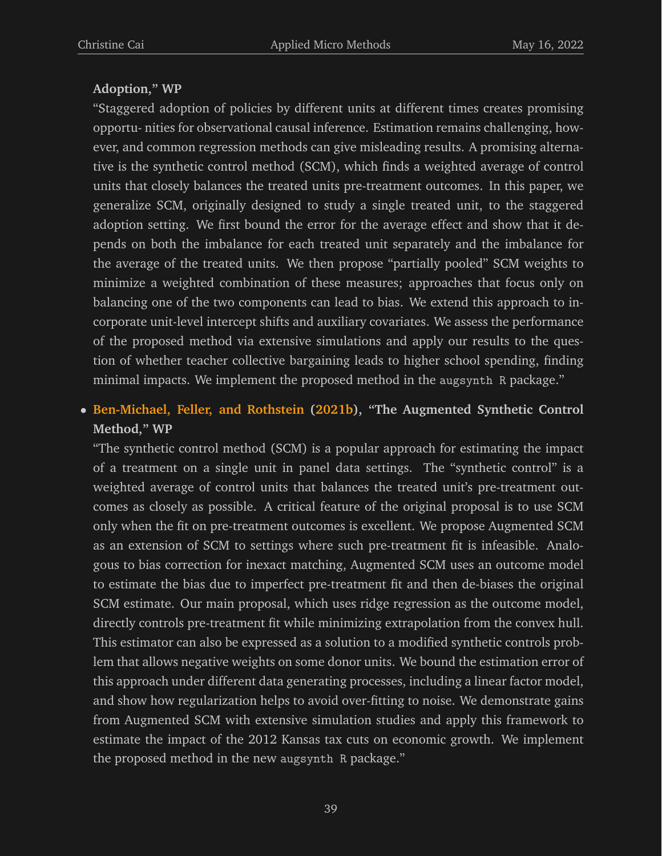#### **Adoption," WP**

"Staggered adoption of policies by different units at different times creates promising opportu- nities for observational causal inference. Estimation remains challenging, however, and common regression methods can give misleading results. A promising alternative is the synthetic control method (SCM), which finds a weighted average of control units that closely balances the treated units pre-treatment outcomes. In this paper, we generalize SCM, originally designed to study a single treated unit, to the staggered adoption setting. We first bound the error for the average effect and show that it depends on both the imbalance for each treated unit separately and the imbalance for the average of the treated units. We then propose "partially pooled" SCM weights to minimize a weighted combination of these measures; approaches that focus only on balancing one of the two components can lead to bias. We extend this approach to incorporate unit-level intercept shifts and auxiliary covariates. We assess the performance of the proposed method via extensive simulations and apply our results to the question of whether teacher collective bargaining leads to higher school spending, finding minimal impacts. We implement the proposed method in the augsynth R package."

#### *•* **[Ben-Michael, Feller, and Rothstein](#page-53-9) ([2021b\)](#page-53-9), "The Augmented Synthetic Control Method," WP**

"The synthetic control method (SCM) is a popular approach for estimating the impact of a treatment on a single unit in panel data settings. The "synthetic control" is a weighted average of control units that balances the treated unit's pre-treatment outcomes as closely as possible. A critical feature of the original proposal is to use SCM only when the fit on pre-treatment outcomes is excellent. We propose Augmented SCM as an extension of SCM to settings where such pre-treatment fit is infeasible. Analogous to bias correction for inexact matching, Augmented SCM uses an outcome model to estimate the bias due to imperfect pre-treatment fit and then de-biases the original SCM estimate. Our main proposal, which uses ridge regression as the outcome model, directly controls pre-treatment fit while minimizing extrapolation from the convex hull. This estimator can also be expressed as a solution to a modified synthetic controls problem that allows negative weights on some donor units. We bound the estimation error of this approach under different data generating processes, including a linear factor model, and show how regularization helps to avoid over-fitting to noise. We demonstrate gains from Augmented SCM with extensive simulation studies and apply this framework to estimate the impact of the 2012 Kansas tax cuts on economic growth. We implement the proposed method in the new augsynth R package."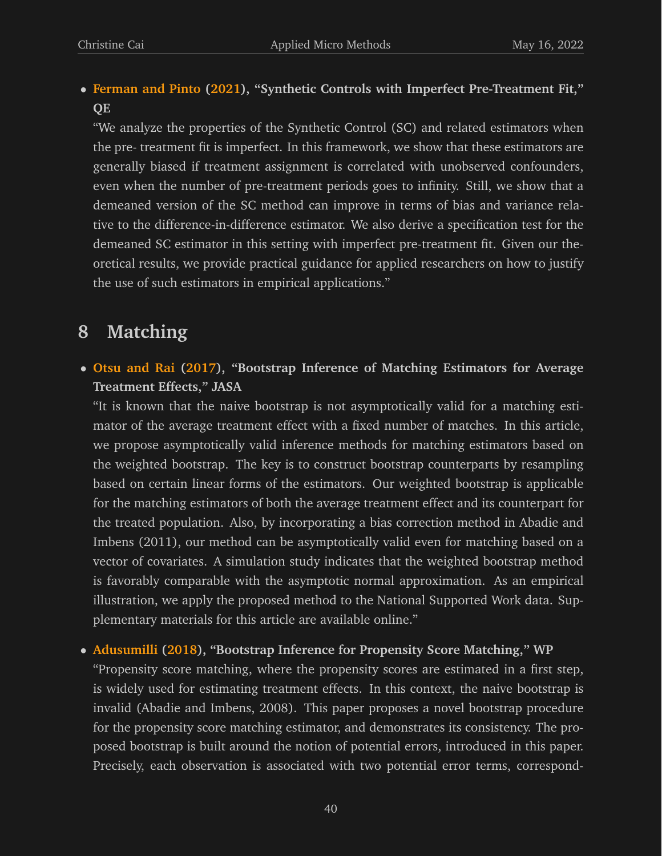### *•* **[Ferman and Pinto](#page-56-11) ([2021\)](#page-56-11), "Synthetic Controls with Imperfect Pre-Treatment Fit," QE**

"We analyze the properties of the Synthetic Control (SC) and related estimators when the pre- treatment fit is imperfect. In this framework, we show that these estimators are generally biased if treatment assignment is correlated with unobserved confounders, even when the number of pre-treatment periods goes to infinity. Still, we show that a demeaned version of the SC method can improve in terms of bias and variance relative to the difference-in-difference estimator. We also derive a specification test for the demeaned SC estimator in this setting with imperfect pre-treatment fit. Given our theoretical results, we provide practical guidance for applied researchers on how to justify the use of such estimators in empirical applications."

## <span id="page-39-0"></span>**8 Matching**

### *•* **[Otsu and Rai](#page-58-11) [\(2017\)](#page-58-11), "Bootstrap Inference of Matching Estimators for Average Treatment Effects," JASA**

"It is known that the naive bootstrap is not asymptotically valid for a matching estimator of the average treatment effect with a fixed number of matches. In this article, we propose asymptotically valid inference methods for matching estimators based on the weighted bootstrap. The key is to construct bootstrap counterparts by resampling based on certain linear forms of the estimators. Our weighted bootstrap is applicable for the matching estimators of both the average treatment effect and its counterpart for the treated population. Also, by incorporating a bias correction method in Abadie and Imbens (2011), our method can be asymptotically valid even for matching based on a vector of covariates. A simulation study indicates that the weighted bootstrap method is favorably comparable with the asymptotic normal approximation. As an empirical illustration, we apply the proposed method to the National Supported Work data. Supplementary materials for this article are available online."

#### *•* **[Adusumilli](#page-51-4) ([2018](#page-51-4)), "Bootstrap Inference for Propensity Score Matching," WP**

"Propensity score matching, where the propensity scores are estimated in a first step, is widely used for estimating treatment effects. In this context, the naive bootstrap is invalid (Abadie and Imbens, 2008). This paper proposes a novel bootstrap procedure for the propensity score matching estimator, and demonstrates its consistency. The proposed bootstrap is built around the notion of potential errors, introduced in this paper. Precisely, each observation is associated with two potential error terms, correspond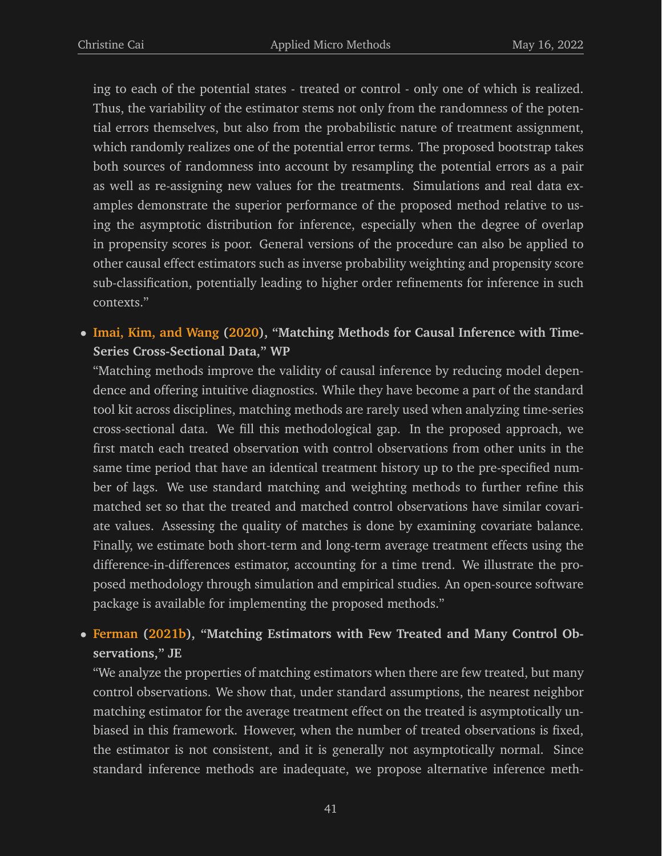ing to each of the potential states - treated or control - only one of which is realized. Thus, the variability of the estimator stems not only from the randomness of the potential errors themselves, but also from the probabilistic nature of treatment assignment, which randomly realizes one of the potential error terms. The proposed bootstrap takes both sources of randomness into account by resampling the potential errors as a pair as well as re-assigning new values for the treatments. Simulations and real data examples demonstrate the superior performance of the proposed method relative to using the asymptotic distribution for inference, especially when the degree of overlap in propensity scores is poor. General versions of the procedure can also be applied to other causal effect estimators such as inverse probability weighting and propensity score sub-classification, potentially leading to higher order refinements for inference in such contexts."

*•* **[Imai, Kim, and Wang](#page-57-8) ([2020](#page-57-8)), "Matching Methods for Causal Inference with Time-Series Cross-Sectional Data," WP**

"Matching methods improve the validity of causal inference by reducing model dependence and offering intuitive diagnostics. While they have become a part of the standard tool kit across disciplines, matching methods are rarely used when analyzing time-series cross-sectional data. We fill this methodological gap. In the proposed approach, we first match each treated observation with control observations from other units in the same time period that have an identical treatment history up to the pre-specified number of lags. We use standard matching and weighting methods to further refine this matched set so that the treated and matched control observations have similar covariate values. Assessing the quality of matches is done by examining covariate balance. Finally, we estimate both short-term and long-term average treatment effects using the difference-in-differences estimator, accounting for a time trend. We illustrate the proposed methodology through simulation and empirical studies. An open-source software package is available for implementing the proposed methods."

### *•* **[Ferman](#page-56-12) [\(2021b](#page-56-12)), "Matching Estimators with Few Treated and Many Control Observations," JE**

"We analyze the properties of matching estimators when there are few treated, but many control observations. We show that, under standard assumptions, the nearest neighbor matching estimator for the average treatment effect on the treated is asymptotically unbiased in this framework. However, when the number of treated observations is fixed, the estimator is not consistent, and it is generally not asymptotically normal. Since standard inference methods are inadequate, we propose alternative inference meth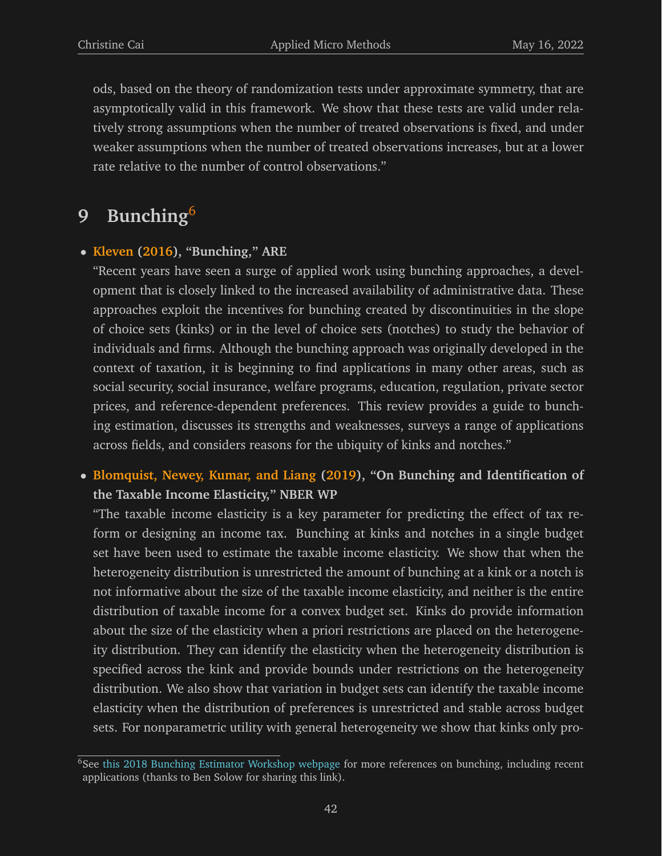ods, based on the theory of randomization tests under approximate symmetry, that are asymptotically valid in this framework. We show that these tests are valid under relatively strong assumptions when the number of treated observations is fixed, and under weaker assumptions when the number of treated observations increases, but at a lower rate relative to the number of control observations."

## <span id="page-41-0"></span>**9 Bunching**[6](#page-41-1)

#### *•* **[Kleven](#page-57-9) [\(2016\)](#page-57-9), "Bunching," ARE**

"Recent years have seen a surge of applied work using bunching approaches, a development that is closely linked to the increased availability of administrative data. These approaches exploit the incentives for bunching created by discontinuities in the slope of choice sets (kinks) or in the level of choice sets (notches) to study the behavior of individuals and firms. Although the bunching approach was originally developed in the context of taxation, it is beginning to find applications in many other areas, such as social security, social insurance, welfare programs, education, regulation, private sector prices, and reference-dependent preferences. This review provides a guide to bunching estimation, discusses its strengths and weaknesses, surveys a range of applications across fields, and considers reasons for the ubiquity of kinks and notches."

*•* **[Blomquist, Newey, Kumar, and Liang](#page-53-10) ([2019\)](#page-53-10), "On Bunching and Identification of the Taxable Income Elasticity," NBER WP**

"The taxable income elasticity is a key parameter for predicting the effect of tax reform or designing an income tax. Bunching at kinks and notches in a single budget set have been used to estimate the taxable income elasticity. We show that when the heterogeneity distribution is unrestricted the amount of bunching at a kink or a notch is not informative about the size of the taxable income elasticity, and neither is the entire distribution of taxable income for a convex budget set. Kinks do provide information about the size of the elasticity when a priori restrictions are placed on the heterogeneity distribution. They can identify the elasticity when the heterogeneity distribution is specified across the kink and provide bounds under restrictions on the heterogeneity distribution. We also show that variation in budget sets can identify the taxable income elasticity when the distribution of preferences is unrestricted and stable across budget sets. For nonparametric utility with general heterogeneity we show that kinks only pro-

<span id="page-41-1"></span> $6$ See [this 2018 Bunching Estimator Workshop webpage](https://sites.google.com/view/ucsdbunchingworkshop/home/program?authuser=0) for more references on bunching, including recent applications (thanks to Ben Solow for sharing this link).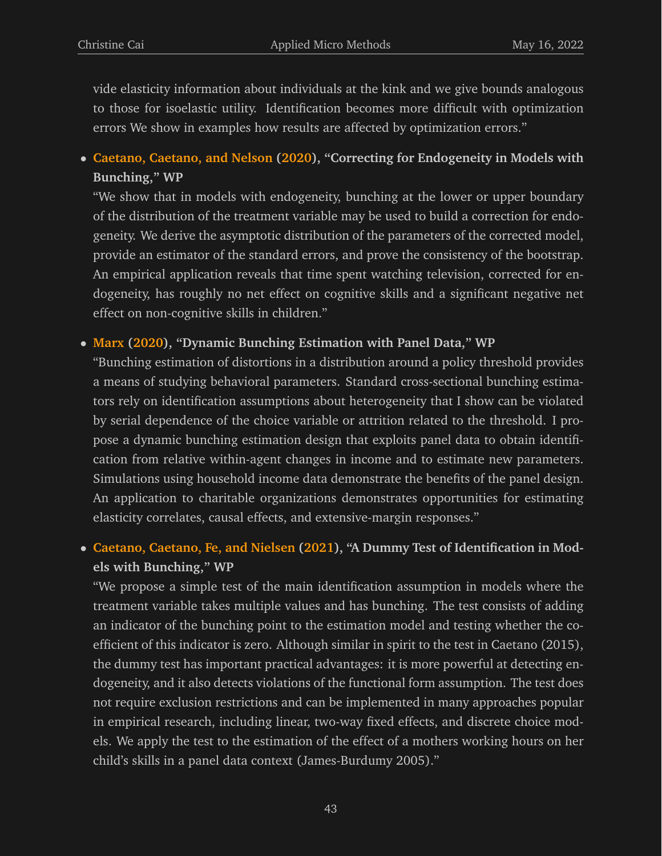vide elasticity information about individuals at the kink and we give bounds analogous to those for isoelastic utility. Identification becomes more difficult with optimization errors We show in examples how results are affected by optimization errors."

*•* **[Caetano, Caetano, and Nelson](#page-54-10) ([2020](#page-54-10)), "Correcting for Endogeneity in Models with Bunching," WP**

"We show that in models with endogeneity, bunching at the lower or upper boundary of the distribution of the treatment variable may be used to build a correction for endogeneity. We derive the asymptotic distribution of the parameters of the corrected model, provide an estimator of the standard errors, and prove the consistency of the bootstrap. An empirical application reveals that time spent watching television, corrected for endogeneity, has roughly no net effect on cognitive skills and a significant negative net effect on non-cognitive skills in children."

#### *•* **[Marx](#page-58-12) [\(2020\)](#page-58-12), "Dynamic Bunching Estimation with Panel Data," WP**

"Bunching estimation of distortions in a distribution around a policy threshold provides a means of studying behavioral parameters. Standard cross-sectional bunching estimators rely on identification assumptions about heterogeneity that I show can be violated by serial dependence of the choice variable or attrition related to the threshold. I propose a dynamic bunching estimation design that exploits panel data to obtain identification from relative within-agent changes in income and to estimate new parameters. Simulations using household income data demonstrate the benefits of the panel design. An application to charitable organizations demonstrates opportunities for estimating elasticity correlates, causal effects, and extensive-margin responses."

*•* **[Caetano, Caetano, Fe, and Nielsen](#page-53-11) [\(2021](#page-53-11)), "A Dummy Test of Identification in Models with Bunching," WP**

"We propose a simple test of the main identification assumption in models where the treatment variable takes multiple values and has bunching. The test consists of adding an indicator of the bunching point to the estimation model and testing whether the coefficient of this indicator is zero. Although similar in spirit to the test in Caetano (2015), the dummy test has important practical advantages: it is more powerful at detecting endogeneity, and it also detects violations of the functional form assumption. The test does not require exclusion restrictions and can be implemented in many approaches popular in empirical research, including linear, two-way fixed effects, and discrete choice models. We apply the test to the estimation of the effect of a mothers working hours on her child's skills in a panel data context (James-Burdumy 2005)."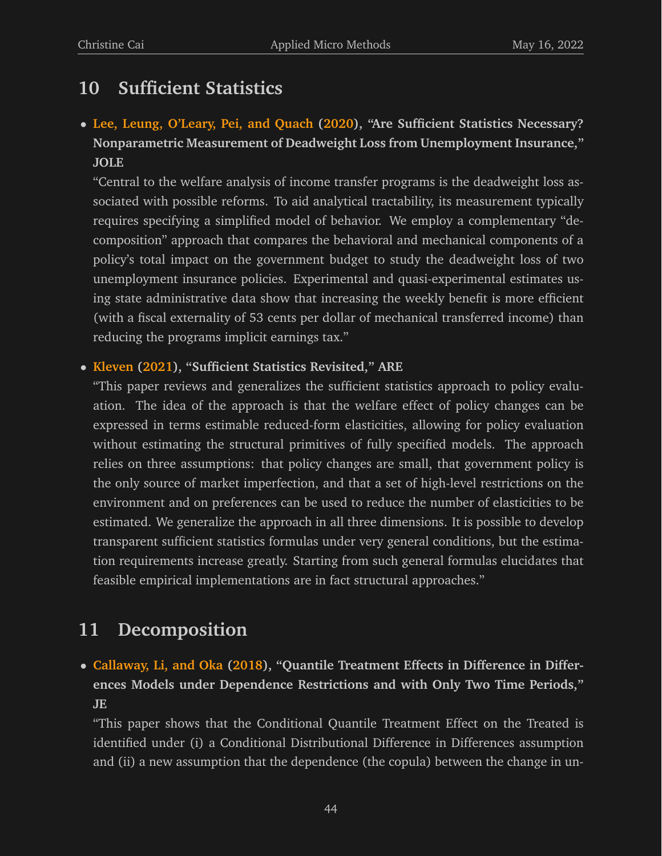## <span id="page-43-0"></span>**10 Sufficient Statistics**

## *•* **[Lee, Leung, O'Leary, Pei, and Quach](#page-58-13) [\(2020](#page-58-13)), "Are Sufficient Statistics Necessary? Nonparametric Measurement of Deadweight Loss from Unemployment Insurance," JOLE**

"Central to the welfare analysis of income transfer programs is the deadweight loss associated with possible reforms. To aid analytical tractability, its measurement typically requires specifying a simplified model of behavior. We employ a complementary "decomposition" approach that compares the behavioral and mechanical components of a policy's total impact on the government budget to study the deadweight loss of two unemployment insurance policies. Experimental and quasi-experimental estimates using state administrative data show that increasing the weekly benefit is more efficient (with a fiscal externality of 53 cents per dollar of mechanical transferred income) than reducing the programs implicit earnings tax."

#### *•* **[Kleven](#page-57-10) [\(2021\)](#page-57-10), "Sufficient Statistics Revisited," ARE**

"This paper reviews and generalizes the sufficient statistics approach to policy evaluation. The idea of the approach is that the welfare effect of policy changes can be expressed in terms estimable reduced-form elasticities, allowing for policy evaluation without estimating the structural primitives of fully specified models. The approach relies on three assumptions: that policy changes are small, that government policy is the only source of market imperfection, and that a set of high-level restrictions on the environment and on preferences can be used to reduce the number of elasticities to be estimated. We generalize the approach in all three dimensions. It is possible to develop transparent sufficient statistics formulas under very general conditions, but the estimation requirements increase greatly. Starting from such general formulas elucidates that feasible empirical implementations are in fact structural approaches."

## <span id="page-43-1"></span>**11 Decomposition**

*•* **[Callaway, Li, and Oka](#page-54-11) [\(2018](#page-54-11)), "Quantile Treatment Effects in Difference in Differences Models under Dependence Restrictions and with Only Two Time Periods," JE**

"This paper shows that the Conditional Quantile Treatment Effect on the Treated is identified under (i) a Conditional Distributional Difference in Differences assumption and (ii) a new assumption that the dependence (the copula) between the change in un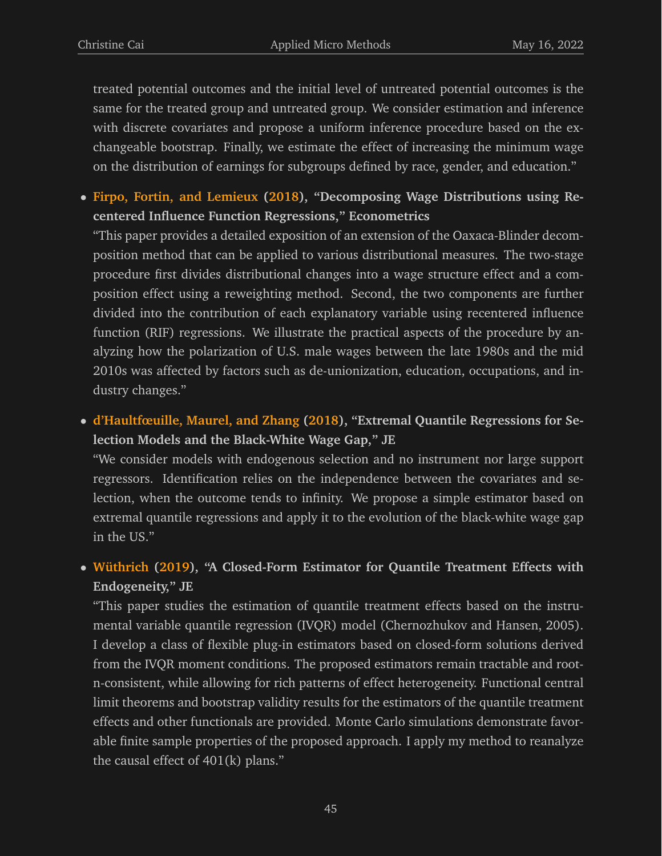treated potential outcomes and the initial level of untreated potential outcomes is the same for the treated group and untreated group. We consider estimation and inference with discrete covariates and propose a uniform inference procedure based on the exchangeable bootstrap. Finally, we estimate the effect of increasing the minimum wage on the distribution of earnings for subgroups defined by race, gender, and education."

*•* **[Firpo, Fortin, and Lemieux](#page-56-13) ([2018\)](#page-56-13), "Decomposing Wage Distributions using Recentered Influence Function Regressions," Econometrics**

"This paper provides a detailed exposition of an extension of the Oaxaca-Blinder decomposition method that can be applied to various distributional measures. The two-stage procedure first divides distributional changes into a wage structure effect and a composition effect using a reweighting method. Second, the two components are further divided into the contribution of each explanatory variable using recentered influence function (RIF) regressions. We illustrate the practical aspects of the procedure by analyzing how the polarization of U.S. male wages between the late 1980s and the mid 2010s was affected by factors such as de-unionization, education, occupations, and industry changes."

*•* **[d'Haultfœuille, Maurel, and Zhang](#page-55-7) ([2018](#page-55-7)), "Extremal Quantile Regressions for Selection Models and the Black-White Wage Gap," JE**

"We consider models with endogenous selection and no instrument nor large support regressors. Identification relies on the independence between the covariates and selection, when the outcome tends to infinity. We propose a simple estimator based on extremal quantile regressions and apply it to the evolution of the black-white wage gap in the US."

*•* **[Wüthrich](#page-60-4) ([2019](#page-60-4)), "A Closed-Form Estimator for Quantile Treatment Effects with Endogeneity," JE**

"This paper studies the estimation of quantile treatment effects based on the instrumental variable quantile regression (IVQR) model (Chernozhukov and Hansen, 2005). I develop a class of flexible plug-in estimators based on closed-form solutions derived from the IVQR moment conditions. The proposed estimators remain tractable and rootn-consistent, while allowing for rich patterns of effect heterogeneity. Functional central limit theorems and bootstrap validity results for the estimators of the quantile treatment effects and other functionals are provided. Monte Carlo simulations demonstrate favorable finite sample properties of the proposed approach. I apply my method to reanalyze the causal effect of 401(k) plans."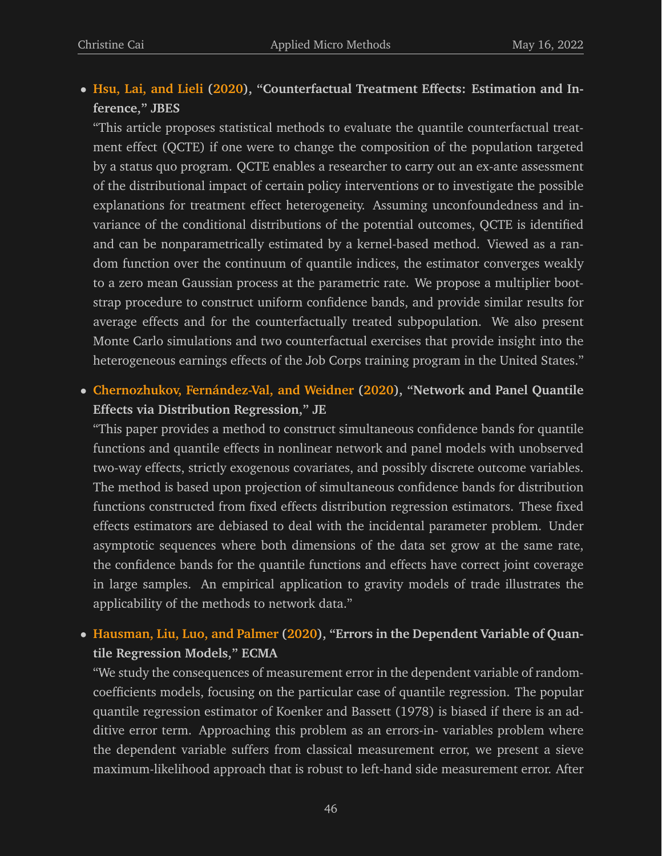### *•* **[Hsu, Lai, and Lieli](#page-57-11) [\(2020\)](#page-57-11), "Counterfactual Treatment Effects: Estimation and Inference," JBES**

"This article proposes statistical methods to evaluate the quantile counterfactual treatment effect (QCTE) if one were to change the composition of the population targeted by a status quo program. QCTE enables a researcher to carry out an ex-ante assessment of the distributional impact of certain policy interventions or to investigate the possible explanations for treatment effect heterogeneity. Assuming unconfoundedness and invariance of the conditional distributions of the potential outcomes, QCTE is identified and can be nonparametrically estimated by a kernel-based method. Viewed as a random function over the continuum of quantile indices, the estimator converges weakly to a zero mean Gaussian process at the parametric rate. We propose a multiplier bootstrap procedure to construct uniform confidence bands, and provide similar results for average effects and for the counterfactually treated subpopulation. We also present Monte Carlo simulations and two counterfactual exercises that provide insight into the heterogeneous earnings effects of the Job Corps training program in the United States."

#### *•* **[Chernozhukov, Fernández-Val, and Weidner](#page-55-8) [\(2020](#page-55-8)), "Network and Panel Quantile Effects via Distribution Regression," JE**

"This paper provides a method to construct simultaneous confidence bands for quantile functions and quantile effects in nonlinear network and panel models with unobserved two-way effects, strictly exogenous covariates, and possibly discrete outcome variables. The method is based upon projection of simultaneous confidence bands for distribution functions constructed from fixed effects distribution regression estimators. These fixed effects estimators are debiased to deal with the incidental parameter problem. Under asymptotic sequences where both dimensions of the data set grow at the same rate, the confidence bands for the quantile functions and effects have correct joint coverage in large samples. An empirical application to gravity models of trade illustrates the applicability of the methods to network data."

#### *•* **[Hausman, Liu, Luo, and Palmer](#page-57-12) ([2020](#page-57-12)), "Errors in the Dependent Variable of Quantile Regression Models," ECMA**

"We study the consequences of measurement error in the dependent variable of randomcoefficients models, focusing on the particular case of quantile regression. The popular quantile regression estimator of Koenker and Bassett (1978) is biased if there is an additive error term. Approaching this problem as an errors-in- variables problem where the dependent variable suffers from classical measurement error, we present a sieve maximum-likelihood approach that is robust to left-hand side measurement error. After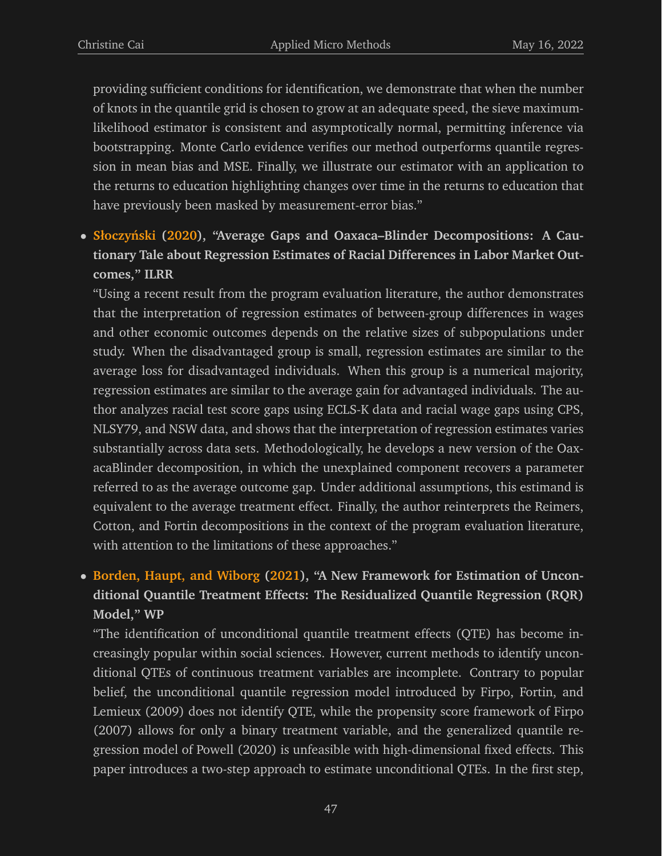providing sufficient conditions for identification, we demonstrate that when the number of knots in the quantile grid is chosen to grow at an adequate speed, the sieve maximumlikelihood estimator is consistent and asymptotically normal, permitting inference via bootstrapping. Monte Carlo evidence verifies our method outperforms quantile regression in mean bias and MSE. Finally, we illustrate our estimator with an application to the returns to education highlighting changes over time in the returns to education that have previously been masked by measurement-error bias."

• Słoczyński ([2020](#page-59-11)), "Average Gaps and Oaxaca–Blinder Decompositions: A Cau**tionary Tale about Regression Estimates of Racial Differences in Labor Market Outcomes," ILRR**

"Using a recent result from the program evaluation literature, the author demonstrates that the interpretation of regression estimates of between-group differences in wages and other economic outcomes depends on the relative sizes of subpopulations under study. When the disadvantaged group is small, regression estimates are similar to the average loss for disadvantaged individuals. When this group is a numerical majority, regression estimates are similar to the average gain for advantaged individuals. The author analyzes racial test score gaps using ECLS-K data and racial wage gaps using CPS, NLSY79, and NSW data, and shows that the interpretation of regression estimates varies substantially across data sets. Methodologically, he develops a new version of the OaxacaBlinder decomposition, in which the unexplained component recovers a parameter referred to as the average outcome gap. Under additional assumptions, this estimand is equivalent to the average treatment effect. Finally, the author reinterprets the Reimers, Cotton, and Fortin decompositions in the context of the program evaluation literature, with attention to the limitations of these approaches."

## *•* **[Borden, Haupt, and Wiborg](#page-53-12) ([2021\)](#page-53-12), "A New Framework for Estimation of Unconditional Quantile Treatment Effects: The Residualized Quantile Regression (RQR) Model," WP**

"The identification of unconditional quantile treatment effects (QTE) has become increasingly popular within social sciences. However, current methods to identify unconditional QTEs of continuous treatment variables are incomplete. Contrary to popular belief, the unconditional quantile regression model introduced by Firpo, Fortin, and Lemieux (2009) does not identify QTE, while the propensity score framework of Firpo (2007) allows for only a binary treatment variable, and the generalized quantile regression model of Powell (2020) is unfeasible with high-dimensional fixed effects. This paper introduces a two-step approach to estimate unconditional QTEs. In the first step,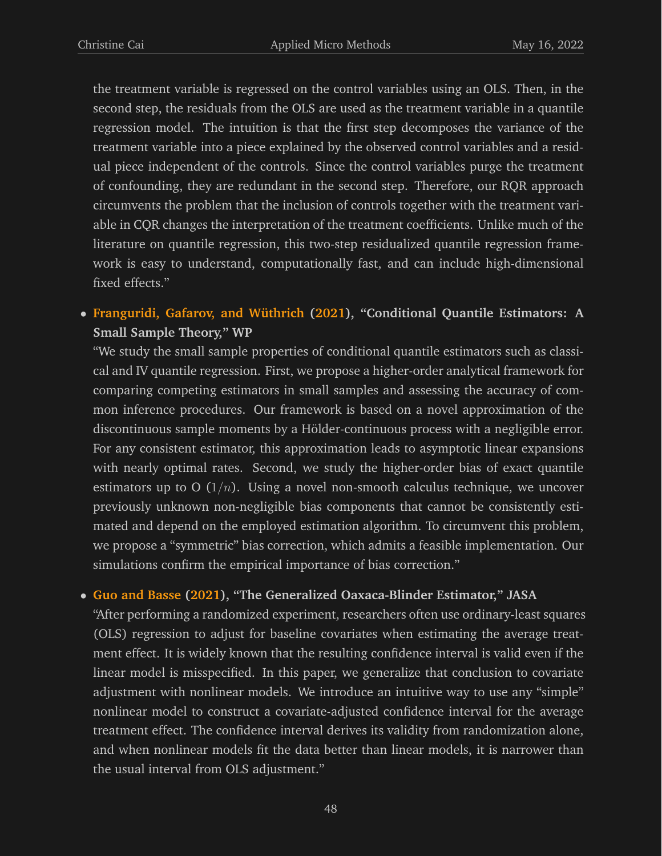the treatment variable is regressed on the control variables using an OLS. Then, in the second step, the residuals from the OLS are used as the treatment variable in a quantile regression model. The intuition is that the first step decomposes the variance of the treatment variable into a piece explained by the observed control variables and a residual piece independent of the controls. Since the control variables purge the treatment of confounding, they are redundant in the second step. Therefore, our RQR approach circumvents the problem that the inclusion of controls together with the treatment variable in CQR changes the interpretation of the treatment coefficients. Unlike much of the literature on quantile regression, this two-step residualized quantile regression framework is easy to understand, computationally fast, and can include high-dimensional fixed effects."

*•* **[Franguridi, Gafarov, and Wüthrich](#page-56-14) ([2021](#page-56-14)), "Conditional Quantile Estimators: A Small Sample Theory," WP**

"We study the small sample properties of conditional quantile estimators such as classical and IV quantile regression. First, we propose a higher-order analytical framework for comparing competing estimators in small samples and assessing the accuracy of common inference procedures. Our framework is based on a novel approximation of the discontinuous sample moments by a Hölder-continuous process with a negligible error. For any consistent estimator, this approximation leads to asymptotic linear expansions with nearly optimal rates. Second, we study the higher-order bias of exact quantile estimators up to O (1*/n*). Using a novel non-smooth calculus technique, we uncover previously unknown non-negligible bias components that cannot be consistently estimated and depend on the employed estimation algorithm. To circumvent this problem, we propose a "symmetric" bias correction, which admits a feasible implementation. Our simulations confirm the empirical importance of bias correction."

#### *•* **[Guo and Basse](#page-57-13) [\(2021\)](#page-57-13), "The Generalized Oaxaca-Blinder Estimator," JASA**

"After performing a randomized experiment, researchers often use ordinary-least squares (OLS) regression to adjust for baseline covariates when estimating the average treatment effect. It is widely known that the resulting confidence interval is valid even if the linear model is misspecified. In this paper, we generalize that conclusion to covariate adjustment with nonlinear models. We introduce an intuitive way to use any "simple" nonlinear model to construct a covariate-adjusted confidence interval for the average treatment effect. The confidence interval derives its validity from randomization alone, and when nonlinear models fit the data better than linear models, it is narrower than the usual interval from OLS adjustment."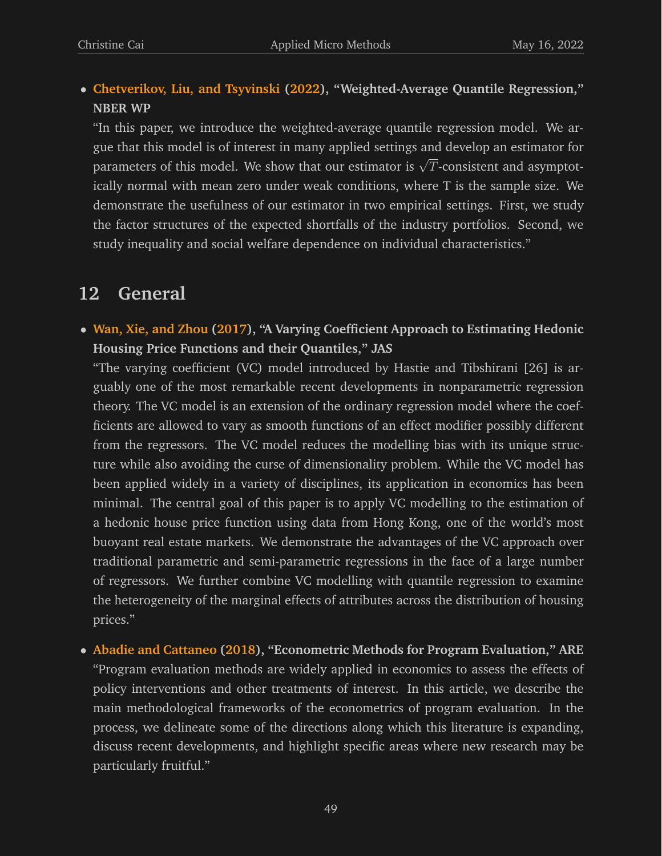### *•* **[Chetverikov, Liu, and Tsyvinski](#page-55-9) [\(2022](#page-55-9)), "Weighted-Average Quantile Regression," NBER WP**

"In this paper, we introduce the weighted-average quantile regression model. We argue that this model is of interest in many applied settings and develop an estimator for parameters of this model. We show that our estimator is *<sup>√</sup> T*-consistent and asymptotically normal with mean zero under weak conditions, where T is the sample size. We demonstrate the usefulness of our estimator in two empirical settings. First, we study the factor structures of the expected shortfalls of the industry portfolios. Second, we study inequality and social welfare dependence on individual characteristics."

## <span id="page-48-0"></span>**12 General**

*•* **[Wan, Xie, and Zhou](#page-60-5) ([2017](#page-60-5)), "A Varying Coefficient Approach to Estimating Hedonic Housing Price Functions and their Quantiles," JAS**

"The varying coefficient (VC) model introduced by Hastie and Tibshirani [26] is arguably one of the most remarkable recent developments in nonparametric regression theory. The VC model is an extension of the ordinary regression model where the coefficients are allowed to vary as smooth functions of an effect modifier possibly different from the regressors. The VC model reduces the modelling bias with its unique structure while also avoiding the curse of dimensionality problem. While the VC model has been applied widely in a variety of disciplines, its application in economics has been minimal. The central goal of this paper is to apply VC modelling to the estimation of a hedonic house price function using data from Hong Kong, one of the world's most buoyant real estate markets. We demonstrate the advantages of the VC approach over traditional parametric and semi-parametric regressions in the face of a large number of regressors. We further combine VC modelling with quantile regression to examine the heterogeneity of the marginal effects of attributes across the distribution of housing prices."

*•* **[Abadie and Cattaneo](#page-51-5) ([2018](#page-51-5)), "Econometric Methods for Program Evaluation," ARE** "Program evaluation methods are widely applied in economics to assess the effects of policy interventions and other treatments of interest. In this article, we describe the main methodological frameworks of the econometrics of program evaluation. In the process, we delineate some of the directions along which this literature is expanding, discuss recent developments, and highlight specific areas where new research may be particularly fruitful."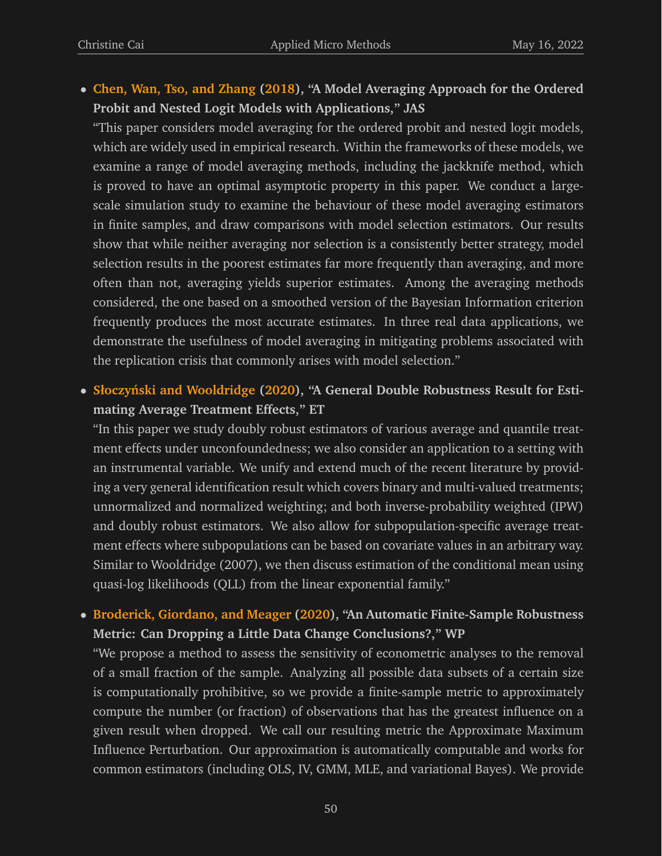#### *•* **[Chen, Wan, Tso, and Zhang](#page-55-10) [\(2018\)](#page-55-10), "A Model Averaging Approach for the Ordered Probit and Nested Logit Models with Applications," JAS**

"This paper considers model averaging for the ordered probit and nested logit models, which are widely used in empirical research. Within the frameworks of these models, we examine a range of model averaging methods, including the jackknife method, which is proved to have an optimal asymptotic property in this paper. We conduct a largescale simulation study to examine the behaviour of these model averaging estimators in finite samples, and draw comparisons with model selection estimators. Our results show that while neither averaging nor selection is a consistently better strategy, model selection results in the poorest estimates far more frequently than averaging, and more often than not, averaging yields superior estimates. Among the averaging methods considered, the one based on a smoothed version of the Bayesian Information criterion frequently produces the most accurate estimates. In three real data applications, we demonstrate the usefulness of model averaging in mitigating problems associated with the replication crisis that commonly arises with model selection."

#### • Shoczyński and Wooldridge [\(2020\)](#page-59-12), "A General Double Robustness Result for Esti**mating Average Treatment Effects," ET**

"In this paper we study doubly robust estimators of various average and quantile treatment effects under unconfoundedness; we also consider an application to a setting with an instrumental variable. We unify and extend much of the recent literature by providing a very general identification result which covers binary and multi-valued treatments; unnormalized and normalized weighting; and both inverse-probability weighted (IPW) and doubly robust estimators. We also allow for subpopulation-specific average treatment effects where subpopulations can be based on covariate values in an arbitrary way. Similar to Wooldridge (2007), we then discuss estimation of the conditional mean using quasi-log likelihoods (QLL) from the linear exponential family."

#### *•* **[Broderick, Giordano, and Meager](#page-53-13) ([2020](#page-53-13)), "An Automatic Finite-Sample Robustness Metric: Can Dropping a Little Data Change Conclusions?," WP**

"We propose a method to assess the sensitivity of econometric analyses to the removal of a small fraction of the sample. Analyzing all possible data subsets of a certain size is computationally prohibitive, so we provide a finite-sample metric to approximately compute the number (or fraction) of observations that has the greatest influence on a given result when dropped. We call our resulting metric the Approximate Maximum Influence Perturbation. Our approximation is automatically computable and works for common estimators (including OLS, IV, GMM, MLE, and variational Bayes). We provide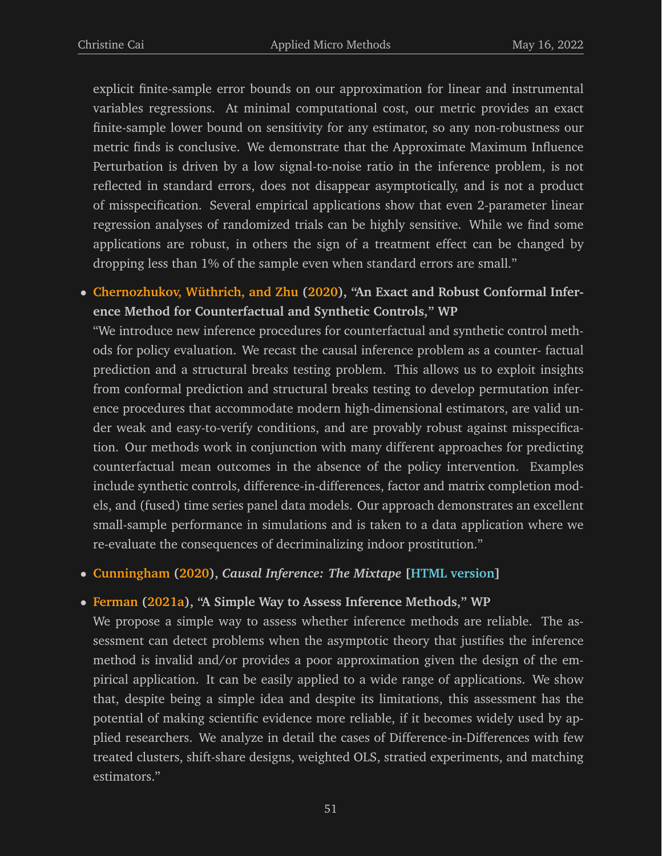explicit finite-sample error bounds on our approximation for linear and instrumental variables regressions. At minimal computational cost, our metric provides an exact finite-sample lower bound on sensitivity for any estimator, so any non-robustness our metric finds is conclusive. We demonstrate that the Approximate Maximum Influence Perturbation is driven by a low signal-to-noise ratio in the inference problem, is not reflected in standard errors, does not disappear asymptotically, and is not a product of misspecification. Several empirical applications show that even 2-parameter linear regression analyses of randomized trials can be highly sensitive. While we find some applications are robust, in others the sign of a treatment effect can be changed by dropping less than 1% of the sample even when standard errors are small."

#### *•* **[Chernozhukov, Wüthrich, and Zhu](#page-55-11) ([2020\)](#page-55-11), "An Exact and Robust Conformal Inference Method for Counterfactual and Synthetic Controls," WP**

"We introduce new inference procedures for counterfactual and synthetic control methods for policy evaluation. We recast the causal inference problem as a counter- factual prediction and a structural breaks testing problem. This allows us to exploit insights from conformal prediction and structural breaks testing to develop permutation inference procedures that accommodate modern high-dimensional estimators, are valid under weak and easy-to-verify conditions, and are provably robust against misspecification. Our methods work in conjunction with many different approaches for predicting counterfactual mean outcomes in the absence of the policy intervention. Examples include synthetic controls, difference-in-differences, factor and matrix completion models, and (fused) time series panel data models. Our approach demonstrates an excellent small-sample performance in simulations and is taken to a data application where we re-evaluate the consequences of decriminalizing indoor prostitution."

#### *•* **[Cunningham](#page-55-12) ([2020\)](#page-55-12),** *Causal Inference: The Mixtape* **[\[HTML version\]](https://www.scunning.com/mixtape.html)**

#### *•* **[Ferman](#page-55-13) [\(2021a\)](#page-55-13), "A Simple Way to Assess Inference Methods," WP**

We propose a simple way to assess whether inference methods are reliable. The assessment can detect problems when the asymptotic theory that justifies the inference method is invalid and/or provides a poor approximation given the design of the empirical application. It can be easily applied to a wide range of applications. We show that, despite being a simple idea and despite its limitations, this assessment has the potential of making scientific evidence more reliable, if it becomes widely used by applied researchers. We analyze in detail the cases of Difference-in-Differences with few treated clusters, shift-share designs, weighted OLS, stratied experiments, and matching estimators."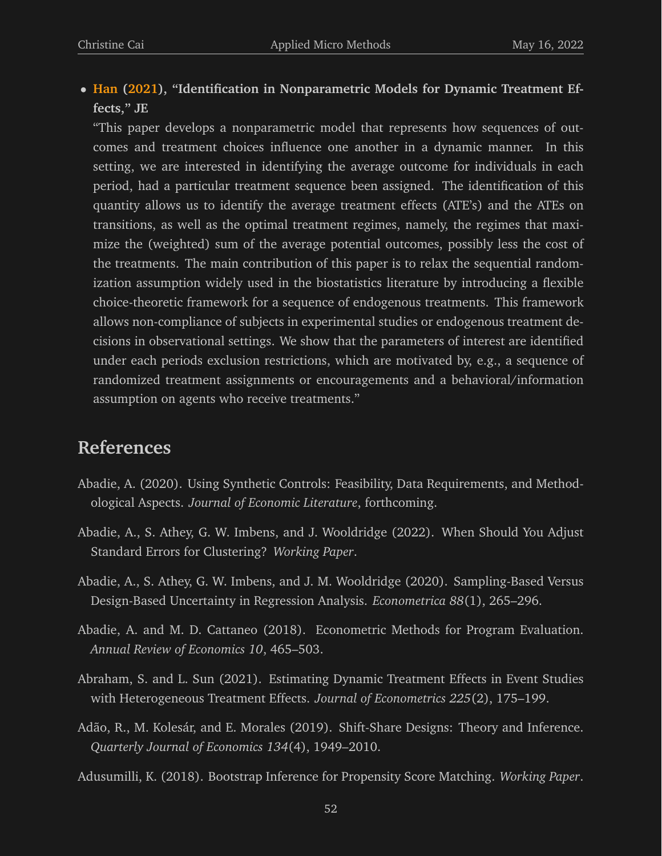#### *•* **[Han](#page-57-14) [\(2021](#page-57-14)), "Identification in Nonparametric Models for Dynamic Treatment Effects," JE**

"This paper develops a nonparametric model that represents how sequences of outcomes and treatment choices influence one another in a dynamic manner. In this setting, we are interested in identifying the average outcome for individuals in each period, had a particular treatment sequence been assigned. The identification of this quantity allows us to identify the average treatment effects (ATE's) and the ATEs on transitions, as well as the optimal treatment regimes, namely, the regimes that maximize the (weighted) sum of the average potential outcomes, possibly less the cost of the treatments. The main contribution of this paper is to relax the sequential randomization assumption widely used in the biostatistics literature by introducing a flexible choice-theoretic framework for a sequence of endogenous treatments. This framework allows non-compliance of subjects in experimental studies or endogenous treatment decisions in observational settings. We show that the parameters of interest are identified under each periods exclusion restrictions, which are motivated by, e.g., a sequence of randomized treatment assignments or encouragements and a behavioral/information assumption on agents who receive treatments."

## **References**

- <span id="page-51-3"></span>Abadie, A. (2020). Using Synthetic Controls: Feasibility, Data Requirements, and Methodological Aspects. *Journal of Economic Literature*, forthcoming.
- Abadie, A., S. Athey, G. W. Imbens, and J. Wooldridge (2022). When Should You Adjust Standard Errors for Clustering? *Working Paper*.
- <span id="page-51-0"></span>Abadie, A., S. Athey, G. W. Imbens, and J. M. Wooldridge (2020). Sampling-Based Versus Design-Based Uncertainty in Regression Analysis. *Econometrica 88*(1), 265–296.
- <span id="page-51-5"></span>Abadie, A. and M. D. Cattaneo (2018). Econometric Methods for Program Evaluation. *Annual Review of Economics 10*, 465–503.
- <span id="page-51-1"></span>Abraham, S. and L. Sun (2021). Estimating Dynamic Treatment Effects in Event Studies with Heterogeneous Treatment Effects. *Journal of Econometrics 225*(2), 175–199.
- <span id="page-51-2"></span>Adão, R., M. Kolesár, and E. Morales (2019). Shift-Share Designs: Theory and Inference. *Quarterly Journal of Economics 134*(4), 1949–2010.
- <span id="page-51-4"></span>Adusumilli, K. (2018). Bootstrap Inference for Propensity Score Matching. *Working Paper*.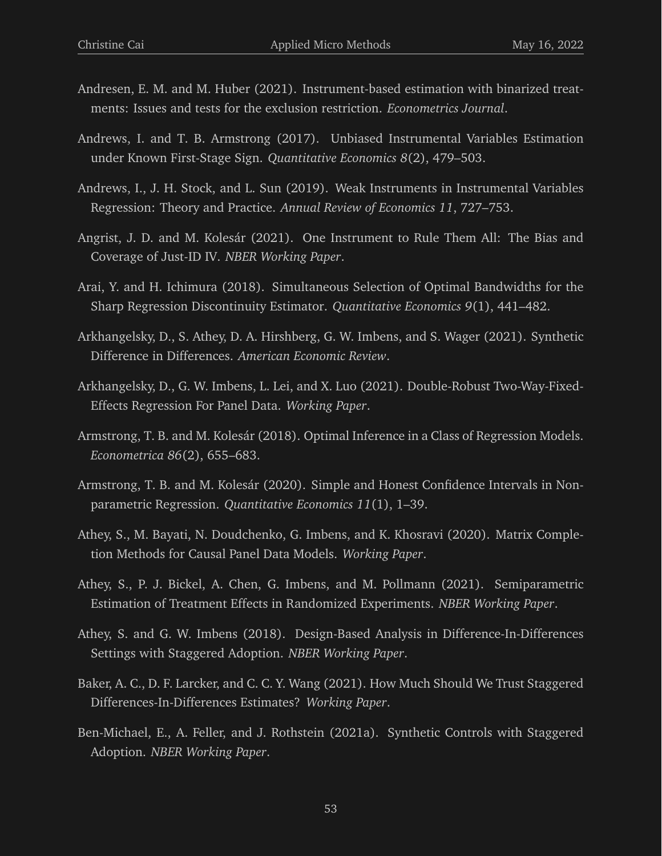- <span id="page-52-7"></span>Andresen, E. M. and M. Huber (2021). Instrument-based estimation with binarized treatments: Issues and tests for the exclusion restriction. *Econometrics Journal*.
- <span id="page-52-5"></span>Andrews, I. and T. B. Armstrong (2017). Unbiased Instrumental Variables Estimation under Known First-Stage Sign. *Quantitative Economics 8*(2), 479–503.
- <span id="page-52-6"></span>Andrews, I., J. H. Stock, and L. Sun (2019). Weak Instruments in Instrumental Variables Regression: Theory and Practice. *Annual Review of Economics 11*, 727–753.
- <span id="page-52-8"></span>Angrist, J. D. and M. Kolesár (2021). One Instrument to Rule Them All: The Bias and Coverage of Just-ID IV. *NBER Working Paper*.
- <span id="page-52-9"></span>Arai, Y. and H. Ichimura (2018). Simultaneous Selection of Optimal Bandwidths for the Sharp Regression Discontinuity Estimator. *Quantitative Economics 9*(1), 441–482.
- <span id="page-52-3"></span>Arkhangelsky, D., S. Athey, D. A. Hirshberg, G. W. Imbens, and S. Wager (2021). Synthetic Difference in Differences. *American Economic Review*.
- <span id="page-52-0"></span>Arkhangelsky, D., G. W. Imbens, L. Lei, and X. Luo (2021). Double-Robust Two-Way-Fixed-Effects Regression For Panel Data. *Working Paper*.
- <span id="page-52-10"></span>Armstrong, T. B. and M. Kolesár (2018). Optimal Inference in a Class of Regression Models. *Econometrica 86*(2), 655–683.
- <span id="page-52-11"></span>Armstrong, T. B. and M. Kolesár (2020). Simple and Honest Confidence Intervals in Nonparametric Regression. *Quantitative Economics 11*(1), 1–39.
- <span id="page-52-12"></span>Athey, S., M. Bayati, N. Doudchenko, G. Imbens, and K. Khosravi (2020). Matrix Completion Methods for Causal Panel Data Models. *Working Paper*.
- <span id="page-52-1"></span>Athey, S., P. J. Bickel, A. Chen, G. Imbens, and M. Pollmann (2021). Semiparametric Estimation of Treatment Effects in Randomized Experiments. *NBER Working Paper*.
- <span id="page-52-2"></span>Athey, S. and G. W. Imbens (2018). Design-Based Analysis in Difference-In-Differences Settings with Staggered Adoption. *NBER Working Paper*.
- <span id="page-52-4"></span>Baker, A. C., D. F. Larcker, and C. C. Y. Wang (2021). How Much Should We Trust Staggered Differences-In-Differences Estimates? *Working Paper*.
- <span id="page-52-13"></span>Ben-Michael, E., A. Feller, and J. Rothstein (2021a). Synthetic Controls with Staggered Adoption. *NBER Working Paper*.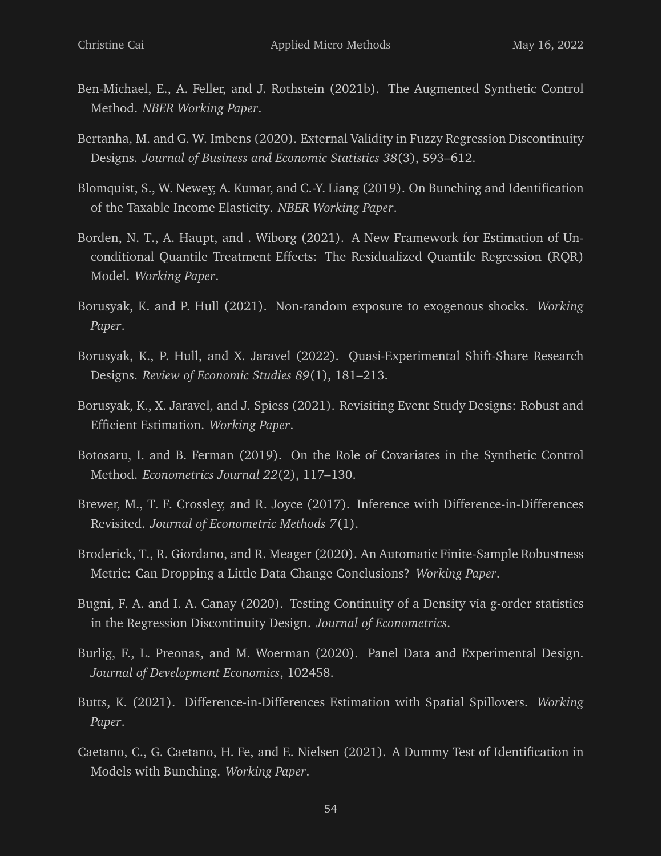- <span id="page-53-9"></span>Ben-Michael, E., A. Feller, and J. Rothstein (2021b). The Augmented Synthetic Control Method. *NBER Working Paper*.
- <span id="page-53-6"></span>Bertanha, M. and G. W. Imbens (2020). External Validity in Fuzzy Regression Discontinuity Designs. *Journal of Business and Economic Statistics 38*(3), 593–612.
- <span id="page-53-10"></span>Blomquist, S., W. Newey, A. Kumar, and C.-Y. Liang (2019). On Bunching and Identification of the Taxable Income Elasticity. *NBER Working Paper*.
- <span id="page-53-12"></span>Borden, N. T., A. Haupt, and . Wiborg (2021). A New Framework for Estimation of Unconditional Quantile Treatment Effects: The Residualized Quantile Regression (RQR) Model. *Working Paper*.
- <span id="page-53-4"></span>Borusyak, K. and P. Hull (2021). Non-random exposure to exogenous shocks. *Working Paper*.
- <span id="page-53-5"></span>Borusyak, K., P. Hull, and X. Jaravel (2022). Quasi-Experimental Shift-Share Research Designs. *Review of Economic Studies 89*(1), 181–213.
- <span id="page-53-2"></span>Borusyak, K., X. Jaravel, and J. Spiess (2021). Revisiting Event Study Designs: Robust and Efficient Estimation. *Working Paper*.
- <span id="page-53-8"></span>Botosaru, I. and B. Ferman (2019). On the Role of Covariates in the Synthetic Control Method. *Econometrics Journal 22*(2), 117–130.
- <span id="page-53-1"></span>Brewer, M., T. F. Crossley, and R. Joyce (2017). Inference with Difference-in-Differences Revisited. *Journal of Econometric Methods 7*(1).
- <span id="page-53-13"></span>Broderick, T., R. Giordano, and R. Meager (2020). An Automatic Finite-Sample Robustness Metric: Can Dropping a Little Data Change Conclusions? *Working Paper*.
- <span id="page-53-7"></span>Bugni, F. A. and I. A. Canay (2020). Testing Continuity of a Density via g-order statistics in the Regression Discontinuity Design. *Journal of Econometrics*.
- <span id="page-53-0"></span>Burlig, F., L. Preonas, and M. Woerman (2020). Panel Data and Experimental Design. *Journal of Development Economics*, 102458.
- <span id="page-53-3"></span>Butts, K. (2021). Difference-in-Differences Estimation with Spatial Spillovers. *Working Paper*.
- <span id="page-53-11"></span>Caetano, C., G. Caetano, H. Fe, and E. Nielsen (2021). A Dummy Test of Identification in Models with Bunching. *Working Paper*.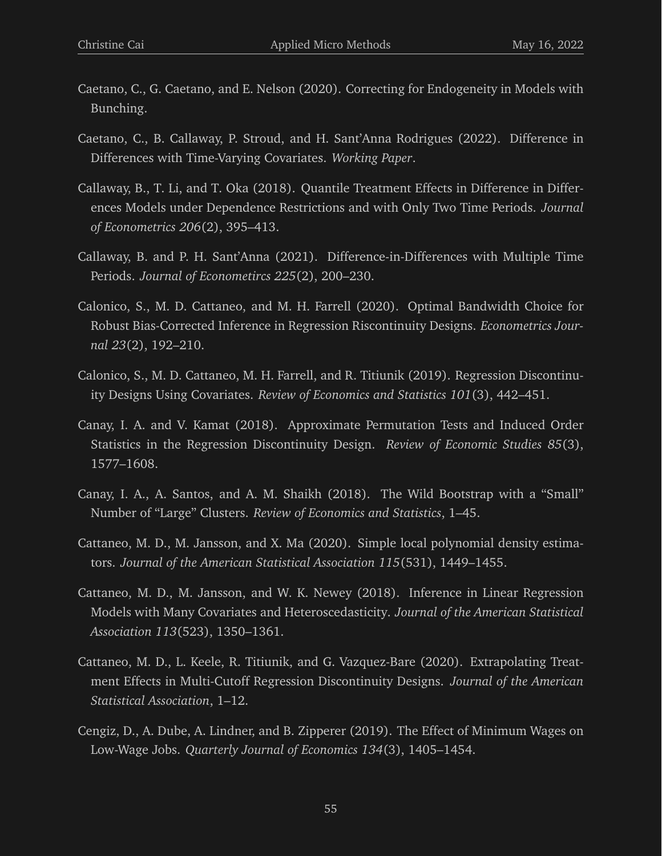- <span id="page-54-10"></span>Caetano, C., G. Caetano, and E. Nelson (2020). Correcting for Endogeneity in Models with Bunching.
- <span id="page-54-4"></span>Caetano, C., B. Callaway, P. Stroud, and H. Sant'Anna Rodrigues (2022). Difference in Differences with Time-Varying Covariates. *Working Paper*.
- <span id="page-54-11"></span>Callaway, B., T. Li, and T. Oka (2018). Quantile Treatment Effects in Difference in Differences Models under Dependence Restrictions and with Only Two Time Periods. *Journal of Econometrics 206*(2), 395–413.
- <span id="page-54-3"></span>Callaway, B. and P. H. Sant'Anna (2021). Difference-in-Differences with Multiple Time Periods. *Journal of Econometircs 225*(2), 200–230.
- <span id="page-54-7"></span>Calonico, S., M. D. Cattaneo, and M. H. Farrell (2020). Optimal Bandwidth Choice for Robust Bias-Corrected Inference in Regression Riscontinuity Designs. *Econometrics Journal 23*(2), 192–210.
- <span id="page-54-6"></span>Calonico, S., M. D. Cattaneo, M. H. Farrell, and R. Titiunik (2019). Regression Discontinuity Designs Using Covariates. *Review of Economics and Statistics 101*(3), 442–451.
- <span id="page-54-5"></span>Canay, I. A. and V. Kamat (2018). Approximate Permutation Tests and Induced Order Statistics in the Regression Discontinuity Design. *Review of Economic Studies 85*(3), 1577–1608.
- <span id="page-54-0"></span>Canay, I. A., A. Santos, and A. M. Shaikh (2018). The Wild Bootstrap with a "Small" Number of "Large" Clusters. *Review of Economics and Statistics*, 1–45.
- <span id="page-54-8"></span>Cattaneo, M. D., M. Jansson, and X. Ma (2020). Simple local polynomial density estimators. *Journal of the American Statistical Association 115*(531), 1449–1455.
- <span id="page-54-1"></span>Cattaneo, M. D., M. Jansson, and W. K. Newey (2018). Inference in Linear Regression Models with Many Covariates and Heteroscedasticity. *Journal of the American Statistical Association 113*(523), 1350–1361.
- <span id="page-54-9"></span>Cattaneo, M. D., L. Keele, R. Titiunik, and G. Vazquez-Bare (2020). Extrapolating Treatment Effects in Multi-Cutoff Regression Discontinuity Designs. *Journal of the American Statistical Association*, 1–12.
- <span id="page-54-2"></span>Cengiz, D., A. Dube, A. Lindner, and B. Zipperer (2019). The Effect of Minimum Wages on Low-Wage Jobs. *Quarterly Journal of Economics 134*(3), 1405–1454.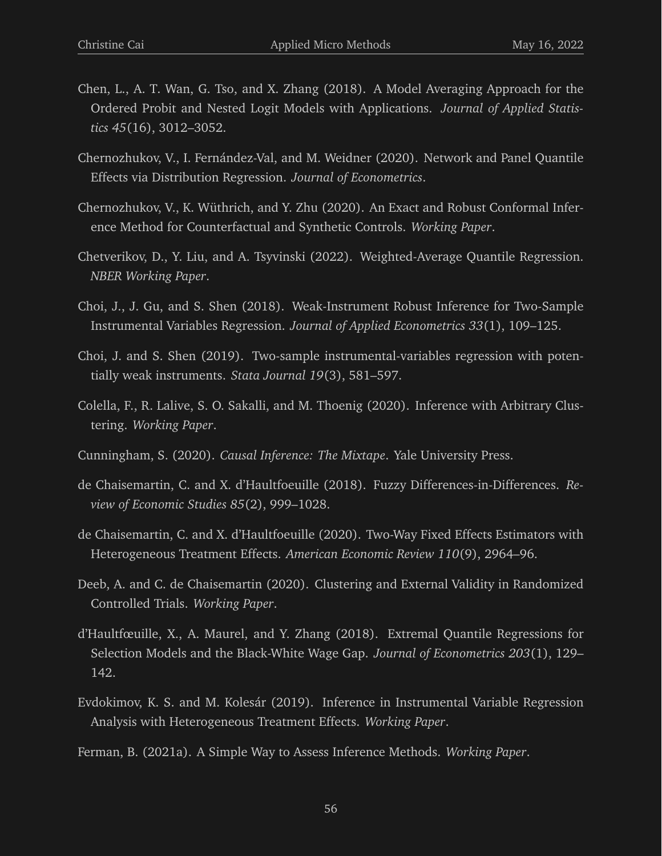- <span id="page-55-10"></span>Chen, L., A. T. Wan, G. Tso, and X. Zhang (2018). A Model Averaging Approach for the Ordered Probit and Nested Logit Models with Applications. *Journal of Applied Statistics 45*(16), 3012–3052.
- <span id="page-55-8"></span>Chernozhukov, V., I. Fernández-Val, and M. Weidner (2020). Network and Panel Quantile Effects via Distribution Regression. *Journal of Econometrics*.
- <span id="page-55-11"></span>Chernozhukov, V., K. Wüthrich, and Y. Zhu (2020). An Exact and Robust Conformal Inference Method for Counterfactual and Synthetic Controls. *Working Paper*.
- <span id="page-55-9"></span>Chetverikov, D., Y. Liu, and A. Tsyvinski (2022). Weighted-Average Quantile Regression. *NBER Working Paper*.
- <span id="page-55-4"></span>Choi, J., J. Gu, and S. Shen (2018). Weak-Instrument Robust Inference for Two-Sample Instrumental Variables Regression. *Journal of Applied Econometrics 33*(1), 109–125.
- <span id="page-55-6"></span>Choi, J. and S. Shen (2019). Two-sample instrumental-variables regression with potentially weak instruments. *Stata Journal 19*(3), 581–597.
- <span id="page-55-0"></span>Colella, F., R. Lalive, S. O. Sakalli, and M. Thoenig (2020). Inference with Arbitrary Clustering. *Working Paper*.
- <span id="page-55-12"></span>Cunningham, S. (2020). *Causal Inference: The Mixtape*. Yale University Press.
- <span id="page-55-2"></span>de Chaisemartin, C. and X. d'Haultfoeuille (2018). Fuzzy Differences-in-Differences. *Review of Economic Studies 85*(2), 999–1028.
- <span id="page-55-3"></span>de Chaisemartin, C. and X. d'Haultfoeuille (2020). Two-Way Fixed Effects Estimators with Heterogeneous Treatment Effects. *American Economic Review 110*(9), 2964–96.
- <span id="page-55-1"></span>Deeb, A. and C. de Chaisemartin (2020). Clustering and External Validity in Randomized Controlled Trials. *Working Paper*.
- <span id="page-55-7"></span>d'Haultfœuille, X., A. Maurel, and Y. Zhang (2018). Extremal Quantile Regressions for Selection Models and the Black-White Wage Gap. *Journal of Econometrics 203*(1), 129– 142.
- <span id="page-55-5"></span>Evdokimov, K. S. and M. Kolesár (2019). Inference in Instrumental Variable Regression Analysis with Heterogeneous Treatment Effects. *Working Paper*.
- <span id="page-55-13"></span>Ferman, B. (2021a). A Simple Way to Assess Inference Methods. *Working Paper*.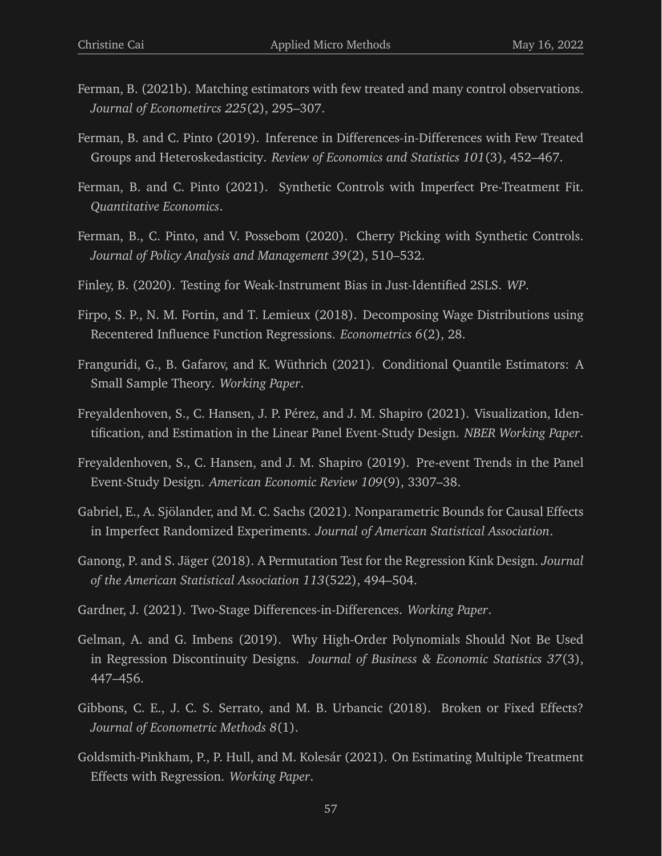- <span id="page-56-12"></span>Ferman, B. (2021b). Matching estimators with few treated and many control observations. *Journal of Econometircs 225*(2), 295–307.
- <span id="page-56-3"></span>Ferman, B. and C. Pinto (2019). Inference in Differences-in-Differences with Few Treated Groups and Heteroskedasticity. *Review of Economics and Statistics 101*(3), 452–467.
- <span id="page-56-11"></span>Ferman, B. and C. Pinto (2021). Synthetic Controls with Imperfect Pre-Treatment Fit. *Quantitative Economics*.
- <span id="page-56-10"></span>Ferman, B., C. Pinto, and V. Possebom (2020). Cherry Picking with Synthetic Controls. *Journal of Policy Analysis and Management 39*(2), 510–532.
- <span id="page-56-7"></span>Finley, B. (2020). Testing for Weak-Instrument Bias in Just-Identified 2SLS. *WP*.
- <span id="page-56-13"></span>Firpo, S. P., N. M. Fortin, and T. Lemieux (2018). Decomposing Wage Distributions using Recentered Influence Function Regressions. *Econometrics 6*(2), 28.
- <span id="page-56-14"></span>Franguridi, G., B. Gafarov, and K. Wüthrich (2021). Conditional Quantile Estimators: A Small Sample Theory. *Working Paper*.
- <span id="page-56-5"></span>Freyaldenhoven, S., C. Hansen, J. P. Pérez, and J. M. Shapiro (2021). Visualization, Identification, and Estimation in the Linear Panel Event-Study Design. *NBER Working Paper*.
- <span id="page-56-4"></span>Freyaldenhoven, S., C. Hansen, and J. M. Shapiro (2019). Pre-event Trends in the Panel Event-Study Design. *American Economic Review 109*(9), 3307–38.
- <span id="page-56-2"></span>Gabriel, E., A. Sjölander, and M. C. Sachs (2021). Nonparametric Bounds for Causal Effects in Imperfect Randomized Experiments. *Journal of American Statistical Association*.
- <span id="page-56-8"></span>Ganong, P. and S. Jäger (2018). A Permutation Test for the Regression Kink Design. *Journal of the American Statistical Association 113*(522), 494–504.
- <span id="page-56-6"></span>Gardner, J. (2021). Two-Stage Differences-in-Differences. *Working Paper*.
- <span id="page-56-9"></span>Gelman, A. and G. Imbens (2019). Why High-Order Polynomials Should Not Be Used in Regression Discontinuity Designs. *Journal of Business & Economic Statistics 37*(3), 447–456.
- <span id="page-56-0"></span>Gibbons, C. E., J. C. S. Serrato, and M. B. Urbancic (2018). Broken or Fixed Effects? *Journal of Econometric Methods 8*(1).
- <span id="page-56-1"></span>Goldsmith-Pinkham, P., P. Hull, and M. Kolesár (2021). On Estimating Multiple Treatment Effects with Regression. *Working Paper*.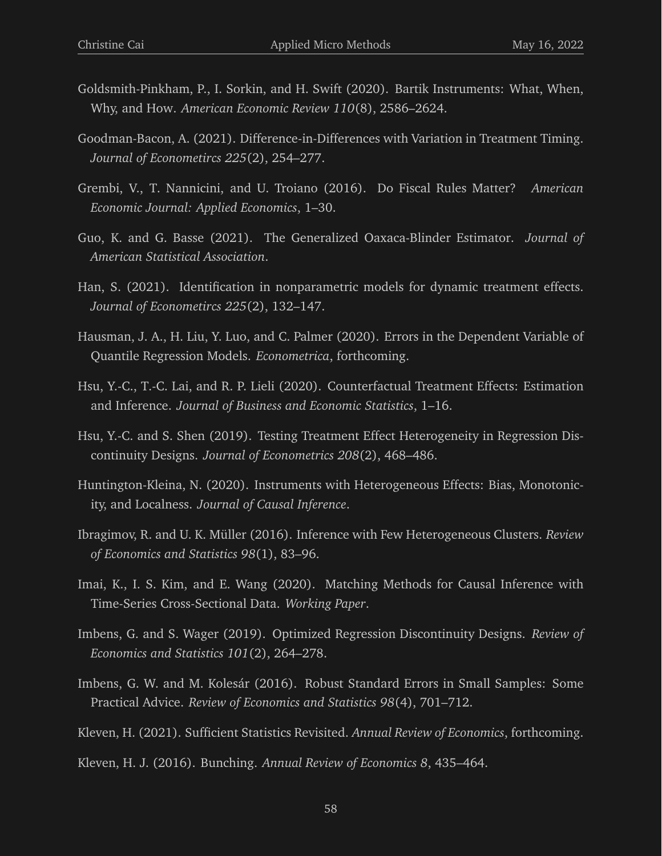- <span id="page-57-4"></span>Goldsmith-Pinkham, P., I. Sorkin, and H. Swift (2020). Bartik Instruments: What, When, Why, and How. *American Economic Review 110*(8), 2586–2624.
- <span id="page-57-2"></span>Goodman-Bacon, A. (2021). Difference-in-Differences with Variation in Treatment Timing. *Journal of Econometircs 225*(2), 254–277.
- <span id="page-57-5"></span>Grembi, V., T. Nannicini, and U. Troiano (2016). Do Fiscal Rules Matter? *American Economic Journal: Applied Economics*, 1–30.
- <span id="page-57-13"></span>Guo, K. and G. Basse (2021). The Generalized Oaxaca-Blinder Estimator. *Journal of American Statistical Association*.
- <span id="page-57-14"></span>Han, S. (2021). Identification in nonparametric models for dynamic treatment effects. *Journal of Econometircs 225*(2), 132–147.
- <span id="page-57-12"></span>Hausman, J. A., H. Liu, Y. Luo, and C. Palmer (2020). Errors in the Dependent Variable of Quantile Regression Models. *Econometrica*, forthcoming.
- <span id="page-57-11"></span>Hsu, Y.-C., T.-C. Lai, and R. P. Lieli (2020). Counterfactual Treatment Effects: Estimation and Inference. *Journal of Business and Economic Statistics*, 1–16.
- <span id="page-57-6"></span>Hsu, Y.-C. and S. Shen (2019). Testing Treatment Effect Heterogeneity in Regression Discontinuity Designs. *Journal of Econometrics 208*(2), 468–486.
- <span id="page-57-3"></span>Huntington-Kleina, N. (2020). Instruments with Heterogeneous Effects: Bias, Monotonicity, and Localness. *Journal of Causal Inference*.
- <span id="page-57-0"></span>Ibragimov, R. and U. K. Müller (2016). Inference with Few Heterogeneous Clusters. *Review of Economics and Statistics 98*(1), 83–96.
- <span id="page-57-8"></span>Imai, K., I. S. Kim, and E. Wang (2020). Matching Methods for Causal Inference with Time-Series Cross-Sectional Data. *Working Paper*.
- <span id="page-57-7"></span>Imbens, G. and S. Wager (2019). Optimized Regression Discontinuity Designs. *Review of Economics and Statistics 101*(2), 264–278.
- <span id="page-57-1"></span>Imbens, G. W. and M. Kolesár (2016). Robust Standard Errors in Small Samples: Some Practical Advice. *Review of Economics and Statistics 98*(4), 701–712.
- <span id="page-57-10"></span>Kleven, H. (2021). Sufficient Statistics Revisited. *Annual Review of Economics*, forthcoming.
- <span id="page-57-9"></span>Kleven, H. J. (2016). Bunching. *Annual Review of Economics 8*, 435–464.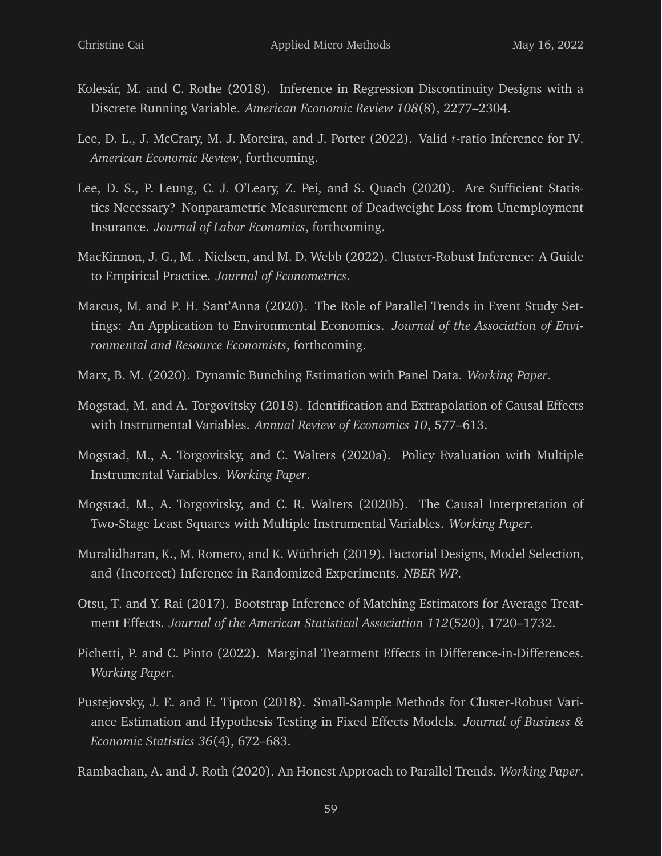- <span id="page-58-10"></span>Kolesár, M. and C. Rothe (2018). Inference in Regression Discontinuity Designs with a Discrete Running Variable. *American Economic Review 108*(8), 2277–2304.
- <span id="page-58-9"></span>Lee, D. L., J. McCrary, M. J. Moreira, and J. Porter (2022). Valid *t*-ratio Inference for IV. *American Economic Review*, forthcoming.
- <span id="page-58-13"></span>Lee, D. S., P. Leung, C. J. O'Leary, Z. Pei, and S. Quach (2020). Are Sufficient Statistics Necessary? Nonparametric Measurement of Deadweight Loss from Unemployment Insurance. *Journal of Labor Economics*, forthcoming.
- <span id="page-58-1"></span>MacKinnon, J. G., M. . Nielsen, and M. D. Webb (2022). Cluster-Robust Inference: A Guide to Empirical Practice. *Journal of Econometrics*.
- <span id="page-58-3"></span>Marcus, M. and P. H. Sant'Anna (2020). The Role of Parallel Trends in Event Study Settings: An Application to Environmental Economics. *Journal of the Association of Environmental and Resource Economists*, forthcoming.
- <span id="page-58-12"></span>Marx, B. M. (2020). Dynamic Bunching Estimation with Panel Data. *Working Paper*.
- <span id="page-58-6"></span>Mogstad, M. and A. Torgovitsky (2018). Identification and Extrapolation of Causal Effects with Instrumental Variables. *Annual Review of Economics 10*, 577–613.
- <span id="page-58-7"></span>Mogstad, M., A. Torgovitsky, and C. Walters (2020a). Policy Evaluation with Multiple Instrumental Variables. *Working Paper*.
- <span id="page-58-8"></span>Mogstad, M., A. Torgovitsky, and C. R. Walters (2020b). The Causal Interpretation of Two-Stage Least Squares with Multiple Instrumental Variables. *Working Paper*.
- <span id="page-58-2"></span>Muralidharan, K., M. Romero, and K. Wüthrich (2019). Factorial Designs, Model Selection, and (Incorrect) Inference in Randomized Experiments. *NBER WP*.
- <span id="page-58-11"></span>Otsu, T. and Y. Rai (2017). Bootstrap Inference of Matching Estimators for Average Treatment Effects. *Journal of the American Statistical Association 112*(520), 1720–1732.
- <span id="page-58-5"></span>Pichetti, P. and C. Pinto (2022). Marginal Treatment Effects in Difference-in-Differences. *Working Paper*.
- <span id="page-58-0"></span>Pustejovsky, J. E. and E. Tipton (2018). Small-Sample Methods for Cluster-Robust Variance Estimation and Hypothesis Testing in Fixed Effects Models. *Journal of Business & Economic Statistics 36*(4), 672–683.
- <span id="page-58-4"></span>Rambachan, A. and J. Roth (2020). An Honest Approach to Parallel Trends. *Working Paper*.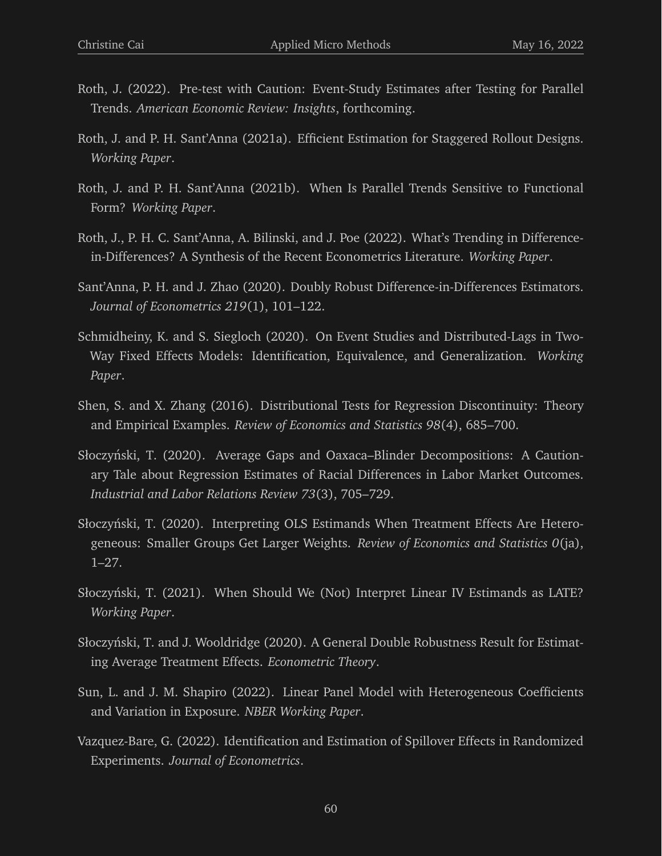- <span id="page-59-7"></span>Roth, J. (2022). Pre-test with Caution: Event-Study Estimates after Testing for Parallel Trends. *American Economic Review: Insights*, forthcoming.
- <span id="page-59-5"></span>Roth, J. and P. H. Sant'Anna (2021a). Efficient Estimation for Staggered Rollout Designs. *Working Paper*.
- <span id="page-59-6"></span>Roth, J. and P. H. Sant'Anna (2021b). When Is Parallel Trends Sensitive to Functional Form? *Working Paper*.
- <span id="page-59-2"></span>Roth, J., P. H. C. Sant'Anna, A. Bilinski, and J. Poe (2022). What's Trending in Differencein-Differences? A Synthesis of the Recent Econometrics Literature. *Working Paper*.
- <span id="page-59-3"></span>Sant'Anna, P. H. and J. Zhao (2020). Doubly Robust Difference-in-Differences Estimators. *Journal of Econometrics 219*(1), 101–122.
- <span id="page-59-4"></span>Schmidheiny, K. and S. Siegloch (2020). On Event Studies and Distributed-Lags in Two-Way Fixed Effects Models: Identification, Equivalence, and Generalization. *Working Paper*.
- <span id="page-59-10"></span>Shen, S. and X. Zhang (2016). Distributional Tests for Regression Discontinuity: Theory and Empirical Examples. *Review of Economics and Statistics 98*(4), 685–700.
- <span id="page-59-11"></span>Słoczyński, T. (2020). Average Gaps and Oaxaca–Blinder Decompositions: A Cautionary Tale about Regression Estimates of Racial Differences in Labor Market Outcomes. *Industrial and Labor Relations Review 73*(3), 705–729.
- <span id="page-59-0"></span>Słoczyński, T. (2020). Interpreting OLS Estimands When Treatment Effects Are Heterogeneous: Smaller Groups Get Larger Weights. *Review of Economics and Statistics 0*(ja), 1–27.
- <span id="page-59-9"></span>Słoczyński, T. (2021). When Should We (Not) Interpret Linear IV Estimands as LATE? *Working Paper*.
- <span id="page-59-12"></span>Słoczyński, T. and J. Wooldridge (2020). A General Double Robustness Result for Estimating Average Treatment Effects. *Econometric Theory*.
- <span id="page-59-8"></span>Sun, L. and J. M. Shapiro (2022). Linear Panel Model with Heterogeneous Coefficients and Variation in Exposure. *NBER Working Paper*.
- <span id="page-59-1"></span>Vazquez-Bare, G. (2022). Identification and Estimation of Spillover Effects in Randomized Experiments. *Journal of Econometrics*.